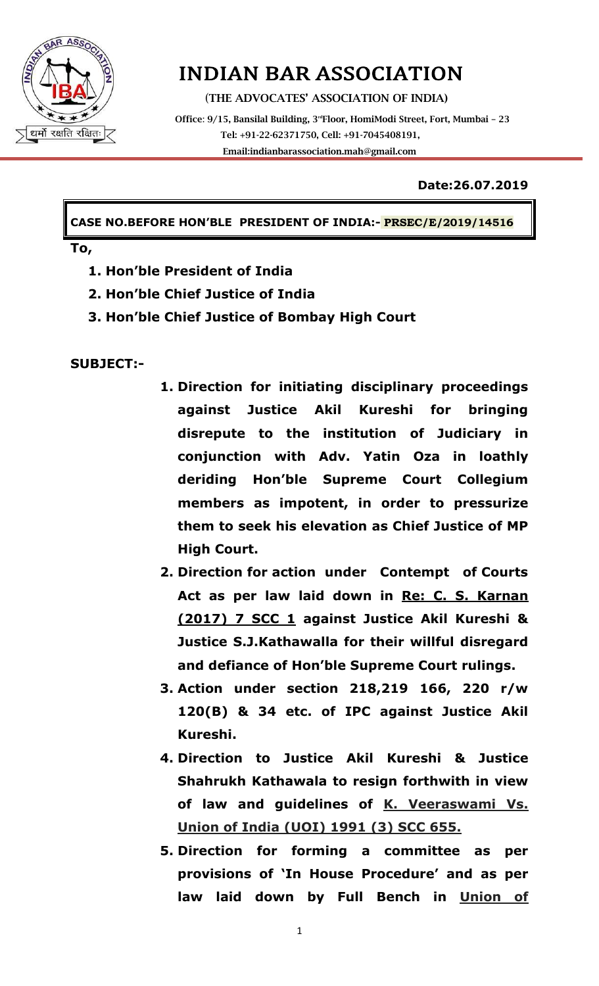

# INDIAN BAR ASSOCIATION

(**THE ADVOCATES' ASSOCIATION OF INDIA)**

 **Office**: **9/15, Bansilal Building, 3rdFloor, HomiModi Street, Fort, Mumbai – 23 Tel: +91-22-62371750, Cell: +91-7045408191, Emai[l:indianbarassociation.mah@gmail.com](mailto:indianbarassociation.mah@gmail.com)**

#### **Date:26.07.2019**

**CASE NO.BEFORE HON"BLE PRESIDENT OF INDIA:- PRSEC/E/2019/14516**

**To,** 

- **1. Hon"ble President of India**
- **2. Hon"ble Chief Justice of India**
- **3. Hon"ble Chief Justice of Bombay High Court**

**SUBJECT:-**

- **1. Direction for initiating disciplinary proceedings against Justice Akil Kureshi for bringing disrepute to the institution of Judiciary in conjunction with Adv. Yatin Oza in loathly deriding Hon"ble Supreme Court Collegium members as impotent, in order to pressurize them to seek his elevation as Chief Justice of MP High Court.**
- **2. Direction for action under Contempt of Courts Act as per law laid down in Re: C. S. Karnan (2017) 7 SCC 1 against Justice Akil Kureshi & Justice S.J.Kathawalla for their willful disregard and defiance of Hon"ble Supreme Court rulings.**
- **3. Action under section 218,219 166, 220 r/w 120(B) & 34 etc. of IPC against Justice Akil Kureshi.**
- **4. Direction to Justice Akil Kureshi & Justice Shahrukh Kathawala to resign forthwith in view of law and guidelines of K. Veeraswami Vs. Union of India (UOI) 1991 (3) SCC 655.**
- **5. Direction for forming a committee as per provisions of "In House Procedure" and as per law laid down by Full Bench in Union of**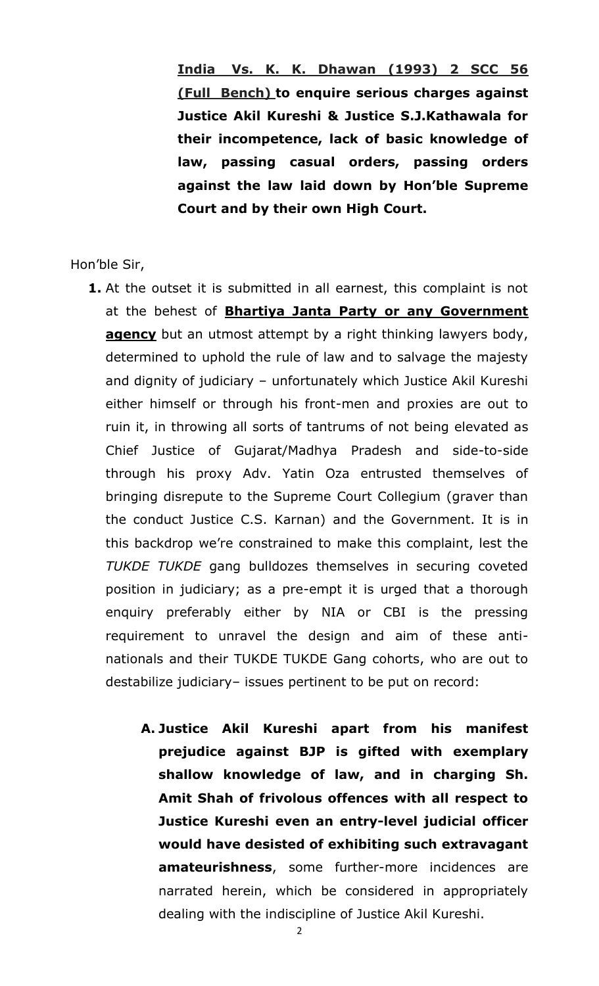**India Vs. K. K. Dhawan (1993) 2 SCC 56 (Full Bench) to enquire serious charges against Justice Akil Kureshi & Justice S.J.Kathawala for their incompetence, lack of basic knowledge of law, passing casual orders, passing orders against the law laid down by Hon"ble Supreme Court and by their own High Court.** 

Hon"ble Sir,

- **1.** At the outset it is submitted in all earnest, this complaint is not at the behest of **Bhartiya Janta Party or any Government agency** but an utmost attempt by a right thinking lawyers body, determined to uphold the rule of law and to salvage the majesty and dignity of judiciary – unfortunately which Justice Akil Kureshi either himself or through his front-men and proxies are out to ruin it, in throwing all sorts of tantrums of not being elevated as Chief Justice of Gujarat/Madhya Pradesh and side-to-side through his proxy Adv. Yatin Oza entrusted themselves of bringing disrepute to the Supreme Court Collegium (graver than the conduct Justice C.S. Karnan) and the Government. It is in this backdrop we"re constrained to make this complaint, lest the *TUKDE TUKDE* gang bulldozes themselves in securing coveted position in judiciary; as a pre-empt it is urged that a thorough enquiry preferably either by NIA or CBI is the pressing requirement to unravel the design and aim of these antinationals and their TUKDE TUKDE Gang cohorts, who are out to destabilize judiciary– issues pertinent to be put on record:
	- **A. Justice Akil Kureshi apart from his manifest prejudice against BJP is gifted with exemplary shallow knowledge of law, and in charging Sh. Amit Shah of frivolous offences with all respect to Justice Kureshi even an entry-level judicial officer would have desisted of exhibiting such extravagant amateurishness**, some further-more incidences are narrated herein, which be considered in appropriately dealing with the indiscipline of Justice Akil Kureshi.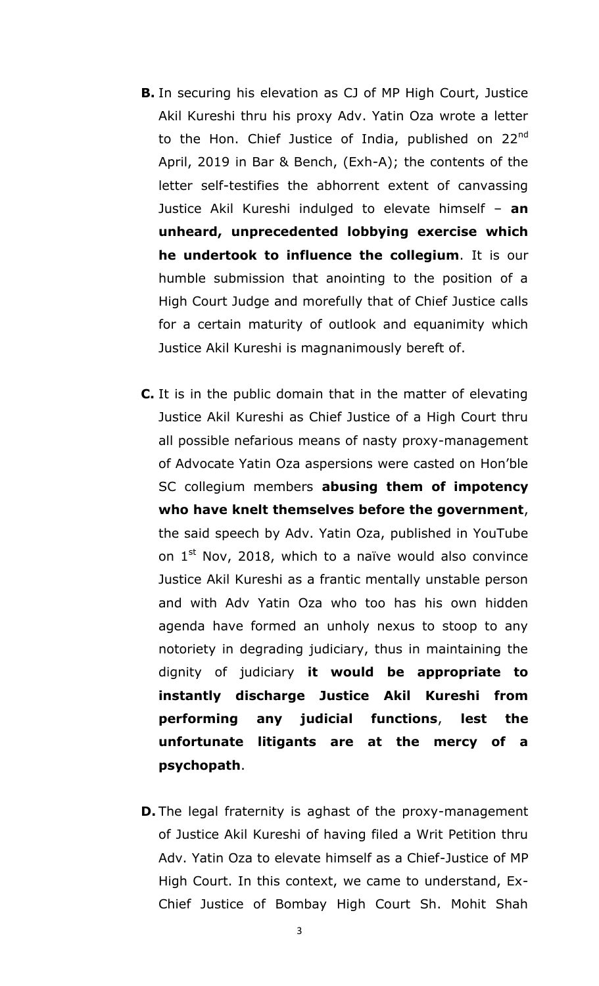- **B.** In securing his elevation as CJ of MP High Court, Justice Akil Kureshi thru his proxy Adv. Yatin Oza wrote a letter to the Hon. Chief Justice of India, published on  $22^{nd}$ April, 2019 in Bar & Bench, (Exh-A); the contents of the letter self-testifies the abhorrent extent of canvassing Justice Akil Kureshi indulged to elevate himself – **an unheard, unprecedented lobbying exercise which he undertook to influence the collegium**. It is our humble submission that anointing to the position of a High Court Judge and morefully that of Chief Justice calls for a certain maturity of outlook and equanimity which Justice Akil Kureshi is magnanimously bereft of.
- **C.** It is in the public domain that in the matter of elevating Justice Akil Kureshi as Chief Justice of a High Court thru all possible nefarious means of nasty proxy-management of Advocate Yatin Oza aspersions were casted on Hon"ble SC collegium members **abusing them of impotency who have knelt themselves before the government**, the said speech by Adv. Yatin Oza, published in YouTube on  $1<sup>st</sup>$  Nov, 2018, which to a naïve would also convince Justice Akil Kureshi as a frantic mentally unstable person and with Adv Yatin Oza who too has his own hidden agenda have formed an unholy nexus to stoop to any notoriety in degrading judiciary, thus in maintaining the dignity of judiciary **it would be appropriate to instantly discharge Justice Akil Kureshi from performing any judicial functions**, **lest the unfortunate litigants are at the mercy of a psychopath**.
- **D.** The legal fraternity is aghast of the proxy-management of Justice Akil Kureshi of having filed a Writ Petition thru Adv. Yatin Oza to elevate himself as a Chief-Justice of MP High Court. In this context, we came to understand, Ex-Chief Justice of Bombay High Court Sh. Mohit Shah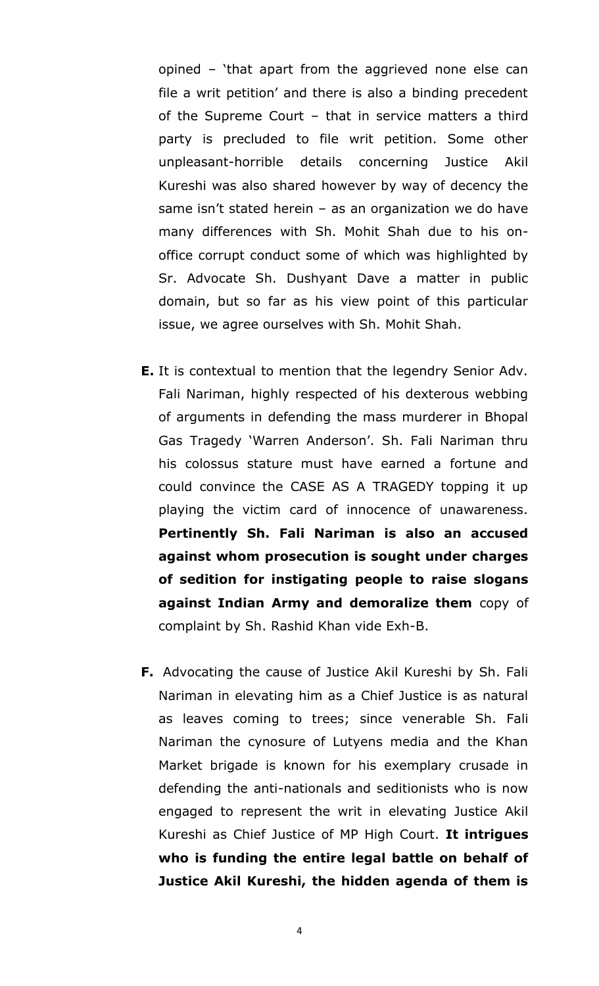opined – "that apart from the aggrieved none else can file a writ petition' and there is also a binding precedent of the Supreme Court – that in service matters a third party is precluded to file writ petition. Some other unpleasant-horrible details concerning Justice Akil Kureshi was also shared however by way of decency the same isn't stated herein  $-$  as an organization we do have many differences with Sh. Mohit Shah due to his onoffice corrupt conduct some of which was highlighted by Sr. Advocate Sh. Dushyant Dave a matter in public domain, but so far as his view point of this particular issue, we agree ourselves with Sh. Mohit Shah.

- **E.** It is contextual to mention that the legendry Senior Adv. Fali Nariman, highly respected of his dexterous webbing of arguments in defending the mass murderer in Bhopal Gas Tragedy 'Warren Anderson'. Sh. Fali Nariman thru his colossus stature must have earned a fortune and could convince the CASE AS A TRAGEDY topping it up playing the victim card of innocence of unawareness. **Pertinently Sh. Fali Nariman is also an accused against whom prosecution is sought under charges of sedition for instigating people to raise slogans against Indian Army and demoralize them** copy of complaint by Sh. Rashid Khan vide Exh-B.
- **F.** Advocating the cause of Justice Akil Kureshi by Sh. Fali Nariman in elevating him as a Chief Justice is as natural as leaves coming to trees; since venerable Sh. Fali Nariman the cynosure of Lutyens media and the Khan Market brigade is known for his exemplary crusade in defending the anti-nationals and seditionists who is now engaged to represent the writ in elevating Justice Akil Kureshi as Chief Justice of MP High Court. **It intrigues who is funding the entire legal battle on behalf of Justice Akil Kureshi, the hidden agenda of them is**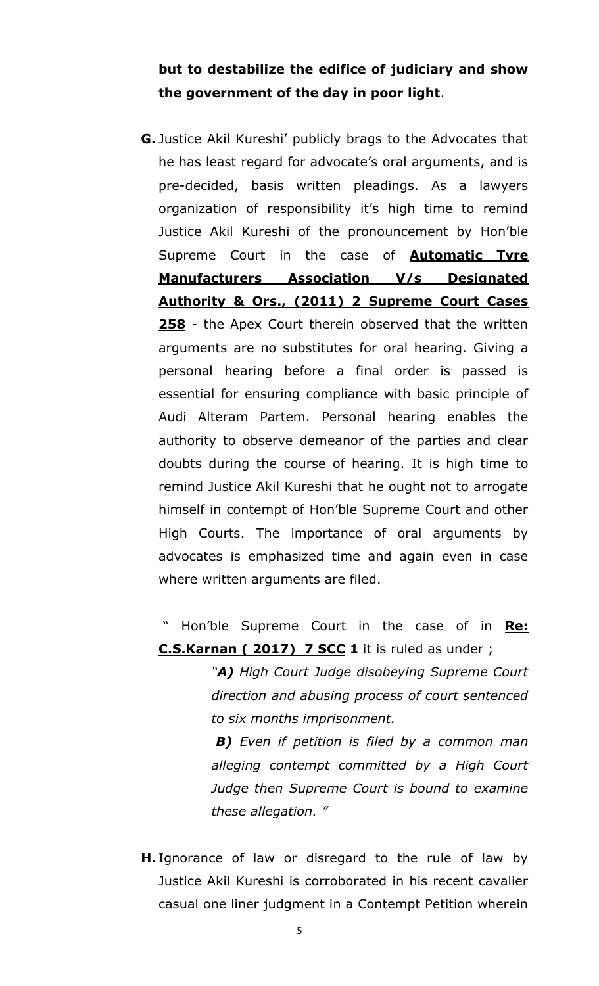#### **but to destabilize the edifice of judiciary and show the government of the day in poor light**.

**G.** Justice Akil Kureshi" publicly brags to the Advocates that he has least regard for advocate's oral arguments, and is pre-decided, basis written pleadings. As a lawyers organization of responsibility it's high time to remind Justice Akil Kureshi of the pronouncement by Hon"ble Supreme Court in the case of **Automatic Tyre Manufacturers Association V/s Designated Authority & Ors., (2011) 2 Supreme Court Cases 258** - the Apex Court therein observed that the written arguments are no substitutes for oral hearing. Giving a personal hearing before a final order is passed is essential for ensuring compliance with basic principle of Audi Alteram Partem. Personal hearing enables the authority to observe demeanor of the parties and clear doubts during the course of hearing. It is high time to remind Justice Akil Kureshi that he ought not to arrogate himself in contempt of Hon"ble Supreme Court and other High Courts. The importance of oral arguments by advocates is emphasized time and again even in case where written arguments are filed.

" Hon"ble Supreme Court in the case of in **Re: C.S.Karnan ( 2017) 7 SCC 1** it is ruled as under ;

> *"A) High Court Judge disobeying Supreme Court direction and abusing process of court sentenced to six months imprisonment.*

> *B) Even if petition is filed by a common man alleging contempt committed by a High Court Judge then Supreme Court is bound to examine these allegation. "*

**H.** Ignorance of law or disregard to the rule of law by Justice Akil Kureshi is corroborated in his recent cavalier casual one liner judgment in a Contempt Petition wherein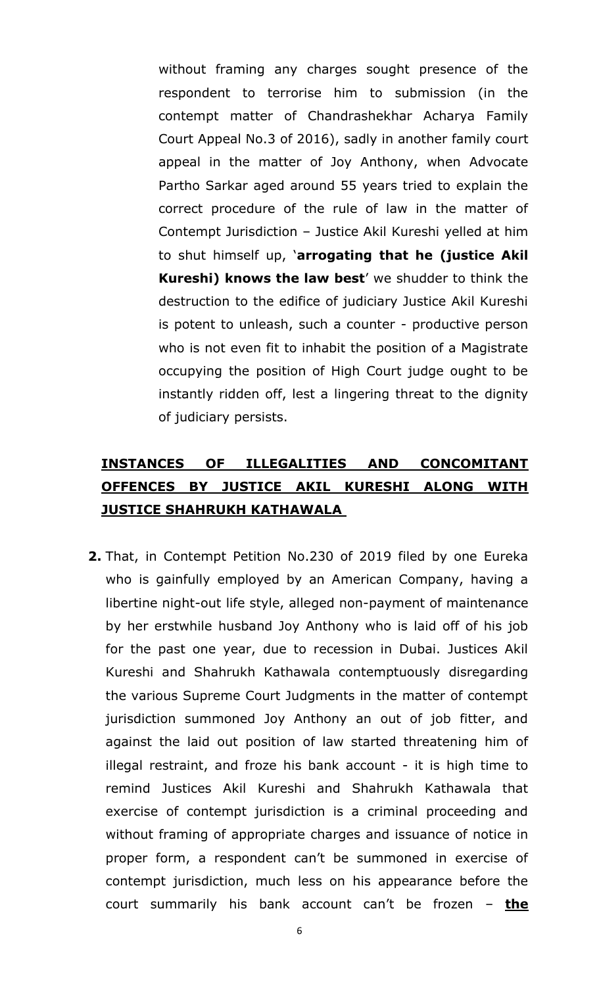without framing any charges sought presence of the respondent to terrorise him to submission (in the contempt matter of Chandrashekhar Acharya Family Court Appeal No.3 of 2016), sadly in another family court appeal in the matter of Joy Anthony, when Advocate Partho Sarkar aged around 55 years tried to explain the correct procedure of the rule of law in the matter of Contempt Jurisdiction – Justice Akil Kureshi yelled at him to shut himself up, "**arrogating that he (justice Akil Kureshi) knows the law best'** we shudder to think the destruction to the edifice of judiciary Justice Akil Kureshi is potent to unleash, such a counter - productive person who is not even fit to inhabit the position of a Magistrate occupying the position of High Court judge ought to be instantly ridden off, lest a lingering threat to the dignity of judiciary persists.

## **INSTANCES OF ILLEGALITIES AND CONCOMITANT OFFENCES BY JUSTICE AKIL KURESHI ALONG WITH JUSTICE SHAHRUKH KATHAWALA**

**2.** That, in Contempt Petition No.230 of 2019 filed by one Eureka who is gainfully employed by an American Company, having a libertine night-out life style, alleged non-payment of maintenance by her erstwhile husband Joy Anthony who is laid off of his job for the past one year, due to recession in Dubai. Justices Akil Kureshi and Shahrukh Kathawala contemptuously disregarding the various Supreme Court Judgments in the matter of contempt jurisdiction summoned Joy Anthony an out of job fitter, and against the laid out position of law started threatening him of illegal restraint, and froze his bank account - it is high time to remind Justices Akil Kureshi and Shahrukh Kathawala that exercise of contempt jurisdiction is a criminal proceeding and without framing of appropriate charges and issuance of notice in proper form, a respondent can't be summoned in exercise of contempt jurisdiction, much less on his appearance before the court summarily his bank account can"t be frozen – **the**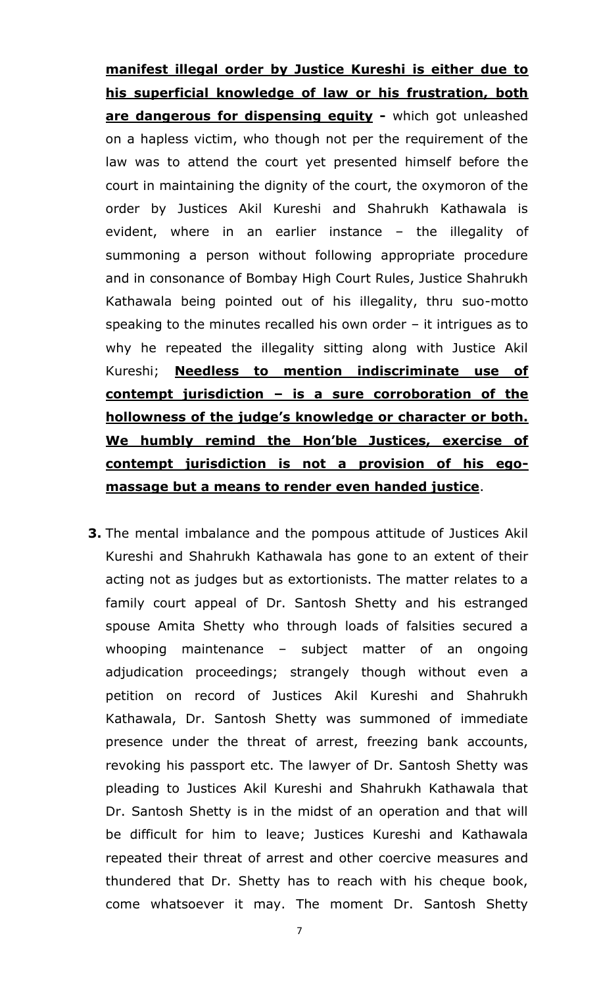**manifest illegal order by Justice Kureshi is either due to his superficial knowledge of law or his frustration, both are dangerous for dispensing equity -** which got unleashed on a hapless victim, who though not per the requirement of the law was to attend the court yet presented himself before the court in maintaining the dignity of the court, the oxymoron of the order by Justices Akil Kureshi and Shahrukh Kathawala is evident, where in an earlier instance – the illegality of summoning a person without following appropriate procedure and in consonance of Bombay High Court Rules, Justice Shahrukh Kathawala being pointed out of his illegality, thru suo-motto speaking to the minutes recalled his own order – it intrigues as to why he repeated the illegality sitting along with Justice Akil Kureshi; **Needless to mention indiscriminate use of contempt jurisdiction – is a sure corroboration of the hollowness of the judge"s knowledge or character or both. We humbly remind the Hon"ble Justices, exercise of contempt jurisdiction is not a provision of his egomassage but a means to render even handed justice**.

**3.** The mental imbalance and the pompous attitude of Justices Akil Kureshi and Shahrukh Kathawala has gone to an extent of their acting not as judges but as extortionists. The matter relates to a family court appeal of Dr. Santosh Shetty and his estranged spouse Amita Shetty who through loads of falsities secured a whooping maintenance – subject matter of an ongoing adjudication proceedings; strangely though without even a petition on record of Justices Akil Kureshi and Shahrukh Kathawala, Dr. Santosh Shetty was summoned of immediate presence under the threat of arrest, freezing bank accounts, revoking his passport etc. The lawyer of Dr. Santosh Shetty was pleading to Justices Akil Kureshi and Shahrukh Kathawala that Dr. Santosh Shetty is in the midst of an operation and that will be difficult for him to leave; Justices Kureshi and Kathawala repeated their threat of arrest and other coercive measures and thundered that Dr. Shetty has to reach with his cheque book, come whatsoever it may. The moment Dr. Santosh Shetty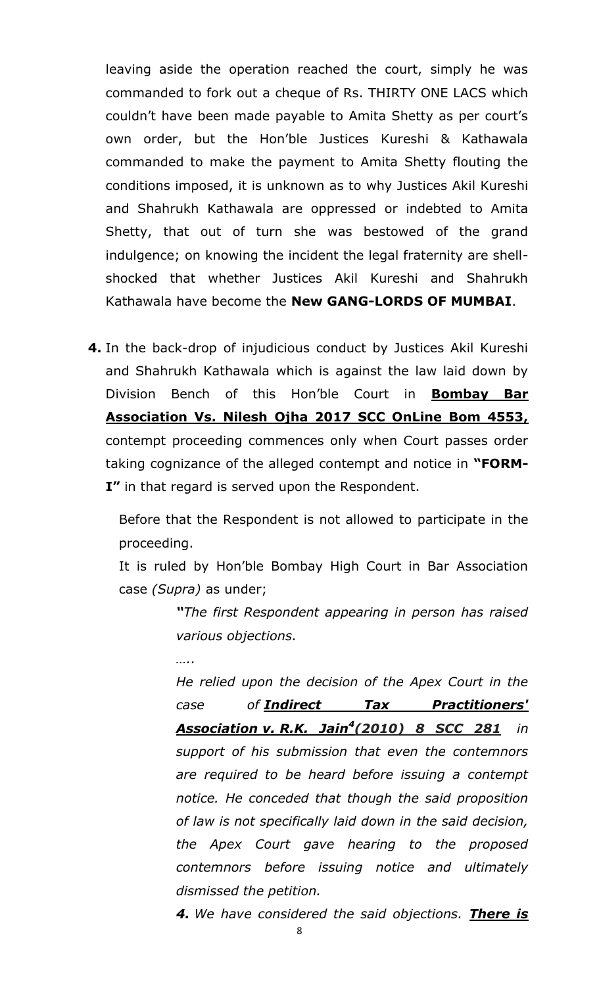leaving aside the operation reached the court, simply he was commanded to fork out a cheque of Rs. THIRTY ONE LACS which couldn't have been made payable to Amita Shetty as per court's own order, but the Hon"ble Justices Kureshi & Kathawala commanded to make the payment to Amita Shetty flouting the conditions imposed, it is unknown as to why Justices Akil Kureshi and Shahrukh Kathawala are oppressed or indebted to Amita Shetty, that out of turn she was bestowed of the grand indulgence; on knowing the incident the legal fraternity are shellshocked that whether Justices Akil Kureshi and Shahrukh Kathawala have become the **New GANG-LORDS OF MUMBAI**.

**4.** In the back-drop of injudicious conduct by Justices Akil Kureshi and Shahrukh Kathawala which is against the law laid down by Division Bench of this Hon"ble Court in **Bombay Bar Association Vs. Nilesh Ojha 2017 SCC OnLine Bom 4553,** contempt proceeding commences only when Court passes order taking cognizance of the alleged contempt and notice in **"FORM-I"** in that regard is served upon the Respondent.

Before that the Respondent is not allowed to participate in the proceeding.

It is ruled by Hon"ble Bombay High Court in Bar Association case *(Supra)* as under;

> *―The first Respondent appearing in person has raised various objections.*

*…..*

*He relied upon the decision of the Apex Court in the case of Indirect Tax Practitioners' Association v. R.K. Jain<sup>4</sup> (2010) 8 SCC 281 in support of his submission that even the contemnors are required to be heard before issuing a contempt notice. He conceded that though the said proposition of law is not specifically laid down in the said decision, the Apex Court gave hearing to the proposed contemnors before issuing notice and ultimately dismissed the petition.*

*4. We have considered the said objections. There is*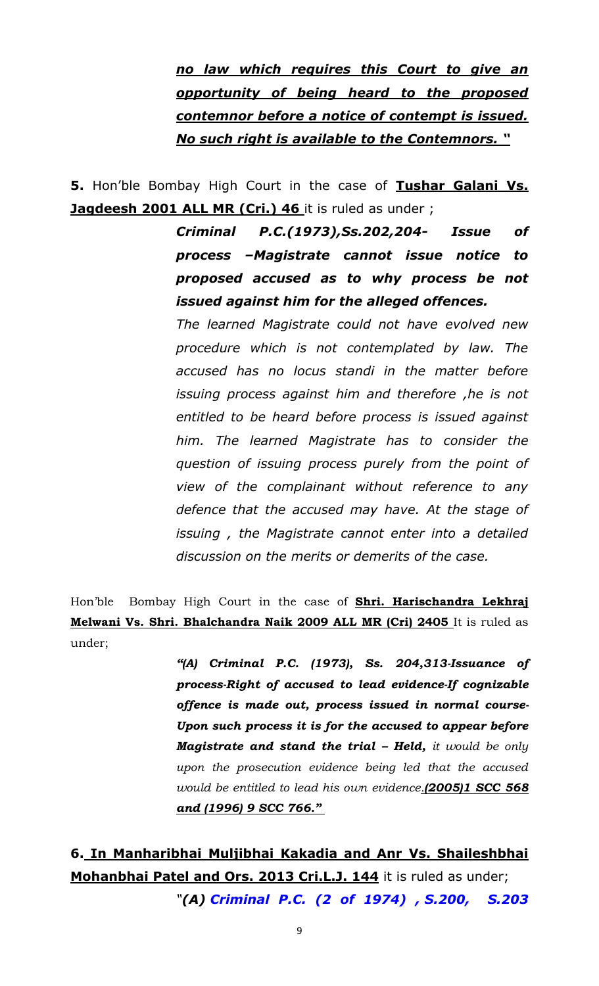*no law which requires this Court to give an opportunity of being heard to the proposed contemnor before a notice of contempt is issued. No such right is available to the Contemnors. ―*

**5.** Hon"ble Bombay High Court in the case of **Tushar Galani Vs. Jagdeesh 2001 ALL MR (Cri.) 46** it is ruled as under ;

> *Criminal P.C.(1973),Ss.202,204- Issue of process –Magistrate cannot issue notice to proposed accused as to why process be not issued against him for the alleged offences.*

> *The learned Magistrate could not have evolved new procedure which is not contemplated by law. The accused has no locus standi in the matter before issuing process against him and therefore ,he is not entitled to be heard before process is issued against him. The learned Magistrate has to consider the question of issuing process purely from the point of view of the complainant without reference to any defence that the accused may have. At the stage of issuing , the Magistrate cannot enter into a detailed discussion on the merits or demerits of the case.*

Hon'ble Bombay High Court in the case of **Shri. Harischandra Lekhraj Melwani Vs. Shri. Bhalchandra Naik 2009 ALL MR (Cri) 2405** It is ruled as under;

> *"(A) Criminal P.C. (1973), Ss. 204,313-Issuance of process-Right of accused to lead evidence-If cognizable offence is made out, process issued in normal course-Upon such process it is for the accused to appear before Magistrate and stand the trial – Held, it would be only upon the prosecution evidence being led that the accused would be entitled to lead his own evidence.(2005)1 SCC 568 and (1996) 9 SCC 766."*

**6. In Manharibhai Muljibhai Kakadia and Anr Vs. Shaileshbhai Mohanbhai Patel and Ors. 2013 Cri.L.J. 144** it is ruled as under;

*"(A) Criminal P.C. (2 of 1974) , S.200, S.203*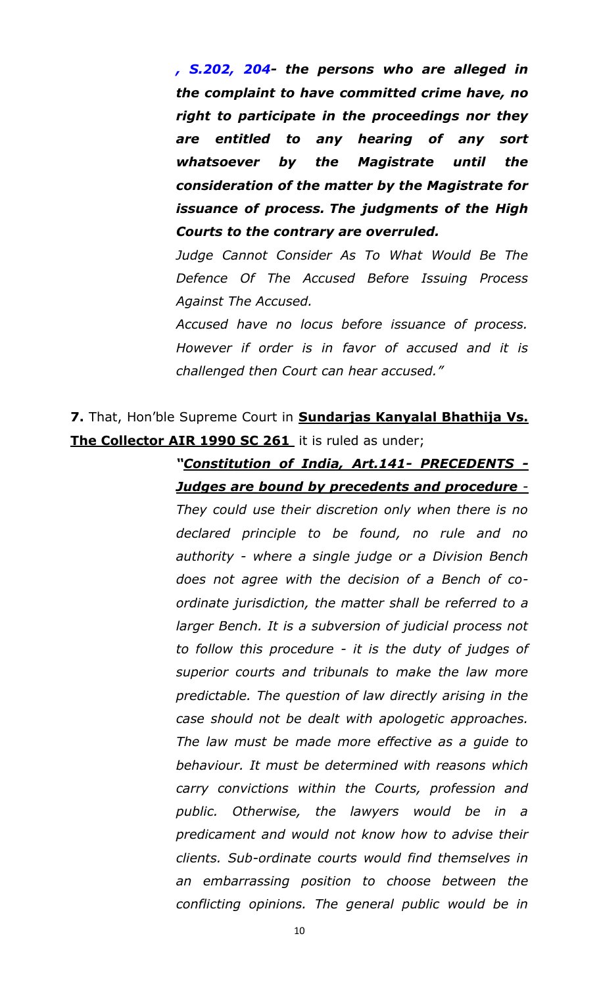*, S.202, 204- the persons who are alleged in the complaint to have committed crime have, no right to participate in the proceedings nor they are entitled to any hearing of any sort whatsoever by the Magistrate until the consideration of the matter by the Magistrate for issuance of process. The judgments of the High Courts to the contrary are overruled.*

*Judge Cannot Consider As To What Would Be The Defence Of The Accused Before Issuing Process Against The Accused.*

*Accused have no locus before issuance of process. However if order is in favor of accused and it is challenged then Court can hear accused."*

## **7.** That, Hon"ble Supreme Court in **Sundarjas Kanyalal Bhathija Vs. The Collector AIR 1990 SC 261** it is ruled as under;

### *―Constitution of India, Art.141- PRECEDENTS - Judges are bound by precedents and procedure -*

*They could use their discretion only when there is no declared principle to be found, no rule and no authority - where a single judge or a Division Bench does not agree with the decision of a Bench of coordinate jurisdiction, the matter shall be referred to a larger Bench. It is a subversion of judicial process not to follow this procedure - it is the duty of judges of superior courts and tribunals to make the law more predictable. The question of law directly arising in the case should not be dealt with apologetic approaches. The law must be made more effective as a guide to behaviour. It must be determined with reasons which carry convictions within the Courts, profession and public. Otherwise, the lawyers would be in a predicament and would not know how to advise their clients. Sub-ordinate courts would find themselves in an embarrassing position to choose between the conflicting opinions. The general public would be in*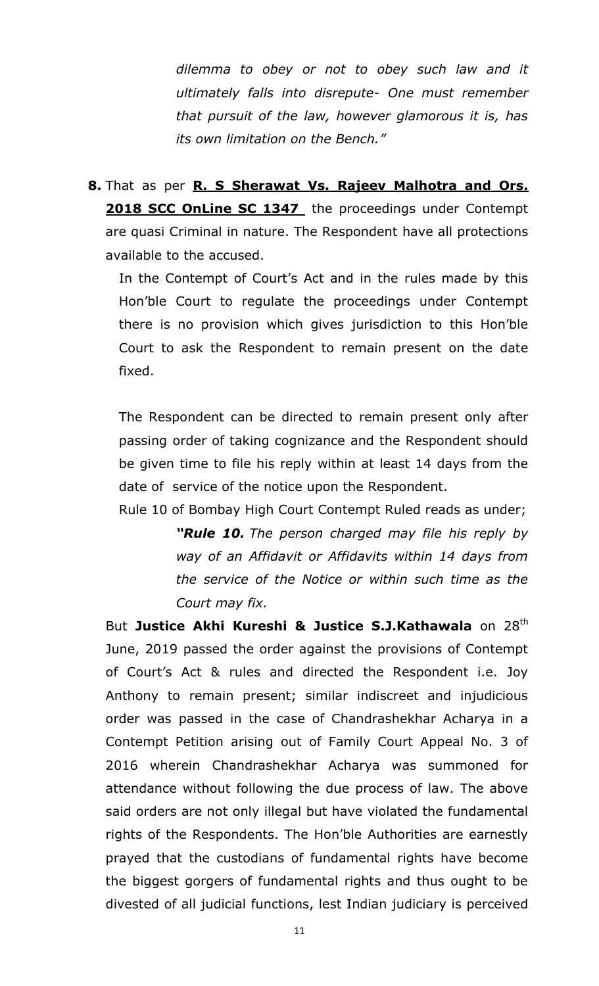*dilemma to obey or not to obey such law and it ultimately falls into disrepute- One must remember that pursuit of the law, however glamorous it is, has its own limitation on the Bench."*

**8.** That as per **R. S Sherawat Vs. Rajeev Malhotra and Ors. 2018 SCC OnLine SC 1347** the proceedings under Contempt are quasi Criminal in nature. The Respondent have all protections available to the accused.

In the Contempt of Court's Act and in the rules made by this Hon"ble Court to regulate the proceedings under Contempt there is no provision which gives jurisdiction to this Hon"ble Court to ask the Respondent to remain present on the date fixed.

The Respondent can be directed to remain present only after passing order of taking cognizance and the Respondent should be given time to file his reply within at least 14 days from the date of service of the notice upon the Respondent.

Rule 10 of Bombay High Court Contempt Ruled reads as under; **"Rule 10.** The person charged may file his reply by *way of an Affidavit or Affidavits within 14 days from the service of the Notice or within such time as the Court may fix.*

But Justice Akhi Kureshi & Justice S.J.Kathawala on 28<sup>th</sup> June, 2019 passed the order against the provisions of Contempt of Court"s Act & rules and directed the Respondent i.e. Joy Anthony to remain present; similar indiscreet and injudicious order was passed in the case of Chandrashekhar Acharya in a Contempt Petition arising out of Family Court Appeal No. 3 of 2016 wherein Chandrashekhar Acharya was summoned for attendance without following the due process of law. The above said orders are not only illegal but have violated the fundamental rights of the Respondents. The Hon"ble Authorities are earnestly prayed that the custodians of fundamental rights have become the biggest gorgers of fundamental rights and thus ought to be divested of all judicial functions, lest Indian judiciary is perceived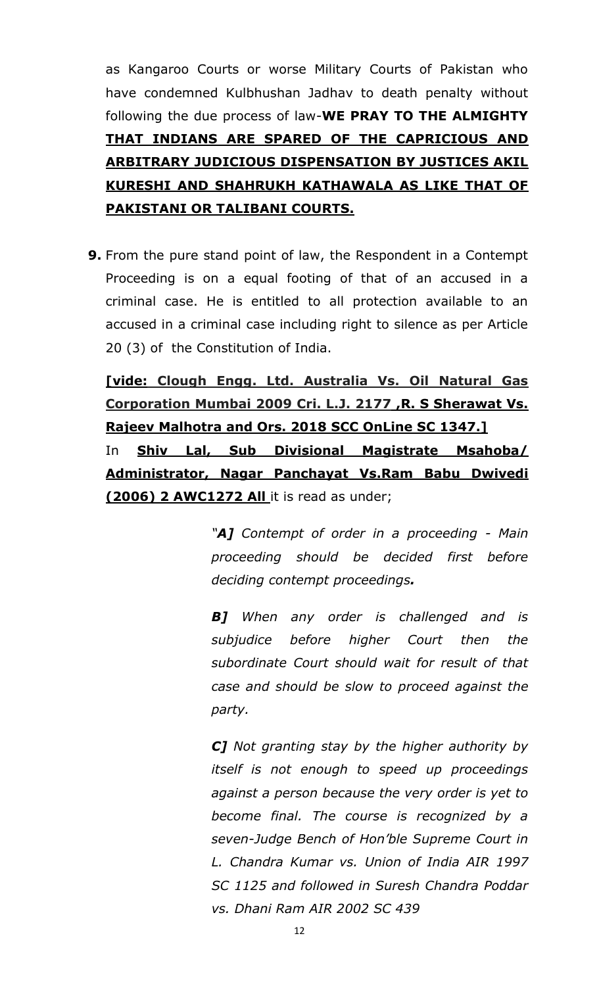as Kangaroo Courts or worse Military Courts of Pakistan who have condemned Kulbhushan Jadhav to death penalty without following the due process of law-**WE PRAY TO THE ALMIGHTY THAT INDIANS ARE SPARED OF THE CAPRICIOUS AND ARBITRARY JUDICIOUS DISPENSATION BY JUSTICES AKIL KURESHI AND SHAHRUKH KATHAWALA AS LIKE THAT OF PAKISTANI OR TALIBANI COURTS.**

**9.** From the pure stand point of law, the Respondent in a Contempt Proceeding is on a equal footing of that of an accused in a criminal case. He is entitled to all protection available to an accused in a criminal case including right to silence as per Article 20 (3) of the Constitution of India.

**[vide: Clough Engg. Ltd. Australia Vs. Oil Natural Gas Corporation Mumbai 2009 Cri. L.J. 2177 ,R. S Sherawat Vs. Rajeev Malhotra and Ors. 2018 SCC OnLine SC 1347.]**

In **Shiv Lal, Sub Divisional Magistrate Msahoba/ Administrator, Nagar Panchayat Vs.Ram Babu Dwivedi (2006) 2 AWC1272 All** it is read as under;

> *"A] Contempt of order in a proceeding - Main proceeding should be decided first before deciding contempt proceedings.*

> *B] When any order is challenged and is subjudice before higher Court then the subordinate Court should wait for result of that case and should be slow to proceed against the party.*

> *C] Not granting stay by the higher authority by itself is not enough to speed up proceedings against a person because the very order is yet to become final. The course is recognized by a seven-Judge Bench of Hon"ble Supreme Court in L. Chandra Kumar vs. Union of India AIR 1997 SC 1125 and followed in Suresh Chandra Poddar vs. Dhani Ram AIR 2002 SC 439*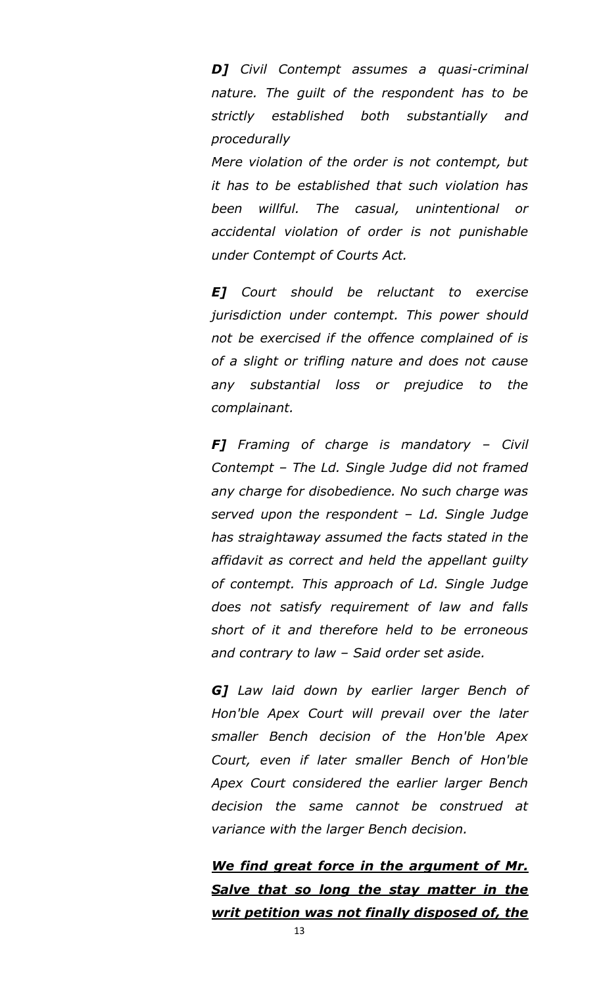*D] Civil Contempt assumes a quasi-criminal nature. The guilt of the respondent has to be strictly established both substantially and procedurally*

*Mere violation of the order is not contempt, but it has to be established that such violation has been willful. The casual, unintentional or accidental violation of order is not punishable under Contempt of Courts Act.*

*E] Court should be reluctant to exercise jurisdiction under contempt. This power should not be exercised if the offence complained of is of a slight or trifling nature and does not cause any substantial loss or prejudice to the complainant.*

*F] Framing of charge is mandatory – Civil Contempt – The Ld. Single Judge did not framed any charge for disobedience. No such charge was served upon the respondent – Ld. Single Judge has straightaway assumed the facts stated in the affidavit as correct and held the appellant guilty of contempt. This approach of Ld. Single Judge does not satisfy requirement of law and falls short of it and therefore held to be erroneous and contrary to law – Said order set aside.*

*G] Law laid down by earlier larger Bench of Hon'ble Apex Court will prevail over the later smaller Bench decision of the Hon'ble Apex Court, even if later smaller Bench of Hon'ble Apex Court considered the earlier larger Bench decision the same cannot be construed at variance with the larger Bench decision.*

*We find great force in the argument of Mr. Salve that so long the stay matter in the writ petition was not finally disposed of, the*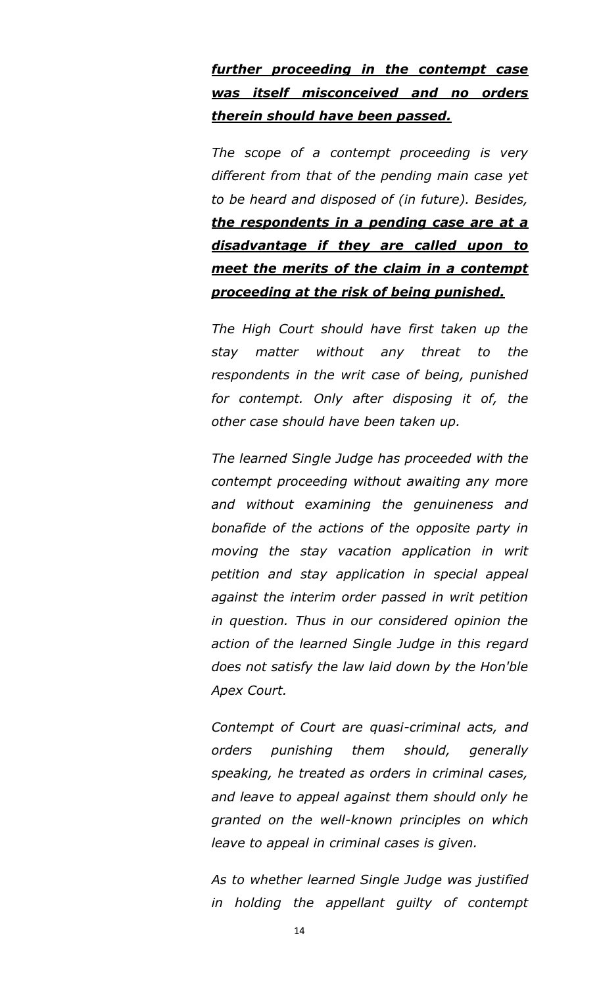## *further proceeding in the contempt case was itself misconceived and no orders therein should have been passed.*

*The scope of a contempt proceeding is very different from that of the pending main case yet to be heard and disposed of (in future). Besides, the respondents in a pending case are at a disadvantage if they are called upon to meet the merits of the claim in a contempt proceeding at the risk of being punished.*

*The High Court should have first taken up the stay matter without any threat to the respondents in the writ case of being, punished for contempt. Only after disposing it of, the other case should have been taken up.*

*The learned Single Judge has proceeded with the contempt proceeding without awaiting any more and without examining the genuineness and bonafide of the actions of the opposite party in moving the stay vacation application in writ petition and stay application in special appeal against the interim order passed in writ petition in question. Thus in our considered opinion the action of the learned Single Judge in this regard does not satisfy the law laid down by the Hon'ble Apex Court.*

*Contempt of Court are quasi-criminal acts, and orders punishing them should, generally speaking, he treated as orders in criminal cases, and leave to appeal against them should only he granted on the well-known principles on which leave to appeal in criminal cases is given.*

*As to whether learned Single Judge was justified in holding the appellant guilty of contempt*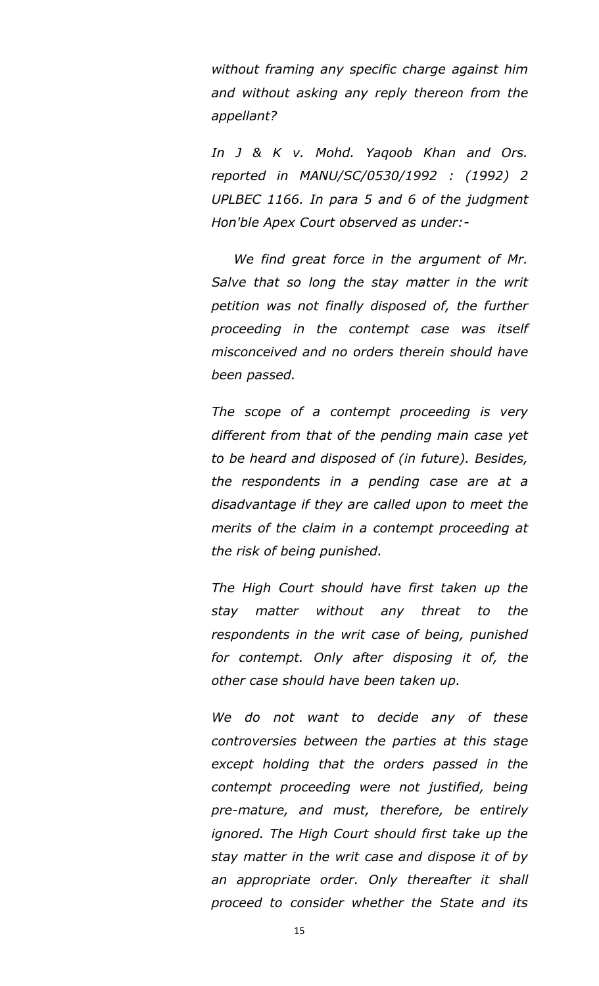*without framing any specific charge against him and without asking any reply thereon from the appellant?*

*In J & K v. Mohd. Yaqoob Khan and Ors. reported in MANU/SC/0530/1992 : (1992) 2 UPLBEC 1166. In para 5 and 6 of the judgment Hon'ble Apex Court observed as under:-*

 *We find great force in the argument of Mr. Salve that so long the stay matter in the writ petition was not finally disposed of, the further proceeding in the contempt case was itself misconceived and no orders therein should have been passed.*

*The scope of a contempt proceeding is very different from that of the pending main case yet to be heard and disposed of (in future). Besides, the respondents in a pending case are at a disadvantage if they are called upon to meet the merits of the claim in a contempt proceeding at the risk of being punished.*

*The High Court should have first taken up the stay matter without any threat to the respondents in the writ case of being, punished for contempt. Only after disposing it of, the other case should have been taken up.*

*We do not want to decide any of these controversies between the parties at this stage except holding that the orders passed in the contempt proceeding were not justified, being pre-mature, and must, therefore, be entirely ignored. The High Court should first take up the stay matter in the writ case and dispose it of by an appropriate order. Only thereafter it shall proceed to consider whether the State and its*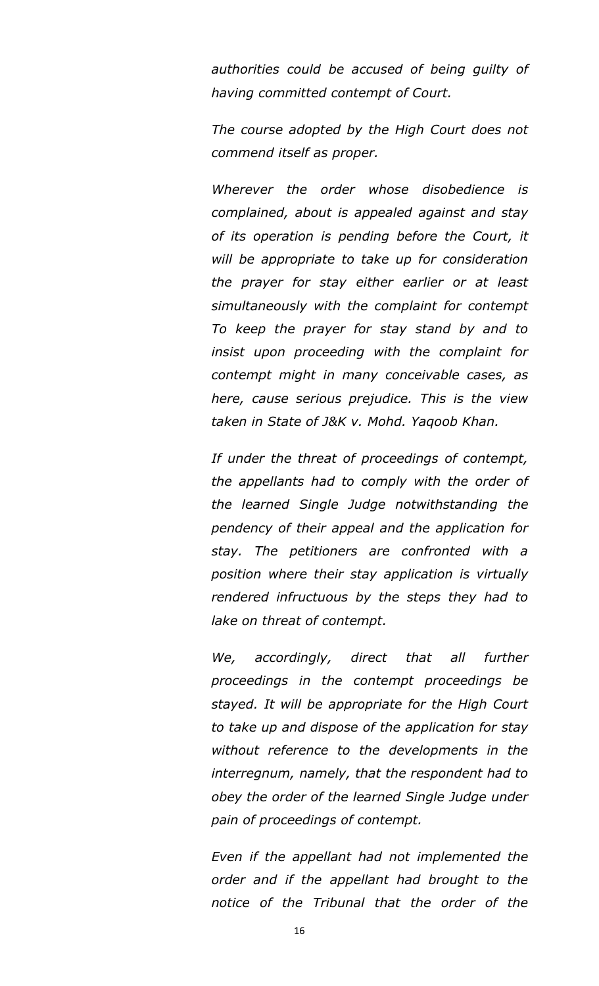*authorities could be accused of being guilty of having committed contempt of Court.*

*The course adopted by the High Court does not commend itself as proper.*

*Wherever the order whose disobedience is complained, about is appealed against and stay of its operation is pending before the Court, it will be appropriate to take up for consideration the prayer for stay either earlier or at least simultaneously with the complaint for contempt To keep the prayer for stay stand by and to insist upon proceeding with the complaint for contempt might in many conceivable cases, as here, cause serious prejudice. This is the view taken in State of J&K v. Mohd. Yaqoob Khan.*

*If under the threat of proceedings of contempt, the appellants had to comply with the order of the learned Single Judge notwithstanding the pendency of their appeal and the application for stay. The petitioners are confronted with a position where their stay application is virtually rendered infructuous by the steps they had to lake on threat of contempt.*

*We, accordingly, direct that all further proceedings in the contempt proceedings be stayed. It will be appropriate for the High Court to take up and dispose of the application for stay without reference to the developments in the interregnum, namely, that the respondent had to obey the order of the learned Single Judge under pain of proceedings of contempt.*

*Even if the appellant had not implemented the order and if the appellant had brought to the notice of the Tribunal that the order of the*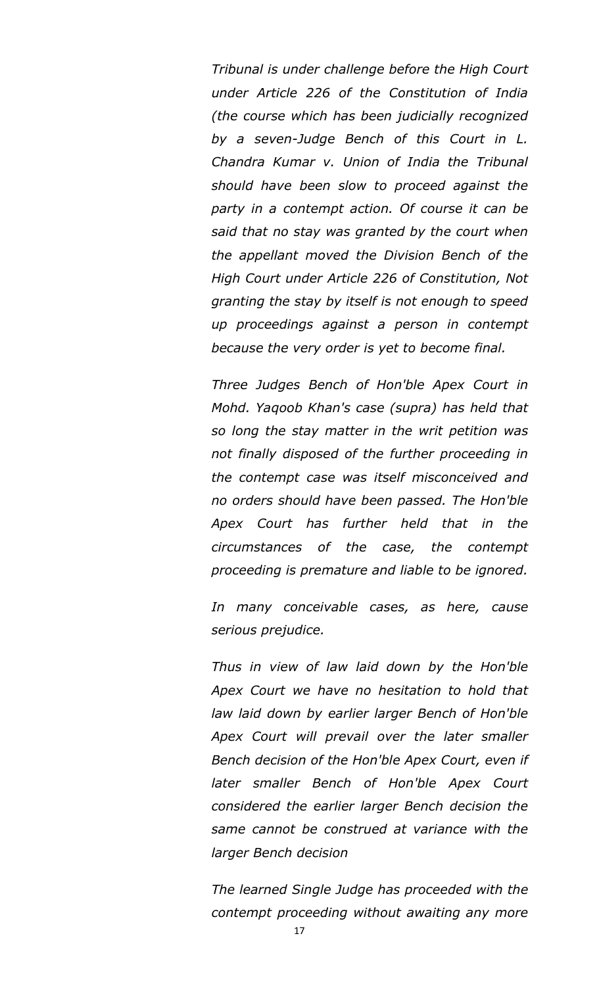*Tribunal is under challenge before the High Court under Article 226 of the Constitution of India (the course which has been judicially recognized by a seven-Judge Bench of this Court in L. Chandra Kumar v. Union of India the Tribunal should have been slow to proceed against the party in a contempt action. Of course it can be said that no stay was granted by the court when the appellant moved the Division Bench of the High Court under Article 226 of Constitution, Not granting the stay by itself is not enough to speed up proceedings against a person in contempt because the very order is yet to become final.*

*Three Judges Bench of Hon'ble Apex Court in Mohd. Yaqoob Khan's case (supra) has held that so long the stay matter in the writ petition was not finally disposed of the further proceeding in the contempt case was itself misconceived and no orders should have been passed. The Hon'ble Apex Court has further held that in the circumstances of the case, the contempt proceeding is premature and liable to be ignored.*

*In many conceivable cases, as here, cause serious prejudice.*

*Thus in view of law laid down by the Hon'ble Apex Court we have no hesitation to hold that law laid down by earlier larger Bench of Hon'ble Apex Court will prevail over the later smaller Bench decision of the Hon'ble Apex Court, even if later smaller Bench of Hon'ble Apex Court considered the earlier larger Bench decision the same cannot be construed at variance with the larger Bench decision*

*The learned Single Judge has proceeded with the contempt proceeding without awaiting any more*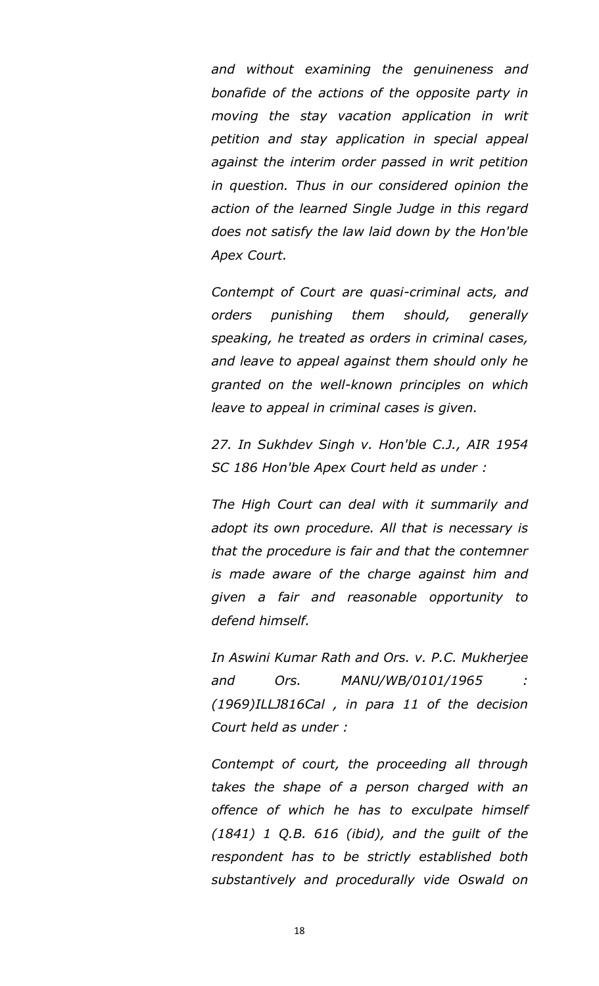*and without examining the genuineness and bonafide of the actions of the opposite party in moving the stay vacation application in writ petition and stay application in special appeal against the interim order passed in writ petition in question. Thus in our considered opinion the action of the learned Single Judge in this regard does not satisfy the law laid down by the Hon'ble Apex Court.*

*Contempt of Court are quasi-criminal acts, and orders punishing them should, generally speaking, he treated as orders in criminal cases, and leave to appeal against them should only he granted on the well-known principles on which leave to appeal in criminal cases is given.*

*27. In Sukhdev Singh v. Hon'ble C.J., AIR 1954 SC 186 Hon'ble Apex Court held as under :*

*The High Court can deal with it summarily and adopt its own procedure. All that is necessary is that the procedure is fair and that the contemner is made aware of the charge against him and given a fair and reasonable opportunity to defend himself.*

*In Aswini Kumar Rath and Ors. v. P.C. Mukherjee and Ors. MANU/WB/0101/1965 : (1969)ILLJ816Cal , in para 11 of the decision Court held as under :*

*Contempt of court, the proceeding all through takes the shape of a person charged with an offence of which he has to exculpate himself (1841) 1 Q.B. 616 (ibid), and the guilt of the respondent has to be strictly established both substantively and procedurally vide Oswald on*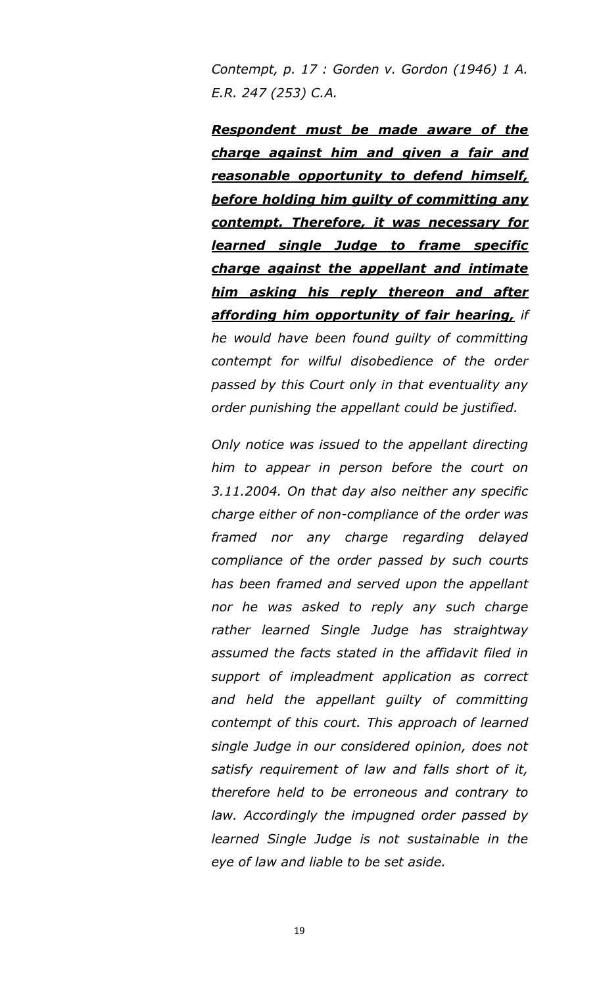*Contempt, p. 17 : Gorden v. Gordon (1946) 1 A. E.R. 247 (253) C.A.*

*Respondent must be made aware of the charge against him and given a fair and reasonable opportunity to defend himself, before holding him guilty of committing any contempt. Therefore, it was necessary for learned single Judge to frame specific charge against the appellant and intimate him asking his reply thereon and after affording him opportunity of fair hearing, if he would have been found guilty of committing contempt for wilful disobedience of the order passed by this Court only in that eventuality any order punishing the appellant could be justified.*

*Only notice was issued to the appellant directing him to appear in person before the court on 3.11.2004. On that day also neither any specific charge either of non-compliance of the order was framed nor any charge regarding delayed compliance of the order passed by such courts has been framed and served upon the appellant nor he was asked to reply any such charge rather learned Single Judge has straightway assumed the facts stated in the affidavit filed in support of impleadment application as correct and held the appellant guilty of committing contempt of this court. This approach of learned single Judge in our considered opinion, does not satisfy requirement of law and falls short of it, therefore held to be erroneous and contrary to law. Accordingly the impugned order passed by learned Single Judge is not sustainable in the eye of law and liable to be set aside.*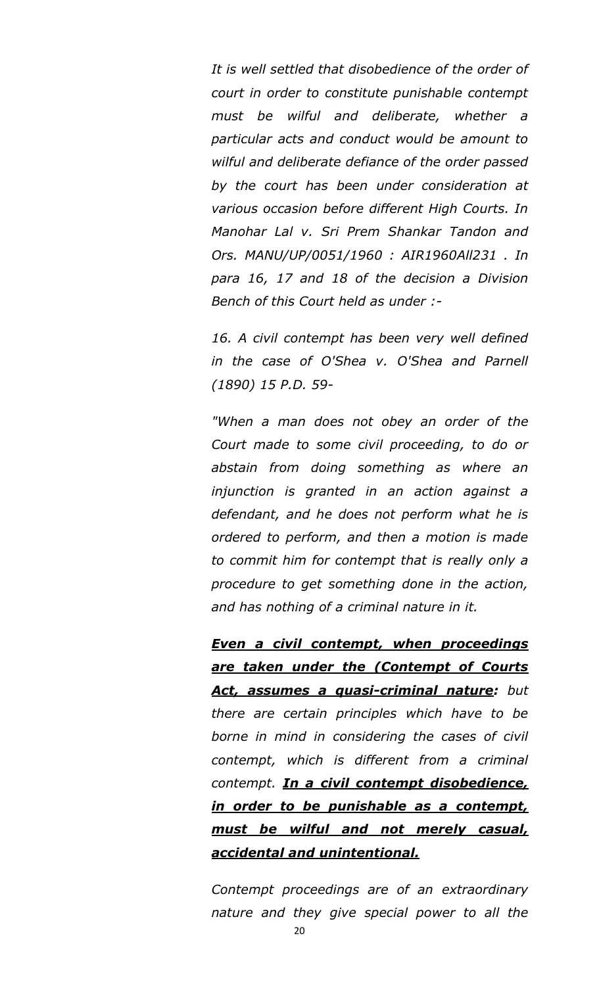*It is well settled that disobedience of the order of court in order to constitute punishable contempt must be wilful and deliberate, whether a particular acts and conduct would be amount to wilful and deliberate defiance of the order passed by the court has been under consideration at various occasion before different High Courts. In Manohar Lal v. Sri Prem Shankar Tandon and Ors. MANU/UP/0051/1960 : AIR1960All231 . In para 16, 17 and 18 of the decision a Division Bench of this Court held as under :-*

*16. A civil contempt has been very well defined in the case of O'Shea v. O'Shea and Parnell (1890) 15 P.D. 59-*

*"When a man does not obey an order of the Court made to some civil proceeding, to do or abstain from doing something as where an injunction is granted in an action against a defendant, and he does not perform what he is ordered to perform, and then a motion is made to commit him for contempt that is really only a procedure to get something done in the action, and has nothing of a criminal nature in it.* 

*Even a civil contempt, when proceedings are taken under the (Contempt of Courts Act, assumes a quasi-criminal nature: but there are certain principles which have to be borne in mind in considering the cases of civil contempt, which is different from a criminal contempt. In a civil contempt disobedience, in order to be punishable as a contempt, must be wilful and not merely casual, accidental and unintentional.*

*Contempt proceedings are of an extraordinary nature and they give special power to all the*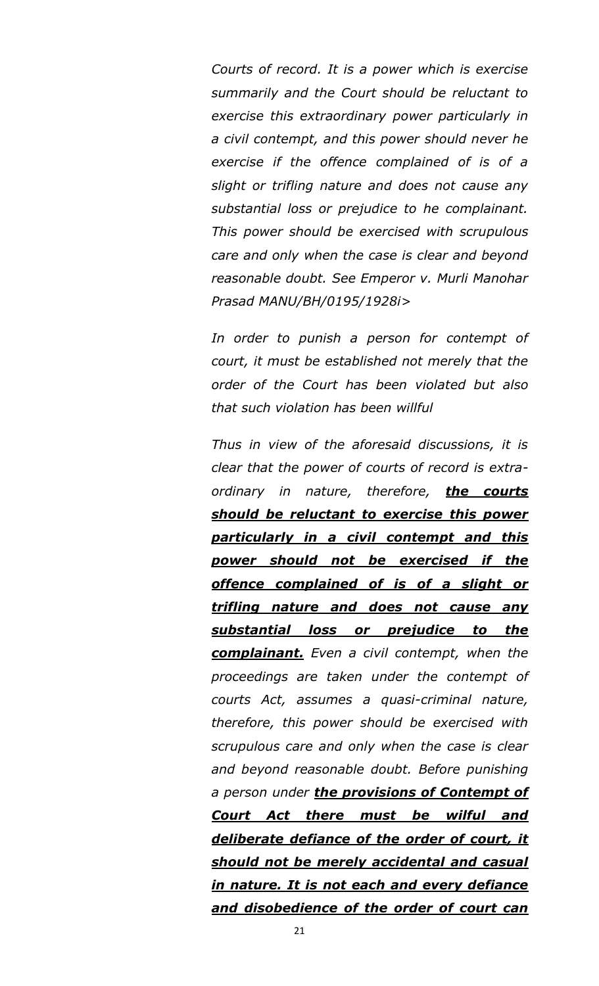*Courts of record. It is a power which is exercise summarily and the Court should be reluctant to exercise this extraordinary power particularly in a civil contempt, and this power should never he exercise if the offence complained of is of a slight or trifling nature and does not cause any substantial loss or prejudice to he complainant. This power should be exercised with scrupulous care and only when the case is clear and beyond reasonable doubt. See Emperor v. Murli Manohar Prasad MANU/BH/0195/1928i>*

*In order to punish a person for contempt of court, it must be established not merely that the order of the Court has been violated but also that such violation has been willful*

*Thus in view of the aforesaid discussions, it is clear that the power of courts of record is extraordinary in nature, therefore, the courts should be reluctant to exercise this power particularly in a civil contempt and this power should not be exercised if the offence complained of is of a slight or trifling nature and does not cause any substantial loss or prejudice to the complainant. Even a civil contempt, when the proceedings are taken under the contempt of courts Act, assumes a quasi-criminal nature, therefore, this power should be exercised with scrupulous care and only when the case is clear and beyond reasonable doubt. Before punishing a person under the provisions of Contempt of Court Act there must be wilful and deliberate defiance of the order of court, it should not be merely accidental and casual in nature. It is not each and every defiance and disobedience of the order of court can*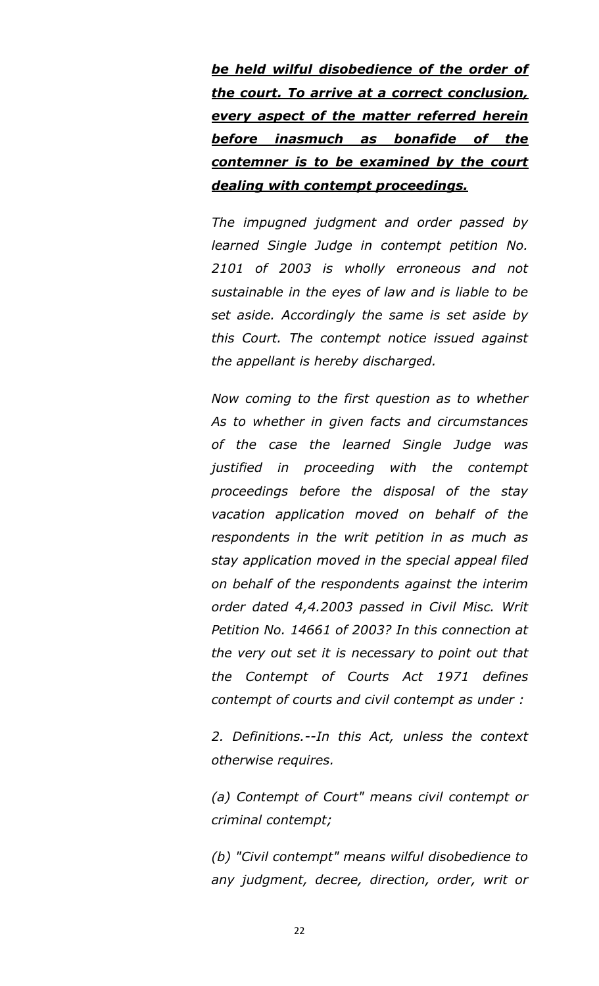*be held wilful disobedience of the order of the court. To arrive at a correct conclusion, every aspect of the matter referred herein before inasmuch as bonafide of the contemner is to be examined by the court dealing with contempt proceedings.*

*The impugned judgment and order passed by learned Single Judge in contempt petition No. 2101 of 2003 is wholly erroneous and not sustainable in the eyes of law and is liable to be set aside. Accordingly the same is set aside by this Court. The contempt notice issued against the appellant is hereby discharged.*

*Now coming to the first question as to whether As to whether in given facts and circumstances of the case the learned Single Judge was justified in proceeding with the contempt proceedings before the disposal of the stay vacation application moved on behalf of the respondents in the writ petition in as much as stay application moved in the special appeal filed on behalf of the respondents against the interim order dated 4,4.2003 passed in Civil Misc. Writ Petition No. 14661 of 2003? In this connection at the very out set it is necessary to point out that the Contempt of Courts Act 1971 defines contempt of courts and civil contempt as under :*

*2. Definitions.--In this Act, unless the context otherwise requires.*

*(a) Contempt of Court" means civil contempt or criminal contempt;*

*(b) "Civil contempt" means wilful disobedience to any judgment, decree, direction, order, writ or*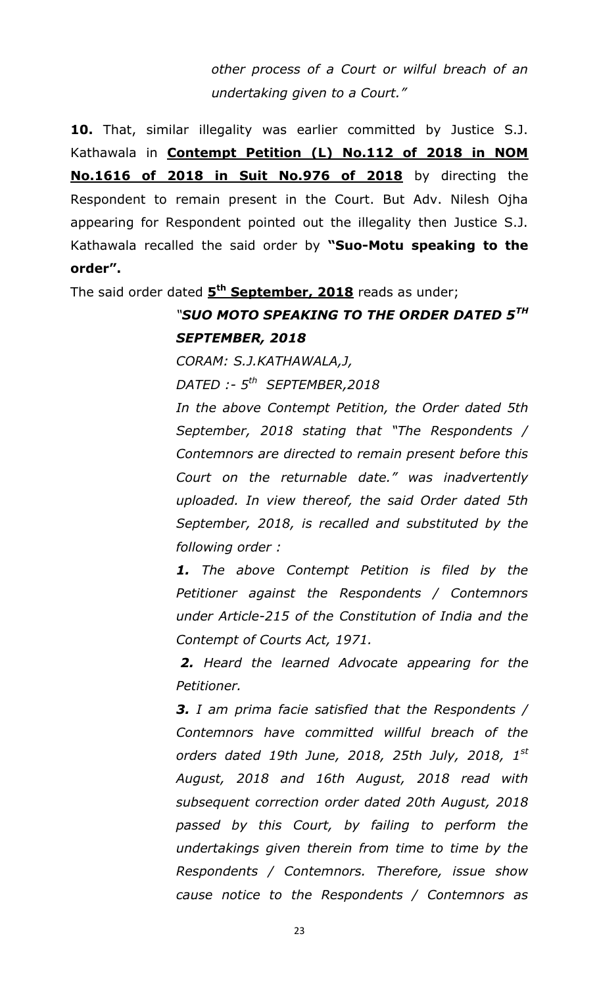*other process of a Court or wilful breach of an undertaking given to a Court."*

**10.** That, similar illegality was earlier committed by Justice S.J. Kathawala in **Contempt Petition (L) No.112 of 2018 in NOM No.1616 of 2018 in Suit No.976 of 2018** by directing the Respondent to remain present in the Court. But Adv. Nilesh Ojha appearing for Respondent pointed out the illegality then Justice S.J. Kathawala recalled the said order by **"Suo-Motu speaking to the order".** 

The said order dated  $5<sup>th</sup>$  **September, 2018** reads as under;

#### *"SUO MOTO SPEAKING TO THE ORDER DATED 5TH SEPTEMBER, 2018*

*CORAM: S.J.KATHAWALA,J,*

*DATED :- 5 th SEPTEMBER,2018*

*In the above Contempt Petition, the Order dated 5th September, 2018 stating that "The Respondents / Contemnors are directed to remain present before this Court on the returnable date." was inadvertently uploaded. In view thereof, the said Order dated 5th September, 2018, is recalled and substituted by the following order :* 

*1. The above Contempt Petition is filed by the Petitioner against the Respondents / Contemnors under Article-215 of the Constitution of India and the Contempt of Courts Act, 1971.*

*2. Heard the learned Advocate appearing for the Petitioner.* 

*3. I am prima facie satisfied that the Respondents / Contemnors have committed willful breach of the orders dated 19th June, 2018, 25th July, 2018, 1st August, 2018 and 16th August, 2018 read with subsequent correction order dated 20th August, 2018 passed by this Court, by failing to perform the undertakings given therein from time to time by the Respondents / Contemnors. Therefore, issue show cause notice to the Respondents / Contemnors as*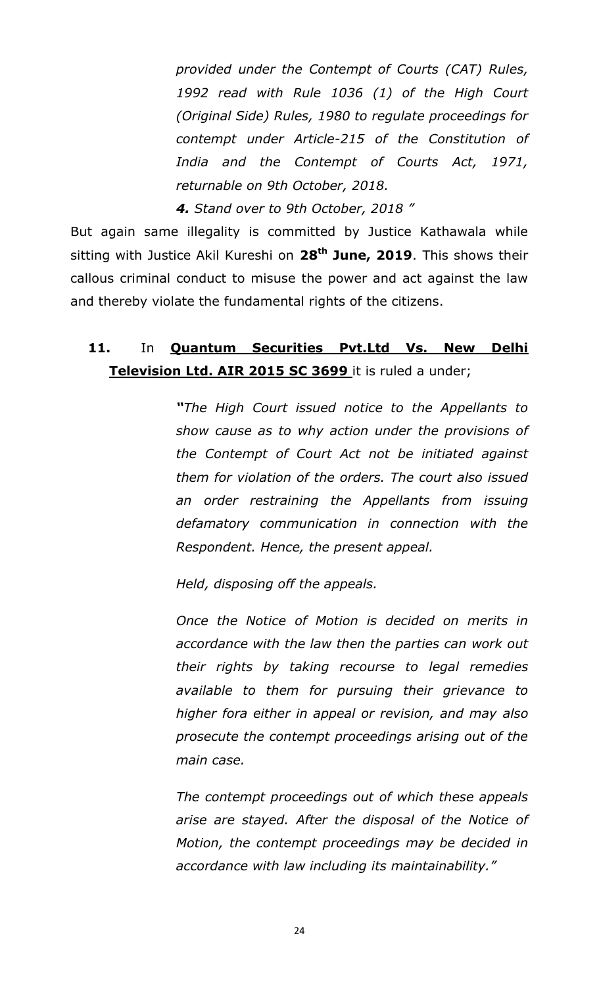*provided under the Contempt of Courts (CAT) Rules, 1992 read with Rule 1036 (1) of the High Court (Original Side) Rules, 1980 to regulate proceedings for contempt under Article-215 of the Constitution of India and the Contempt of Courts Act, 1971, returnable on 9th October, 2018.* 

*4. Stand over to 9th October, 2018 "*

But again same illegality is committed by Justice Kathawala while sitting with Justice Akil Kureshi on **28th June, 2019**. This shows their callous criminal conduct to misuse the power and act against the law and thereby violate the fundamental rights of the citizens.

#### 11. In **Quantum Securities Pvt.Ltd Vs. New Delhi Television Ltd. AIR 2015 SC 3699** it is ruled a under;

*―The High Court issued notice to the Appellants to show cause as to why action under the provisions of the Contempt of Court Act not be initiated against them for violation of the orders. The court also issued an order restraining the Appellants from issuing defamatory communication in connection with the Respondent. Hence, the present appeal.*

*Held, disposing off the appeals.*

*Once the Notice of Motion is decided on merits in accordance with the law then the parties can work out their rights by taking recourse to legal remedies available to them for pursuing their grievance to higher fora either in appeal or revision, and may also prosecute the contempt proceedings arising out of the main case.*

*The contempt proceedings out of which these appeals arise are stayed. After the disposal of the Notice of Motion, the contempt proceedings may be decided in accordance with law including its maintainability."*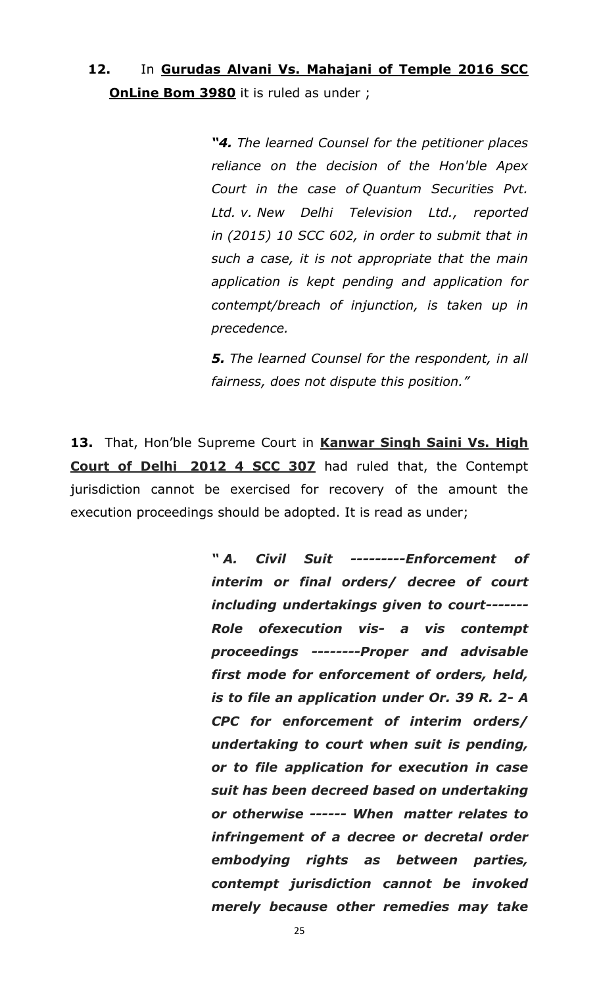#### **12.** In **Gurudas Alvani Vs. Mahajani of Temple 2016 SCC OnLine Bom 3980** it is ruled as under ;

*―4. The learned Counsel for the petitioner places reliance on the decision of the Hon'ble Apex Court in the case of Quantum Securities Pvt. Ltd. v. New Delhi Television Ltd., reported in (2015) 10 SCC 602, in order to submit that in such a case, it is not appropriate that the main application is kept pending and application for contempt/breach of injunction, is taken up in precedence.*

*5. The learned Counsel for the respondent, in all fairness, does not dispute this position."*

13. That, Hon'ble Supreme Court in Kanwar Singh Saini Vs. High **Court of Delhi 2012 4 SCC 307** had ruled that, the Contempt jurisdiction cannot be exercised for recovery of the amount the execution proceedings should be adopted. It is read as under;

> *― A. Civil Suit ---------Enforcement of interim or final orders/ decree of court including undertakings given to court------- Role ofexecution vis- a vis contempt proceedings --------Proper and advisable first mode for enforcement of orders, held, is to file an application under Or. 39 R. 2- A CPC for enforcement of interim orders/ undertaking to court when suit is pending, or to file application for execution in case suit has been decreed based on undertaking or otherwise ------ When matter relates to infringement of a decree or decretal order embodying rights as between parties, contempt jurisdiction cannot be invoked merely because other remedies may take*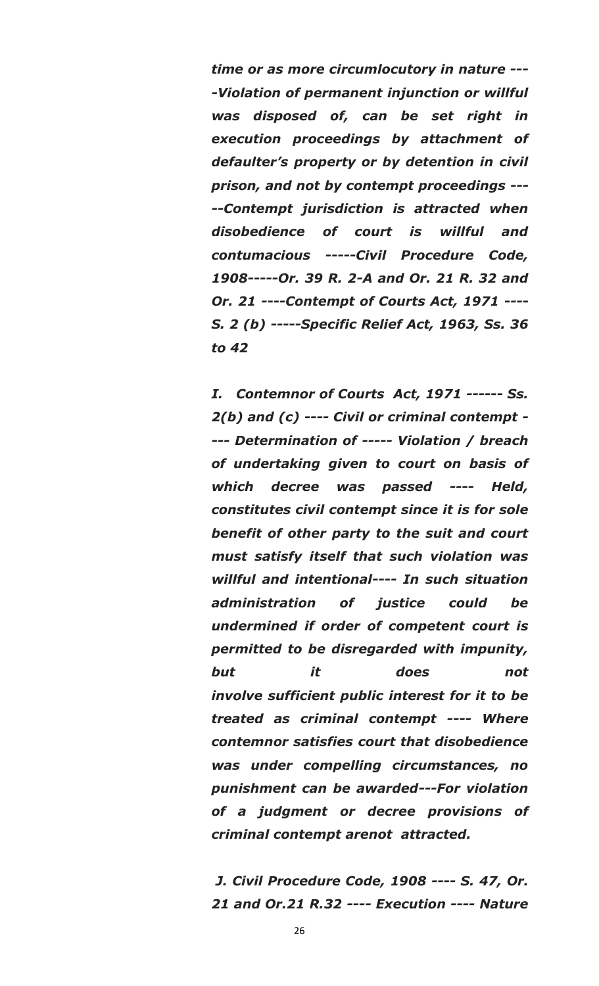*time or as more circumlocutory in nature --- -Violation of permanent injunction or willful was disposed of, can be set right in execution proceedings by attachment of defaulter's property or by detention in civil prison, and not by contempt proceedings --- --Contempt jurisdiction is attracted when disobedience of court is willful and contumacious -----Civil Procedure Code, 1908-----Or. 39 R. 2-A and Or. 21 R. 32 and Or. 21 ----Contempt of Courts Act, 1971 ---- S. 2 (b) -----Specific Relief Act, 1963, Ss. 36 to 42*

*I. Contemnor of Courts Act, 1971 ------ Ss. 2(b) and (c) ---- Civil or criminal contempt - --- Determination of ----- Violation / breach of undertaking given to court on basis of which decree was passed ---- Held, constitutes civil contempt since it is for sole benefit of other party to the suit and court must satisfy itself that such violation was willful and intentional---- In such situation administration of justice could be undermined if order of competent court is permitted to be disregarded with impunity, but it does not involve sufficient public interest for it to be treated as criminal contempt ---- Where contemnor satisfies court that disobedience was under compelling circumstances, no punishment can be awarded---For violation of a judgment or decree provisions of criminal contempt arenot attracted.*

*J. Civil Procedure Code, 1908 ---- S. 47, Or. 21 and Or.21 R.32 ---- Execution ---- Nature*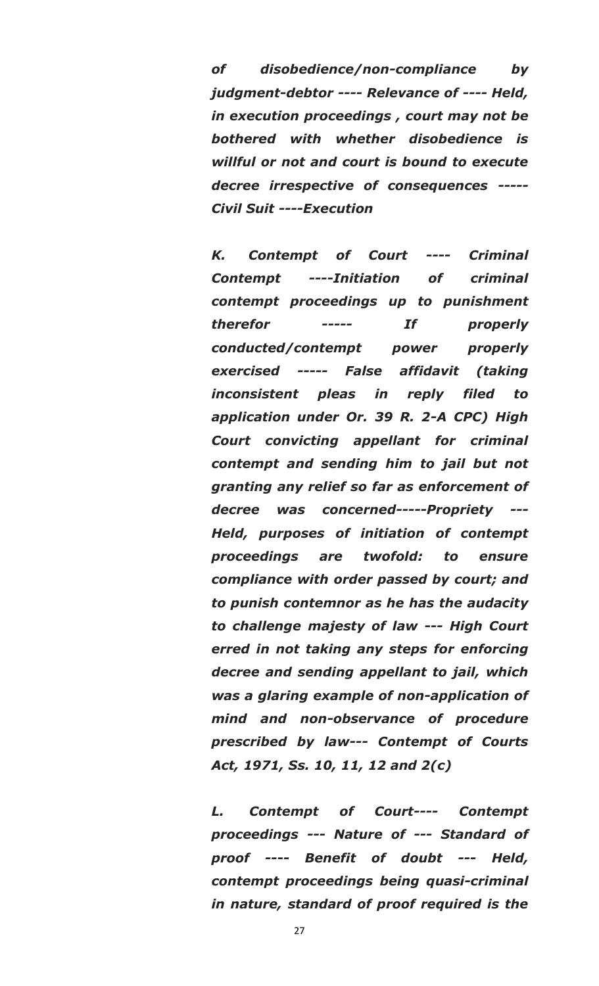*of disobedience/non-compliance by judgment-debtor ---- Relevance of ---- Held, in execution proceedings , court may not be bothered with whether disobedience is willful or not and court is bound to execute decree irrespective of consequences ----- Civil Suit ----Execution*

*K. Contempt of Court ---- Criminal Contempt ----Initiation of criminal contempt proceedings up to punishment therefor ----- If properly conducted/contempt power properly exercised ----- False affidavit (taking inconsistent pleas in reply filed to application under Or. 39 R. 2-A CPC) High Court convicting appellant for criminal contempt and sending him to jail but not granting any relief so far as enforcement of decree was concerned-----Propriety --- Held, purposes of initiation of contempt proceedings are twofold: to ensure compliance with order passed by court; and to punish contemnor as he has the audacity to challenge majesty of law --- High Court erred in not taking any steps for enforcing decree and sending appellant to jail, which was a glaring example of non-application of mind and non-observance of procedure prescribed by law--- Contempt of Courts Act, 1971, Ss. 10, 11, 12 and 2(c)* 

*L. Contempt of Court---- Contempt proceedings --- Nature of --- Standard of proof ---- Benefit of doubt --- Held, contempt proceedings being quasi-criminal in nature, standard of proof required is the*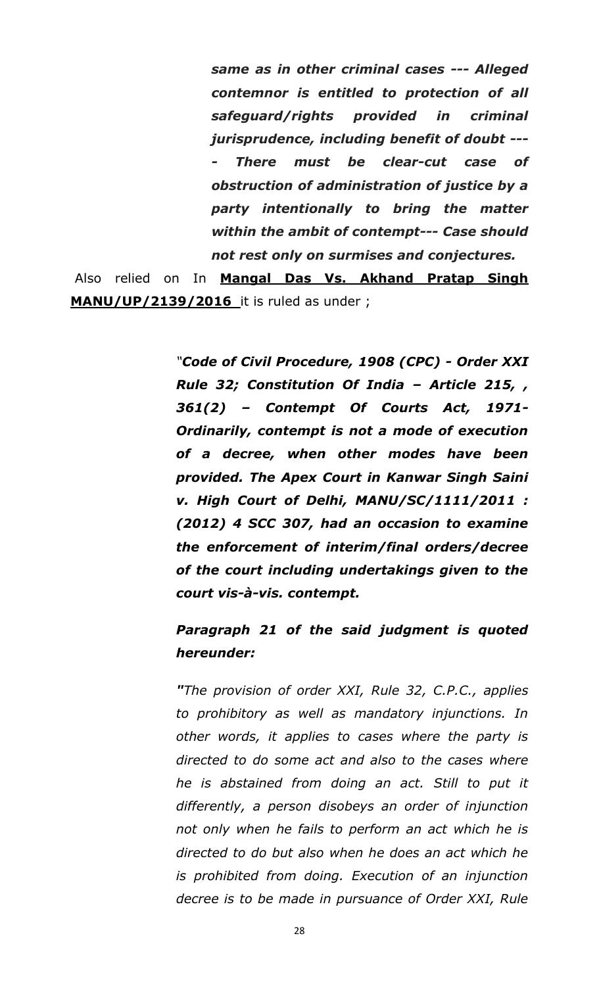*same as in other criminal cases --- Alleged contemnor is entitled to protection of all safeguard/rights provided in criminal jurisprudence, including benefit of doubt --- - There must be clear-cut case of obstruction of administration of justice by a party intentionally to bring the matter within the ambit of contempt--- Case should not rest only on surmises and conjectures.*

Also relied on In **Mangal Das Vs. Akhand Pratap Singh MANU/UP/2139/2016** it is ruled as under ;

> *"Code of Civil Procedure, 1908 (CPC) - Order XXI Rule 32; Constitution Of India – Article 215, , 361(2) – Contempt Of Courts Act, 1971- Ordinarily, contempt is not a mode of execution of a decree, when other modes have been provided. The Apex Court in Kanwar Singh Saini v. High Court of Delhi, MANU/SC/1111/2011 : (2012) 4 SCC 307, had an occasion to examine the enforcement of interim/final orders/decree of the court including undertakings given to the court vis-à-vis. contempt.*

#### *Paragraph 21 of the said judgment is quoted hereunder:*

*"The provision of order XXI, Rule 32, C.P.C., applies to prohibitory as well as mandatory injunctions. In other words, it applies to cases where the party is directed to do some act and also to the cases where he is abstained from doing an act. Still to put it differently, a person disobeys an order of injunction not only when he fails to perform an act which he is directed to do but also when he does an act which he is prohibited from doing. Execution of an injunction decree is to be made in pursuance of Order XXI, Rule*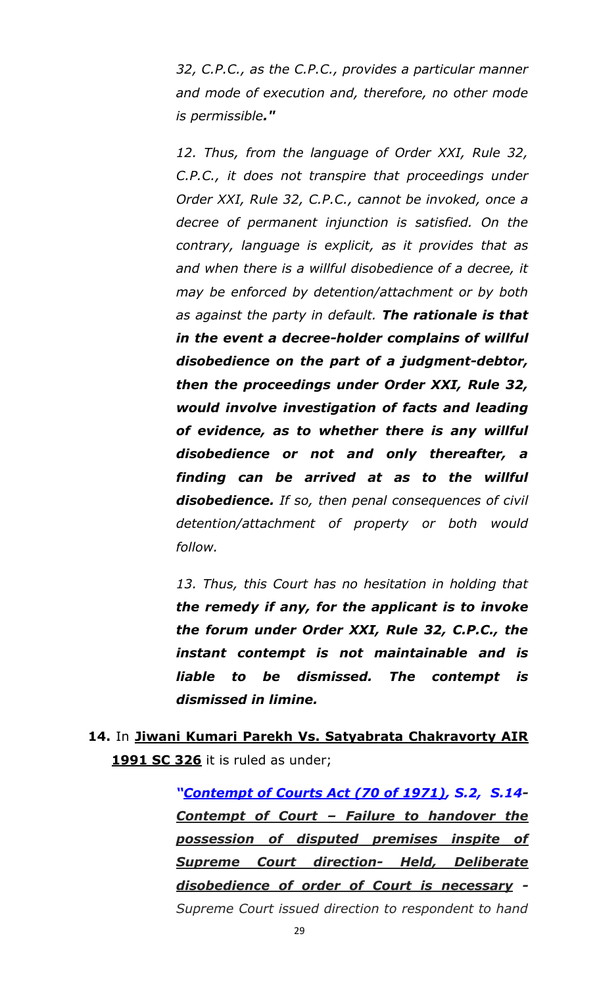*32, C.P.C., as the C.P.C., provides a particular manner and mode of execution and, therefore, no other mode is permissible."*

*12. Thus, from the language of Order XXI, Rule 32, C.P.C., it does not transpire that proceedings under Order XXI, Rule 32, C.P.C., cannot be invoked, once a decree of permanent injunction is satisfied. On the contrary, language is explicit, as it provides that as and when there is a willful disobedience of a decree, it may be enforced by detention/attachment or by both as against the party in default. The rationale is that in the event a decree-holder complains of willful disobedience on the part of a judgment-debtor, then the proceedings under Order XXI, Rule 32, would involve investigation of facts and leading of evidence, as to whether there is any willful disobedience or not and only thereafter, a finding can be arrived at as to the willful disobedience. If so, then penal consequences of civil detention/attachment of property or both would follow.*

*13. Thus, this Court has no hesitation in holding that the remedy if any, for the applicant is to invoke the forum under Order XXI, Rule 32, C.P.C., the instant contempt is not maintainable and is liable to be dismissed. The contempt is dismissed in limine.*

### **14.** In **Jiwani Kumari Parekh Vs. Satyabrata Chakravorty AIR 1991 SC 326** it is ruled as under;

*―[Contempt of Courts Act \(70 of 1971\),](https://mail.google.com/mail/u/0/#m_619670403134702232_Contempt+of+Courts+Act+(70+of+1971)) S.2, S.14- Contempt of Court – Failure to handover the possession of disputed premises inspite of Supreme Court direction- Held, Deliberate disobedience of order of Court is necessary - Supreme Court issued direction to respondent to hand*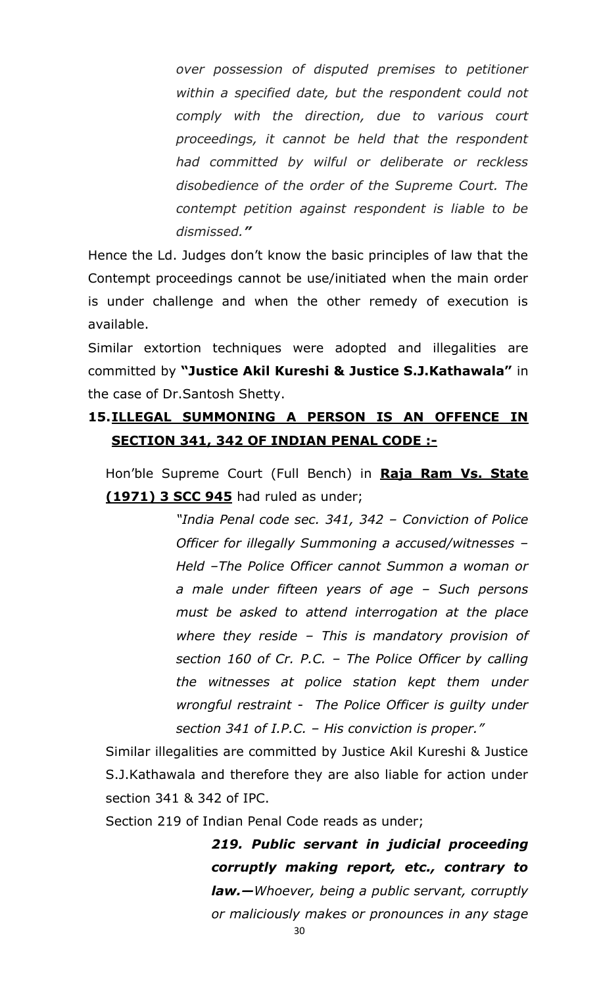*over possession of disputed premises to petitioner within a specified date, but the respondent could not comply with the direction, due to various court proceedings, it cannot be held that the respondent had committed by wilful or deliberate or reckless disobedience of the order of the Supreme Court. The contempt petition against respondent is liable to be dismissed.‖*

Hence the Ld. Judges don"t know the basic principles of law that the Contempt proceedings cannot be use/initiated when the main order is under challenge and when the other remedy of execution is available.

Similar extortion techniques were adopted and illegalities are committed by **"Justice Akil Kureshi & Justice S.J.Kathawala"** in the case of Dr.Santosh Shetty.

### **15.ILLEGAL SUMMONING A PERSON IS AN OFFENCE IN SECTION 341, 342 OF INDIAN PENAL CODE :-**

Hon"ble Supreme Court (Full Bench) in **Raja Ram Vs. State (1971) 3 SCC 945** had ruled as under;

> *"India Penal code sec. 341, 342 – Conviction of Police Officer for illegally Summoning a accused/witnesses – Held –The Police Officer cannot Summon a woman or a male under fifteen years of age – Such persons must be asked to attend interrogation at the place where they reside – This is mandatory provision of section 160 of Cr. P.C. – The Police Officer by calling the witnesses at police station kept them under wrongful restraint - The Police Officer is guilty under section 341 of I.P.C. – His conviction is proper."*

Similar illegalities are committed by Justice Akil Kureshi & Justice S.J.Kathawala and therefore they are also liable for action under section 341 & 342 of IPC.

Section 219 of Indian Penal Code reads as under;

*219. Public servant in judicial proceeding corruptly making report, etc., contrary to law.—Whoever, being a public servant, corruptly or maliciously makes or pronounces in any stage*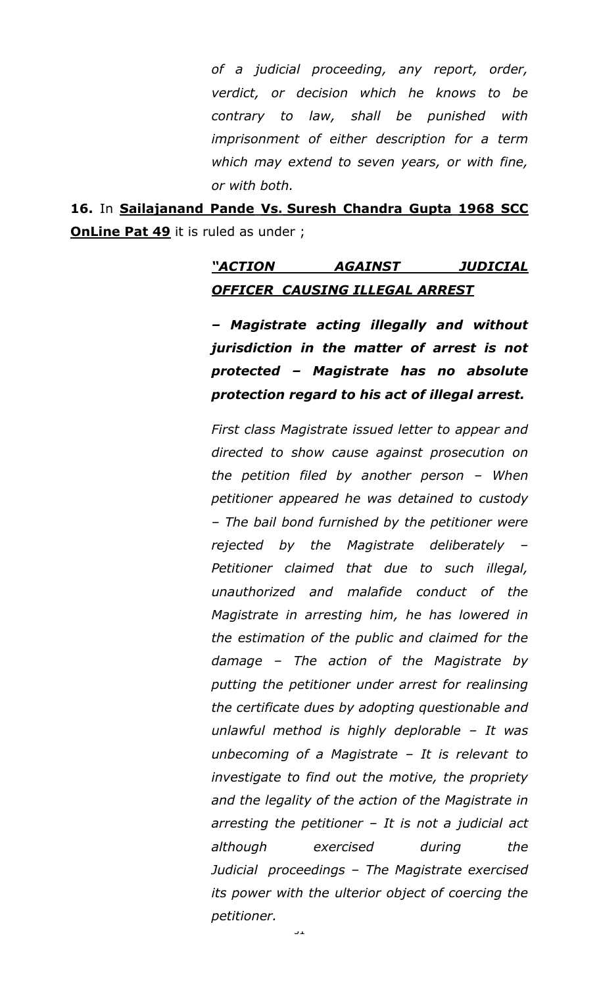*of a judicial proceeding, any report, order, verdict, or decision which he knows to be contrary to law, shall be punished with imprisonment of either description for a term which may extend to seven years, or with fine, or with both.*

**16.** In **Sailajanand Pande Vs. Suresh Chandra Gupta 1968 SCC OnLine Pat 49** it is ruled as under ;

## *―ACTION AGAINST JUDICIAL OFFICER CAUSING ILLEGAL ARREST*

*– Magistrate acting illegally and without jurisdiction in the matter of arrest is not protected – Magistrate has no absolute protection regard to his act of illegal arrest.*

*First class Magistrate issued letter to appear and directed to show cause against prosecution on the petition filed by another person – When petitioner appeared he was detained to custody – The bail bond furnished by the petitioner were rejected by the Magistrate deliberately – Petitioner claimed that due to such illegal, unauthorized and malafide conduct of the Magistrate in arresting him, he has lowered in the estimation of the public and claimed for the damage – The action of the Magistrate by putting the petitioner under arrest for realinsing the certificate dues by adopting questionable and unlawful method is highly deplorable – It was unbecoming of a Magistrate – It is relevant to investigate to find out the motive, the propriety and the legality of the action of the Magistrate in arresting the petitioner – It is not a judicial act although exercised during the Judicial proceedings – The Magistrate exercised its power with the ulterior object of coercing the petitioner.*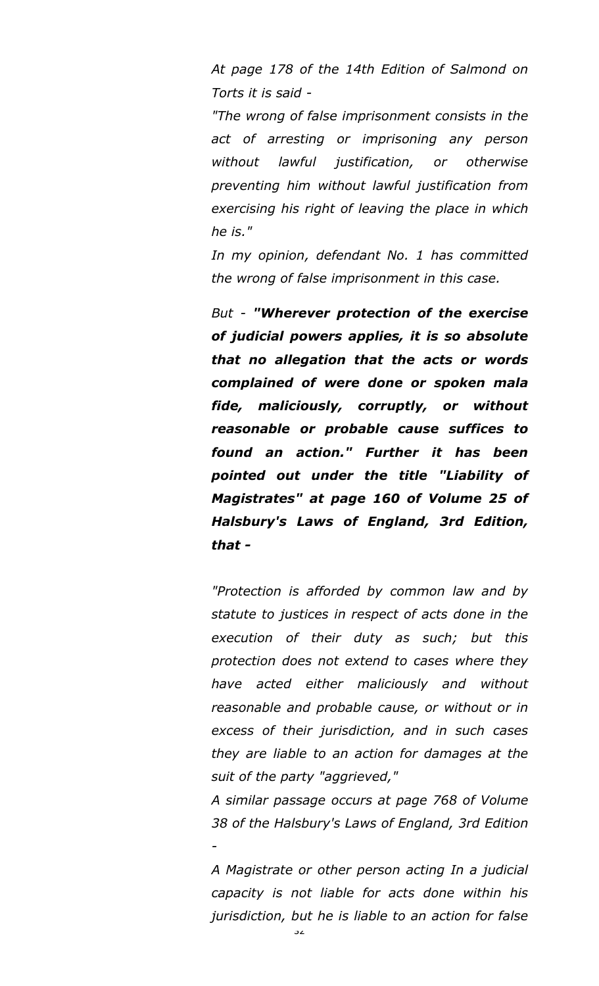*At page 178 of the 14th Edition of Salmond on Torts it is said -*

*"The wrong of false imprisonment consists in the act of arresting or imprisoning any person without lawful justification, or otherwise preventing him without lawful justification from exercising his right of leaving the place in which he is."*

*In my opinion, defendant No. 1 has committed the wrong of false imprisonment in this case.*

*But - "Wherever protection of the exercise of judicial powers applies, it is so absolute that no allegation that the acts or words complained of were done or spoken mala fide, maliciously, corruptly, or without reasonable or probable cause suffices to found an action." Further it has been pointed out under the title "Liability of Magistrates" at page 160 of Volume 25 of Halsbury's Laws of England, 3rd Edition, that -*

*"Protection is afforded by common law and by statute to justices in respect of acts done in the execution of their duty as such; but this protection does not extend to cases where they have acted either maliciously and without reasonable and probable cause, or without or in excess of their jurisdiction, and in such cases they are liable to an action for damages at the suit of the party "aggrieved,"*

*A similar passage occurs at page 768 of Volume 38 of the Halsbury's Laws of England, 3rd Edition -*

*A Magistrate or other person acting In a judicial capacity is not liable for acts done within his jurisdiction, but he is liable to an action for false*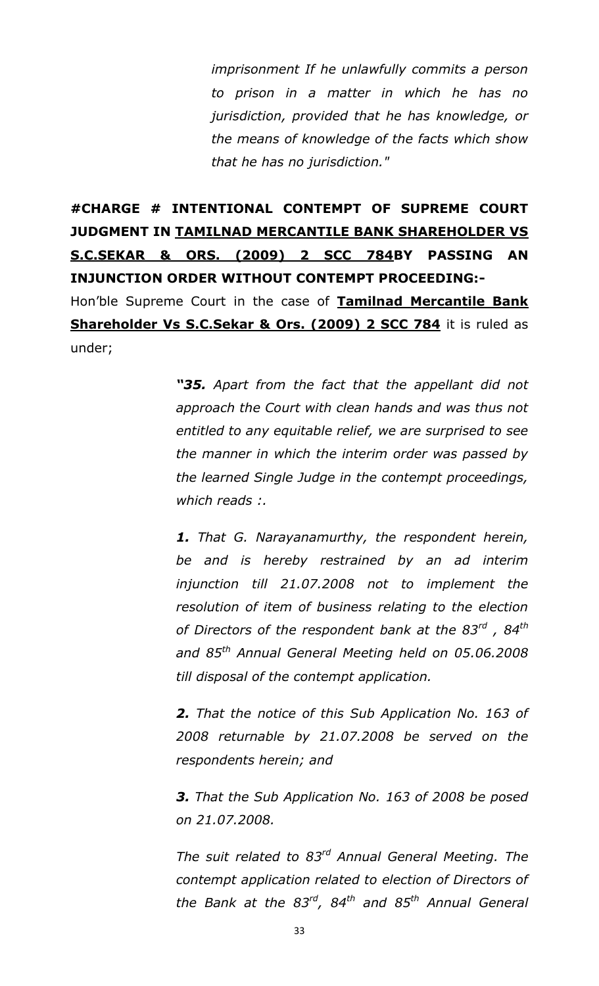*imprisonment If he unlawfully commits a person to prison in a matter in which he has no jurisdiction, provided that he has knowledge, or the means of knowledge of the facts which show that he has no jurisdiction."*

## **#CHARGE # INTENTIONAL CONTEMPT OF SUPREME COURT JUDGMENT IN TAMILNAD MERCANTILE BANK SHAREHOLDER VS S.C.SEKAR & ORS. (2009) 2 SCC 784BY PASSING AN INJUNCTION ORDER WITHOUT CONTEMPT PROCEEDING:-**

Hon"ble Supreme Court in the case of **Tamilnad Mercantile Bank Shareholder Vs S.C.Sekar & Ors. (2009) 2 SCC 784** it is ruled as under;

> *―35. Apart from the fact that the appellant did not approach the Court with clean hands and was thus not entitled to any equitable relief, we are surprised to see the manner in which the interim order was passed by the learned Single Judge in the contempt proceedings, which reads :.*

> *1. That G. Narayanamurthy, the respondent herein, be and is hereby restrained by an ad interim injunction till 21.07.2008 not to implement the resolution of item of business relating to the election of Directors of the respondent bank at the 83rd , 84th and 85th Annual General Meeting held on 05.06.2008 till disposal of the contempt application.*

> *2. That the notice of this Sub Application No. 163 of 2008 returnable by 21.07.2008 be served on the respondents herein; and*

> *3. That the Sub Application No. 163 of 2008 be posed on 21.07.2008.*

> *The suit related to 83rd Annual General Meeting. The contempt application related to election of Directors of the Bank at the 83rd, 84th and 85th Annual General*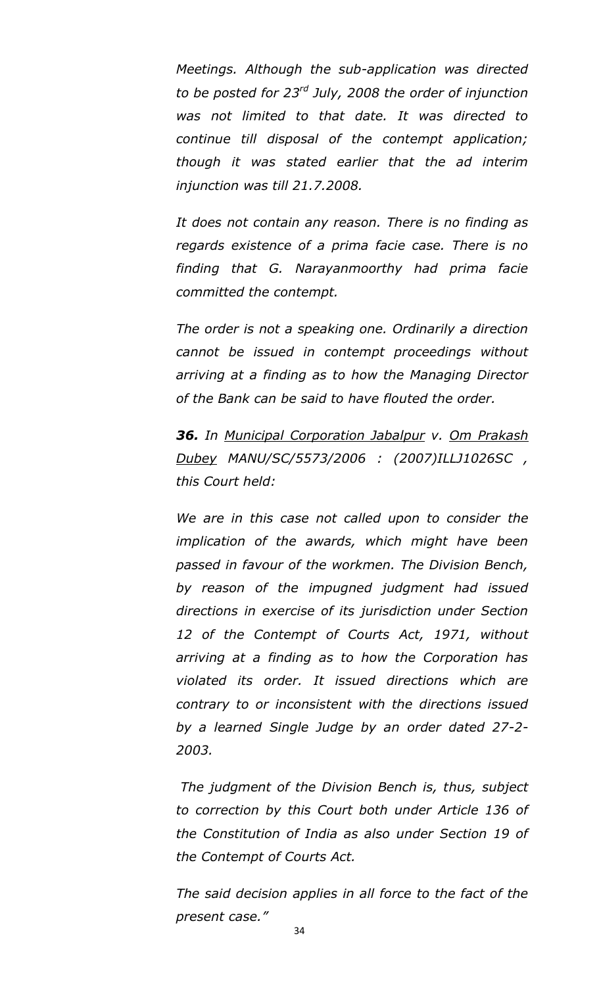*Meetings. Although the sub-application was directed to be posted for 23rd July, 2008 the order of injunction was not limited to that date. It was directed to continue till disposal of the contempt application; though it was stated earlier that the ad interim injunction was till 21.7.2008.*

*It does not contain any reason. There is no finding as regards existence of a prima facie case. There is no finding that G. Narayanmoorthy had prima facie committed the contempt.*

*The order is not a speaking one. Ordinarily a direction cannot be issued in contempt proceedings without arriving at a finding as to how the Managing Director of the Bank can be said to have flouted the order.*

*36. In Municipal Corporation Jabalpur v. Om Prakash Dubey MANU/SC/5573/2006 : (2007)ILLJ1026SC , this Court held:*

*We are in this case not called upon to consider the implication of the awards, which might have been passed in favour of the workmen. The Division Bench, by reason of the impugned judgment had issued directions in exercise of its jurisdiction under Section 12 of the Contempt of Courts Act, 1971, without arriving at a finding as to how the Corporation has violated its order. It issued directions which are contrary to or inconsistent with the directions issued by a learned Single Judge by an order dated 27-2- 2003.*

*The judgment of the Division Bench is, thus, subject to correction by this Court both under Article 136 of the Constitution of India as also under Section 19 of the Contempt of Courts Act.*

*The said decision applies in all force to the fact of the present case."*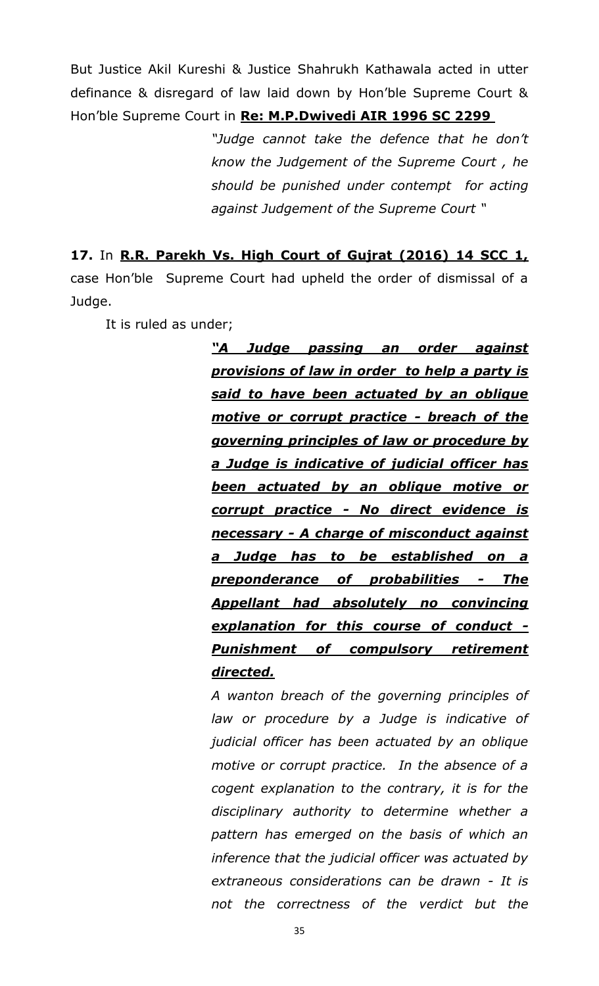But Justice Akil Kureshi & Justice Shahrukh Kathawala acted in utter definance & disregard of law laid down by Hon"ble Supreme Court & Hon"ble Supreme Court in **Re: M.P.Dwivedi AIR 1996 SC 2299**

> *"Judge cannot take the defence that he don"t know the Judgement of the Supreme Court , he should be punished under contempt for acting against Judgement of the Supreme Court "*

**17.** In **R.R. Parekh Vs. High Court of Gujrat (2016) 14 SCC 1,** case Hon"ble Supreme Court had upheld the order of dismissal of a Judge.

It is ruled as under;

*―A Judge passing an order against provisions of law in order to help a party is said to have been actuated by an oblique motive or corrupt practice - breach of the governing principles of law or procedure by a Judge is indicative of judicial officer has been actuated by an oblique motive or corrupt practice - No direct evidence is necessary - A charge of misconduct against a Judge has to be established on a preponderance of probabilities - The Appellant had absolutely no convincing explanation for this course of conduct - Punishment of compulsory retirement directed.*

*A wanton breach of the governing principles of law or procedure by a Judge is indicative of judicial officer has been actuated by an oblique motive or corrupt practice. In the absence of a cogent explanation to the contrary, it is for the disciplinary authority to determine whether a pattern has emerged on the basis of which an inference that the judicial officer was actuated by extraneous considerations can be drawn - It is not the correctness of the verdict but the*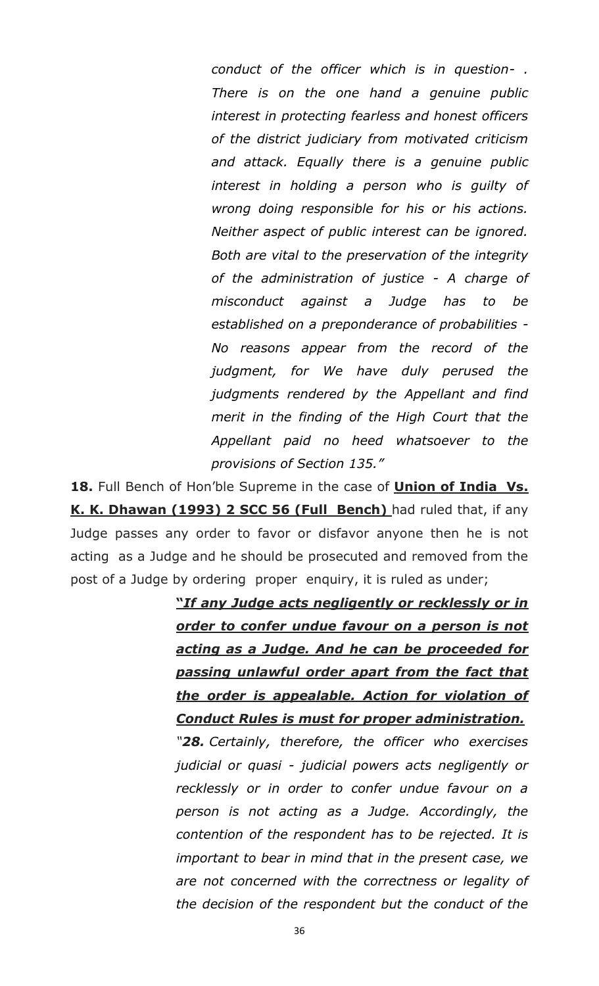*conduct of the officer which is in question- . There is on the one hand a genuine public interest in protecting fearless and honest officers of the district judiciary from motivated criticism and attack. Equally there is a genuine public interest in holding a person who is guilty of wrong doing responsible for his or his actions. Neither aspect of public interest can be ignored. Both are vital to the preservation of the integrity of the administration of justice - A charge of misconduct against a Judge has to be established on a preponderance of probabilities - No reasons appear from the record of the judgment, for We have duly perused the judgments rendered by the Appellant and find merit in the finding of the High Court that the Appellant paid no heed whatsoever to the provisions of Section 135."*

**18.** Full Bench of Hon"ble Supreme in the case of **Union of India Vs. K. K. Dhawan (1993) 2 SCC 56 (Full Bench)** had ruled that, if any Judge passes any order to favor or disfavor anyone then he is not acting as a Judge and he should be prosecuted and removed from the post of a Judge by ordering proper enquiry, it is ruled as under;

> **"***If any Judge acts negligently or recklessly or in order to confer undue favour on a person is not acting as a Judge. And he can be proceeded for passing unlawful order apart from the fact that the order is appealable. Action for violation of Conduct Rules is must for proper administration.*

> *"28. Certainly, therefore, the officer who exercises judicial or quasi - judicial powers acts negligently or recklessly or in order to confer undue favour on a person is not acting as a Judge. Accordingly, the contention of the respondent has to be rejected. It is important to bear in mind that in the present case, we are not concerned with the correctness or legality of the decision of the respondent but the conduct of the*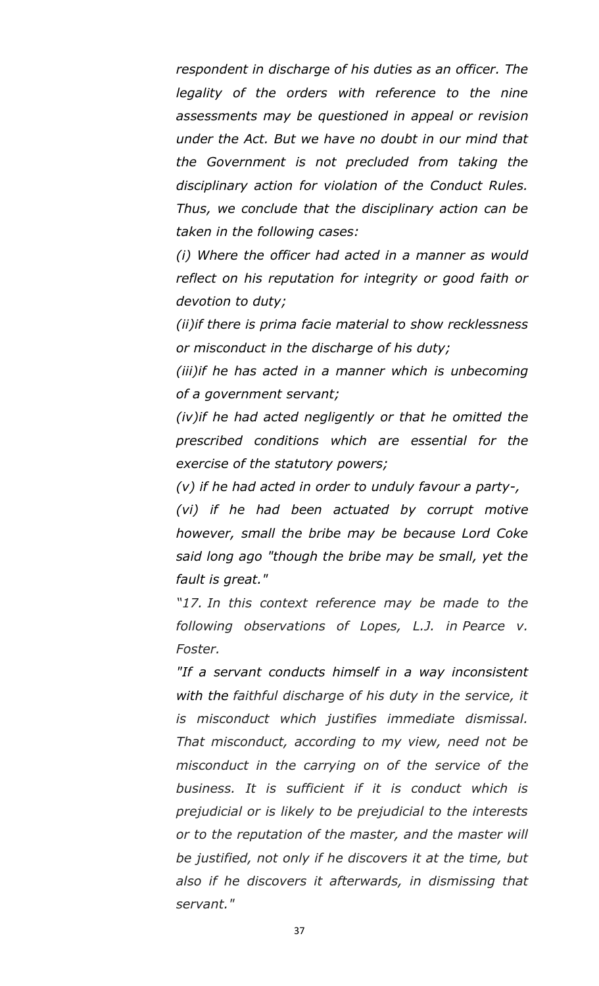*respondent in discharge of his duties as an officer. The legality of the orders with reference to the nine assessments may be questioned in appeal or revision under the Act. But we have no doubt in our mind that the Government is not precluded from taking the disciplinary action for violation of the Conduct Rules. Thus, we conclude that the disciplinary action can be taken in the following cases:*

*(i) Where the officer had acted in a manner as would reflect on his reputation for integrity or good faith or devotion to duty;*

*(ii)if there is prima facie material to show recklessness or misconduct in the discharge of his duty;*

*(iii)if he has acted in a manner which is unbecoming of a government servant;*

*(iv)if he had acted negligently or that he omitted the prescribed conditions which are essential for the exercise of the statutory powers;*

*(v) if he had acted in order to unduly favour a party-,*

*(vi) if he had been actuated by corrupt motive however, small the bribe may be because Lord Coke said long ago "though the bribe may be small, yet the fault is great."*

*"17. In this context reference may be made to the following observations of Lopes, L.J. in Pearce v. Foster.*

*"If a servant conducts himself in a way inconsistent with the faithful discharge of his duty in the service, it is misconduct which justifies immediate dismissal. That misconduct, according to my view, need not be misconduct in the carrying on of the service of the business. It is sufficient if it is conduct which is prejudicial or is likely to be prejudicial to the interests or to the reputation of the master, and the master will be justified, not only if he discovers it at the time, but also if he discovers it afterwards, in dismissing that servant."*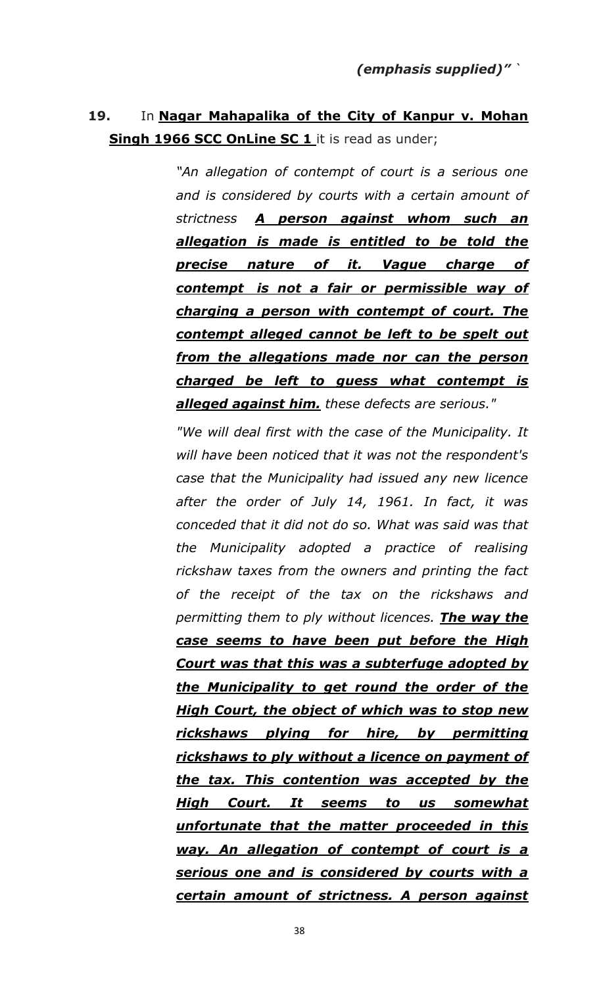## **19.** In **Nagar Mahapalika of the City of Kanpur v. Mohan Singh 1966 SCC OnLine SC 1** it is read as under;

*"An allegation of contempt of court is a serious one and is considered by courts with a certain amount of strictness A person against whom such an allegation is made is entitled to be told the precise nature of it. Vague charge of contempt is not a fair or permissible way of charging a person with contempt of court. The contempt alleged cannot be left to be spelt out from the allegations made nor can the person charged be left to guess what contempt is alleged against him. these defects are serious."*

*"We will deal first with the case of the Municipality. It will have been noticed that it was not the respondent's case that the Municipality had issued any new licence after the order of July 14, 1961. In fact, it was conceded that it did not do so. What was said was that the Municipality adopted a practice of realising rickshaw taxes from the owners and printing the fact of the receipt of the tax on the rickshaws and permitting them to ply without licences. The way the case seems to have been put before the High Court was that this was a subterfuge adopted by the Municipality to get round the order of the High Court, the object of which was to stop new rickshaws plying for hire, by permitting rickshaws to ply without a licence on payment of the tax. This contention was accepted by the High Court. It seems to us somewhat unfortunate that the matter proceeded in this way. An allegation of contempt of court is a serious one and is considered by courts with a certain amount of strictness. A person against*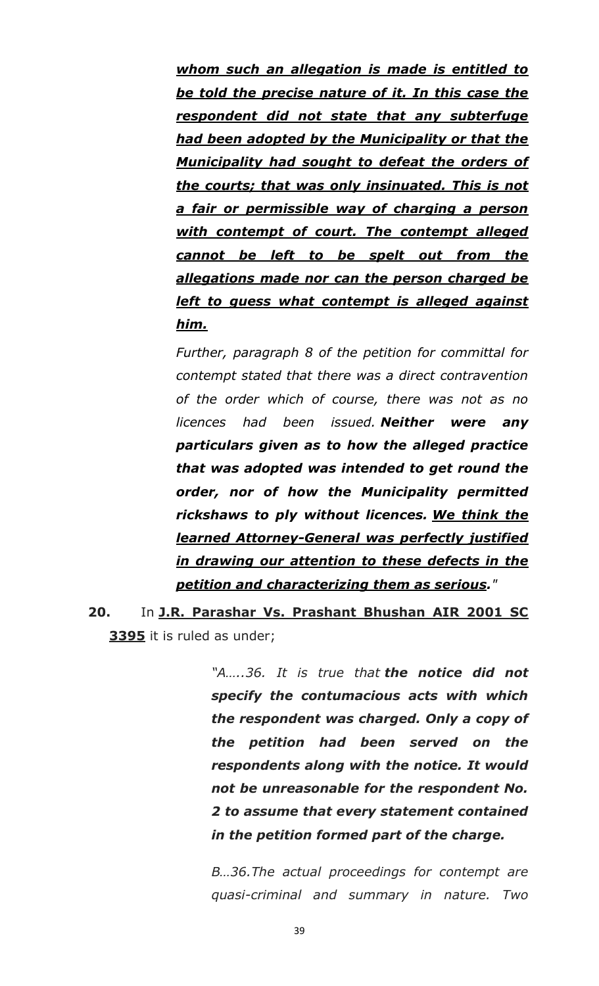*whom such an allegation is made is entitled to be told the precise nature of it. In this case the respondent did not state that any subterfuge had been adopted by the Municipality or that the Municipality had sought to defeat the orders of the courts; that was only insinuated. This is not a fair or permissible way of charging a person with contempt of court. The contempt alleged cannot be left to be spelt out from the allegations made nor can the person charged be left to guess what contempt is alleged against him.*

*Further, paragraph 8 of the petition for committal for contempt stated that there was a direct contravention of the order which of course, there was not as no licences had been issued. Neither were any particulars given as to how the alleged practice that was adopted was intended to get round the order, nor of how the Municipality permitted rickshaws to ply without licences. We think the learned Attorney-General was perfectly justified in drawing our attention to these defects in the petition and characterizing them as serious."*

**20.** In **J.R. Parashar Vs. Prashant Bhushan AIR 2001 SC 3395** it is ruled as under;

> *"A…..36. It is true that the notice did not specify the contumacious acts with which the respondent was charged. Only a copy of the petition had been served on the respondents along with the notice. It would not be unreasonable for the respondent No. 2 to assume that every statement contained in the petition formed part of the charge.*

> *B…36.The actual proceedings for contempt are quasi-criminal and summary in nature. Two*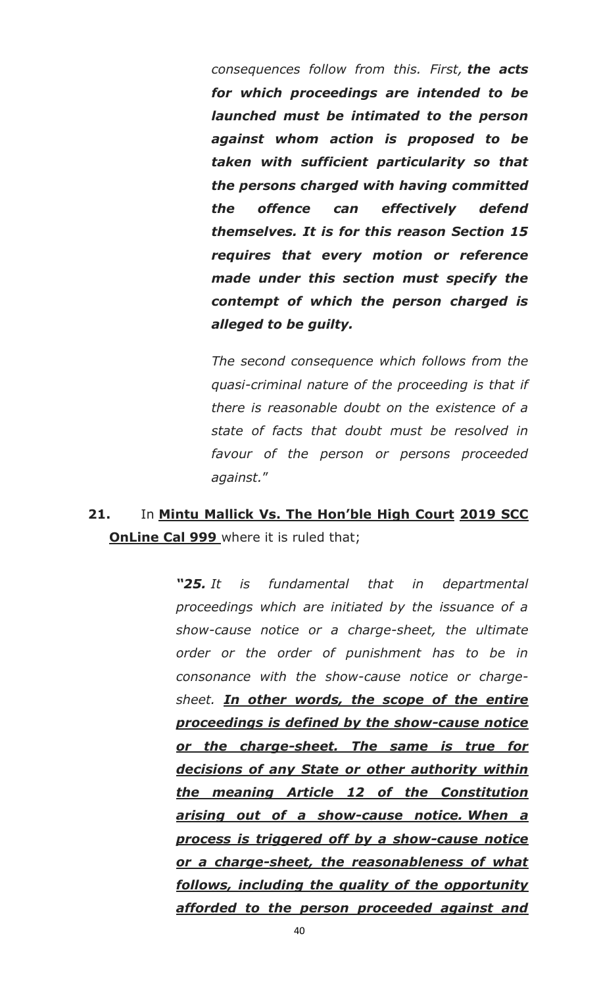*consequences follow from this. First, the acts for which proceedings are intended to be launched must be intimated to the person against whom action is proposed to be taken with sufficient particularity so that the persons charged with having committed the offence can effectively defend themselves. It is for this reason Section 15 requires that every motion or reference made under this section must specify the contempt of which the person charged is alleged to be guilty.*

*The second consequence which follows from the quasi-criminal nature of the proceeding is that if there is reasonable doubt on the existence of a state of facts that doubt must be resolved in favour of the person or persons proceeded against.*"

## **21.** In **Mintu Mallick Vs. The Hon"ble High Court 2019 SCC OnLine Cal 999** where it is ruled that;

*―25. It is fundamental that in departmental proceedings which are initiated by the issuance of a show-cause notice or a charge-sheet, the ultimate order or the order of punishment has to be in consonance with the show-cause notice or chargesheet. In other words, the scope of the entire proceedings is defined by the show-cause notice or the charge-sheet. The same is true for decisions of any State or other authority within the meaning Article 12 of the Constitution arising out of a show-cause notice. When a process is triggered off by a show-cause notice or a charge-sheet, the reasonableness of what follows, including the quality of the opportunity afforded to the person proceeded against and*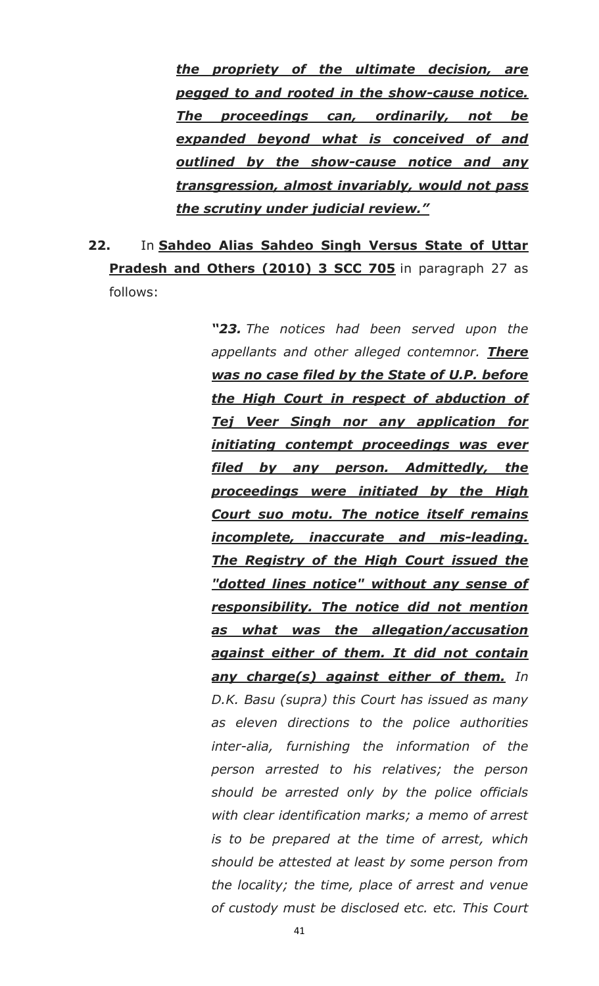*the propriety of the ultimate decision, are pegged to and rooted in the show-cause notice. The proceedings can, ordinarily, not be expanded beyond what is conceived of and outlined by the show-cause notice and any transgression, almost invariably, would not pass the scrutiny under judicial review.‖*

# **22.** In **Sahdeo Alias Sahdeo Singh Versus State of Uttar Pradesh and Others (2010) 3 SCC 705** in paragraph 27 as follows:

*―23. The notices had been served upon the appellants and other alleged contemnor. There was no case filed by the State of U.P. before the High Court in respect of abduction of Tej Veer Singh nor any application for initiating contempt proceedings was ever filed by any person. Admittedly, the proceedings were initiated by the High Court suo motu. The notice itself remains incomplete, inaccurate and mis-leading. The Registry of the High Court issued the "dotted lines notice" without any sense of responsibility. The notice did not mention as what was the allegation/accusation against either of them. It did not contain any charge(s) against either of them. In D.K. Basu (supra) this Court has issued as many as eleven directions to the police authorities inter-alia, furnishing the information of the person arrested to his relatives; the person should be arrested only by the police officials with clear identification marks; a memo of arrest is to be prepared at the time of arrest, which should be attested at least by some person from the locality; the time, place of arrest and venue of custody must be disclosed etc. etc. This Court*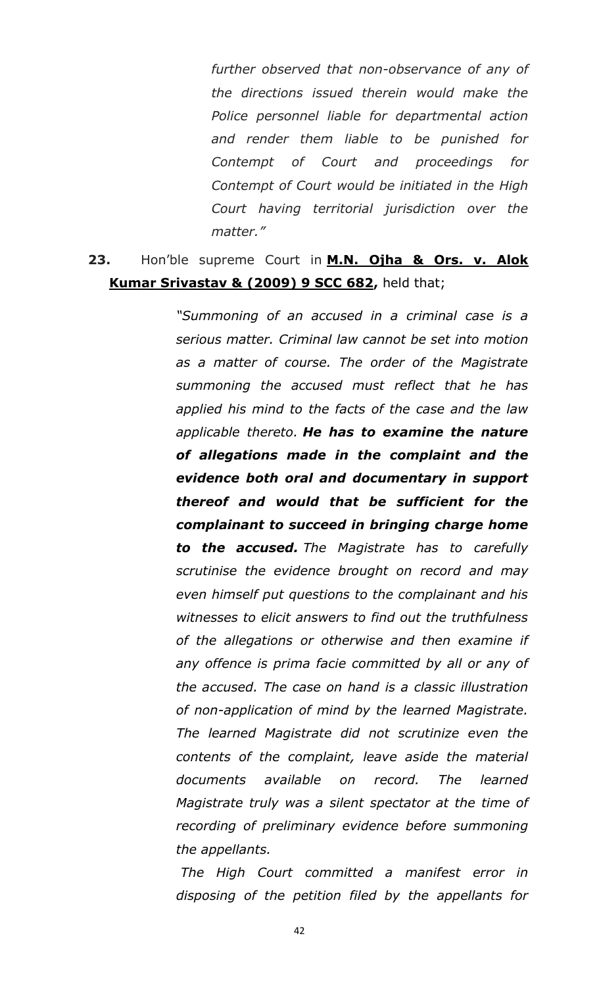*further observed that non-observance of any of the directions issued therein would make the Police personnel liable for departmental action and render them liable to be punished for Contempt of Court and proceedings for Contempt of Court would be initiated in the High Court having territorial jurisdiction over the matter."*

### **23.** Hon"ble supreme Court in **M.N. Ojha & Ors. v. Alok Kumar Srivastav & (2009) 9 SCC 682,** held that;

*"Summoning of an accused in a criminal case is a serious matter. Criminal law cannot be set into motion as a matter of course. The order of the Magistrate summoning the accused must reflect that he has applied his mind to the facts of the case and the law applicable thereto. He has to examine the nature of allegations made in the complaint and the evidence both oral and documentary in support thereof and would that be sufficient for the complainant to succeed in bringing charge home to the accused. The Magistrate has to carefully scrutinise the evidence brought on record and may even himself put questions to the complainant and his witnesses to elicit answers to find out the truthfulness of the allegations or otherwise and then examine if any offence is prima facie committed by all or any of the accused. The case on hand is a classic illustration of non-application of mind by the learned Magistrate. The learned Magistrate did not scrutinize even the contents of the complaint, leave aside the material documents available on record. The learned Magistrate truly was a silent spectator at the time of recording of preliminary evidence before summoning the appellants.*

*The High Court committed a manifest error in disposing of the petition filed by the appellants for*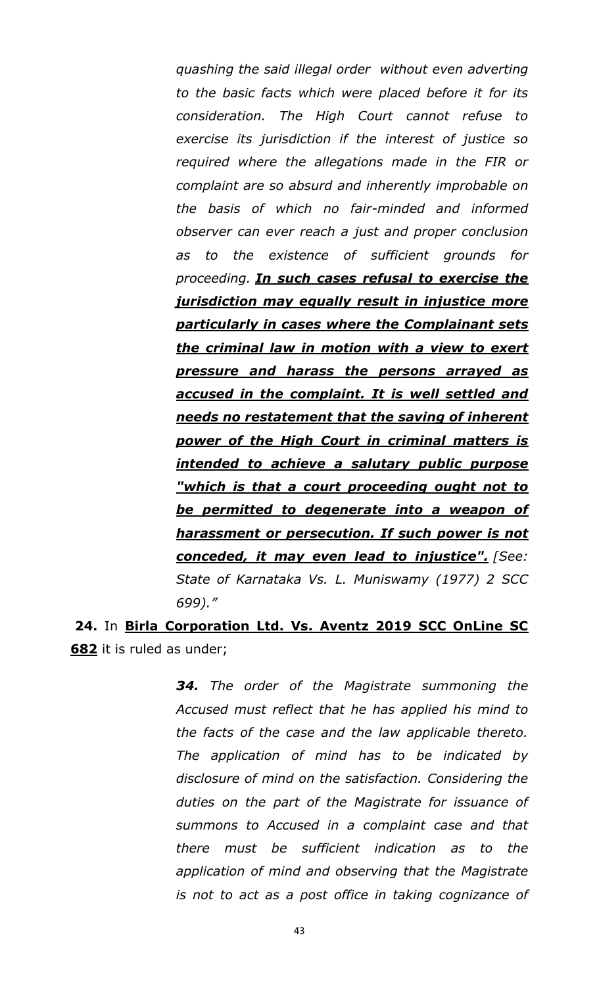*quashing the said illegal order without even adverting to the basic facts which were placed before it for its consideration. The High Court cannot refuse to exercise its jurisdiction if the interest of justice so required where the allegations made in the FIR or complaint are so absurd and inherently improbable on the basis of which no fair-minded and informed observer can ever reach a just and proper conclusion as to the existence of sufficient grounds for proceeding. In such cases refusal to exercise the jurisdiction may equally result in injustice more particularly in cases where the Complainant sets the criminal law in motion with a view to exert pressure and harass the persons arrayed as accused in the complaint. It is well settled and needs no restatement that the saving of inherent power of the High Court in criminal matters is intended to achieve a salutary public purpose "which is that a court proceeding ought not to be permitted to degenerate into a weapon of harassment or persecution. If such power is not conceded, it may even lead to injustice". [See: State of Karnataka Vs. L. Muniswamy (1977) 2 SCC 699)."*

**24.** In **Birla Corporation Ltd. Vs. Aventz 2019 SCC OnLine SC 682** it is ruled as under;

> *34. The order of the Magistrate summoning the Accused must reflect that he has applied his mind to the facts of the case and the law applicable thereto. The application of mind has to be indicated by disclosure of mind on the satisfaction. Considering the duties on the part of the Magistrate for issuance of summons to Accused in a complaint case and that there must be sufficient indication as to the application of mind and observing that the Magistrate is not to act as a post office in taking cognizance of*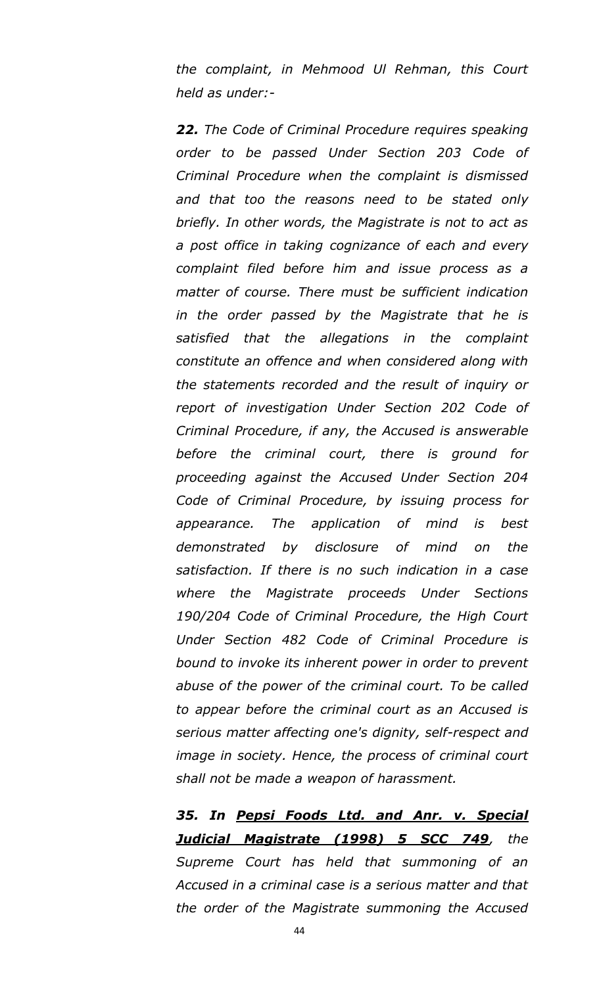*the complaint, in Mehmood Ul Rehman, this Court held as under:-*

*22. The Code of Criminal Procedure requires speaking order to be passed Under Section 203 Code of Criminal Procedure when the complaint is dismissed and that too the reasons need to be stated only briefly. In other words, the Magistrate is not to act as a post office in taking cognizance of each and every complaint filed before him and issue process as a matter of course. There must be sufficient indication in the order passed by the Magistrate that he is satisfied that the allegations in the complaint constitute an offence and when considered along with the statements recorded and the result of inquiry or report of investigation Under Section 202 Code of Criminal Procedure, if any, the Accused is answerable before the criminal court, there is ground for proceeding against the Accused Under Section 204 Code of Criminal Procedure, by issuing process for appearance. The application of mind is best demonstrated by disclosure of mind on the satisfaction. If there is no such indication in a case where the Magistrate proceeds Under Sections 190/204 Code of Criminal Procedure, the High Court Under Section 482 Code of Criminal Procedure is bound to invoke its inherent power in order to prevent abuse of the power of the criminal court. To be called to appear before the criminal court as an Accused is serious matter affecting one's dignity, self-respect and image in society. Hence, the process of criminal court shall not be made a weapon of harassment.*

*35. In Pepsi Foods Ltd. and Anr. v. Special Judicial Magistrate (1998) 5 SCC 749, the Supreme Court has held that summoning of an Accused in a criminal case is a serious matter and that the order of the Magistrate summoning the Accused*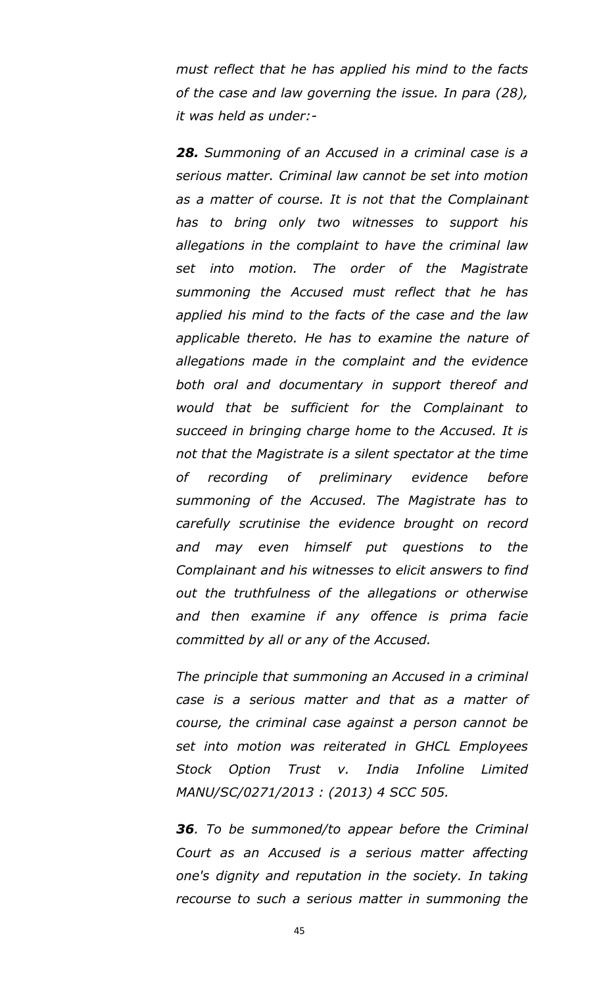*must reflect that he has applied his mind to the facts of the case and law governing the issue. In para (28), it was held as under:-*

*28. Summoning of an Accused in a criminal case is a serious matter. Criminal law cannot be set into motion as a matter of course. It is not that the Complainant has to bring only two witnesses to support his allegations in the complaint to have the criminal law set into motion. The order of the Magistrate summoning the Accused must reflect that he has applied his mind to the facts of the case and the law applicable thereto. He has to examine the nature of allegations made in the complaint and the evidence both oral and documentary in support thereof and would that be sufficient for the Complainant to succeed in bringing charge home to the Accused. It is not that the Magistrate is a silent spectator at the time of recording of preliminary evidence before summoning of the Accused. The Magistrate has to carefully scrutinise the evidence brought on record and may even himself put questions to the Complainant and his witnesses to elicit answers to find out the truthfulness of the allegations or otherwise and then examine if any offence is prima facie committed by all or any of the Accused.*

*The principle that summoning an Accused in a criminal case is a serious matter and that as a matter of course, the criminal case against a person cannot be set into motion was reiterated in GHCL Employees Stock Option Trust v. India Infoline Limited MANU/SC/0271/2013 : (2013) 4 SCC 505.*

*36. To be summoned/to appear before the Criminal Court as an Accused is a serious matter affecting one's dignity and reputation in the society. In taking recourse to such a serious matter in summoning the*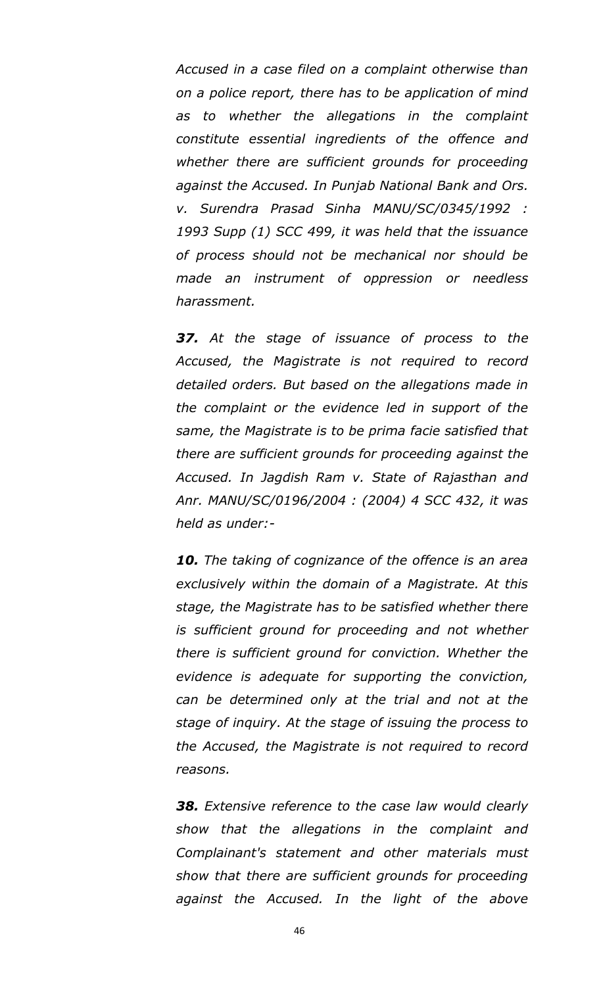*Accused in a case filed on a complaint otherwise than on a police report, there has to be application of mind as to whether the allegations in the complaint constitute essential ingredients of the offence and whether there are sufficient grounds for proceeding against the Accused. In Punjab National Bank and Ors. v. Surendra Prasad Sinha MANU/SC/0345/1992 : 1993 Supp (1) SCC 499, it was held that the issuance of process should not be mechanical nor should be made an instrument of oppression or needless harassment.*

*37. At the stage of issuance of process to the Accused, the Magistrate is not required to record detailed orders. But based on the allegations made in the complaint or the evidence led in support of the same, the Magistrate is to be prima facie satisfied that there are sufficient grounds for proceeding against the Accused. In Jagdish Ram v. State of Rajasthan and Anr. MANU/SC/0196/2004 : (2004) 4 SCC 432, it was held as under:-*

*10. The taking of cognizance of the offence is an area exclusively within the domain of a Magistrate. At this stage, the Magistrate has to be satisfied whether there is sufficient ground for proceeding and not whether there is sufficient ground for conviction. Whether the evidence is adequate for supporting the conviction, can be determined only at the trial and not at the stage of inquiry. At the stage of issuing the process to the Accused, the Magistrate is not required to record reasons.*

*38. Extensive reference to the case law would clearly show that the allegations in the complaint and Complainant's statement and other materials must show that there are sufficient grounds for proceeding against the Accused. In the light of the above*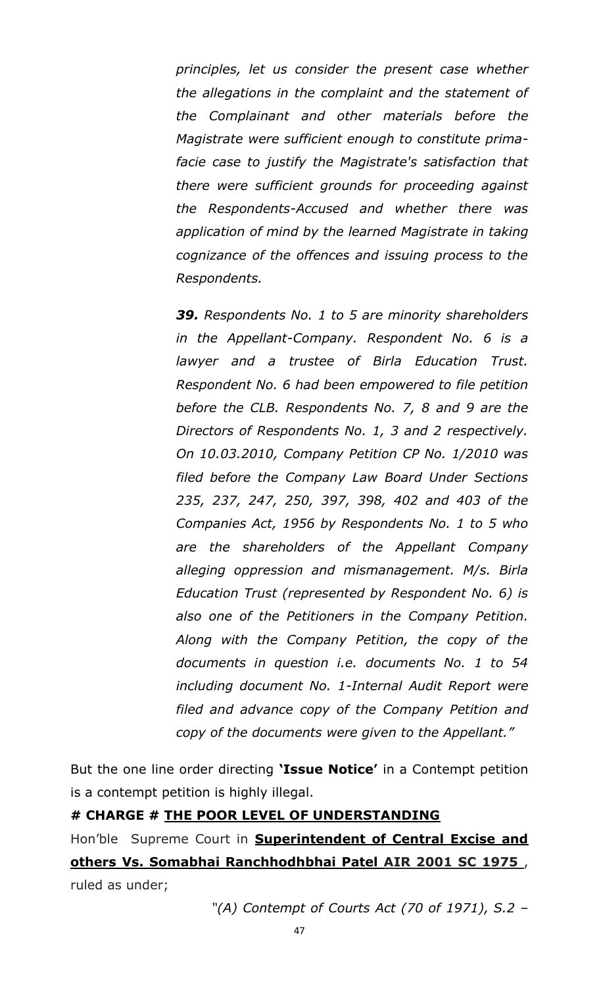*principles, let us consider the present case whether the allegations in the complaint and the statement of the Complainant and other materials before the Magistrate were sufficient enough to constitute primafacie case to justify the Magistrate's satisfaction that there were sufficient grounds for proceeding against the Respondents-Accused and whether there was application of mind by the learned Magistrate in taking cognizance of the offences and issuing process to the Respondents.*

*39. Respondents No. 1 to 5 are minority shareholders in the Appellant-Company. Respondent No. 6 is a lawyer and a trustee of Birla Education Trust. Respondent No. 6 had been empowered to file petition before the CLB. Respondents No. 7, 8 and 9 are the Directors of Respondents No. 1, 3 and 2 respectively. On 10.03.2010, Company Petition CP No. 1/2010 was filed before the Company Law Board Under Sections 235, 237, 247, 250, 397, 398, 402 and 403 of the Companies Act, 1956 by Respondents No. 1 to 5 who are the shareholders of the Appellant Company alleging oppression and mismanagement. M/s. Birla Education Trust (represented by Respondent No. 6) is also one of the Petitioners in the Company Petition. Along with the Company Petition, the copy of the documents in question i.e. documents No. 1 to 54 including document No. 1-Internal Audit Report were filed and advance copy of the Company Petition and copy of the documents were given to the Appellant."*

But the one line order directing **"Issue Notice"** in a Contempt petition is a contempt petition is highly illegal.

#### **# CHARGE # THE POOR LEVEL OF UNDERSTANDING**

Hon"ble Supreme Court in **Superintendent of Central Excise and others Vs. Somabhai Ranchhodhbhai Patel AIR 2001 SC 1975** , ruled as under;

*"(A) Contempt of Courts Act (70 of 1971), S.2 –*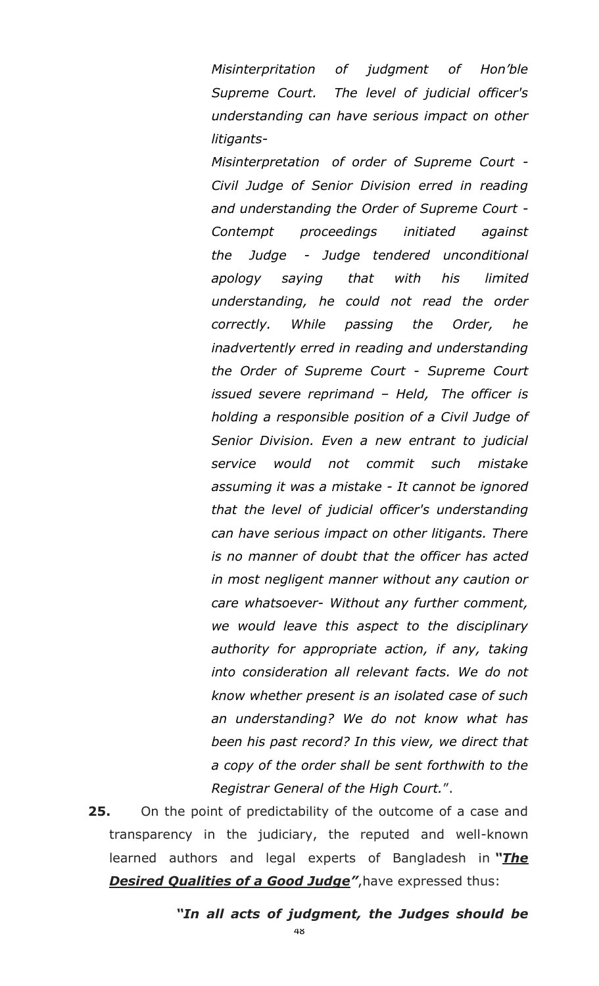*Misinterpritation of judgment of Hon"ble Supreme Court. The level of judicial officer's understanding can have serious impact on other litigants-*

*Misinterpretation of order of Supreme Court - Civil Judge of Senior Division erred in reading and understanding the Order of Supreme Court - Contempt proceedings initiated against the Judge - Judge tendered unconditional apology saying that with his limited understanding, he could not read the order correctly. While passing the Order, he inadvertently erred in reading and understanding the Order of Supreme Court - Supreme Court issued severe reprimand – Held, The officer is holding a responsible position of a Civil Judge of Senior Division. Even a new entrant to judicial service would not commit such mistake assuming it was a mistake - It cannot be ignored that the level of judicial officer's understanding can have serious impact on other litigants. There is no manner of doubt that the officer has acted in most negligent manner without any caution or care whatsoever- Without any further comment, we would leave this aspect to the disciplinary authority for appropriate action, if any, taking into consideration all relevant facts. We do not know whether present is an isolated case of such an understanding? We do not know what has been his past record? In this view, we direct that a copy of the order shall be sent forthwith to the Registrar General of the High Court.*".

**25.** On the point of predictability of the outcome of a case and transparency in the judiciary, the reputed and well-known learned authors and legal experts of Bangladesh in "The **Desired Qualities of a Good Judge**", have expressed thus:

*―In all acts of judgment, the Judges should be*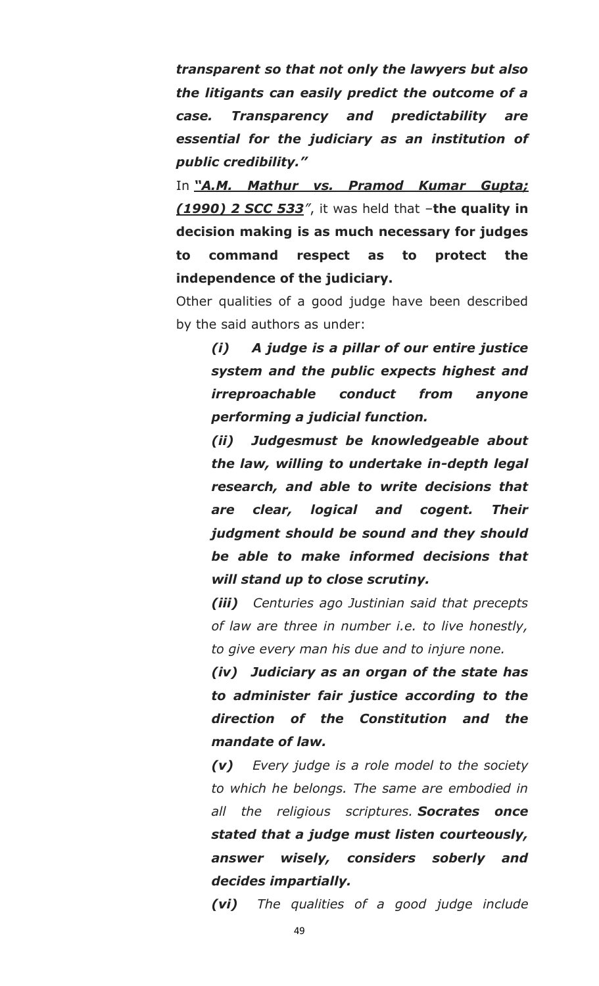*transparent so that not only the lawyers but also the litigants can easily predict the outcome of a case. Transparency and predictability are essential for the judiciary as an institution of public credibility.‖*

In "A.M. Mathur vs. Pramod Kumar Gupta; *(1990) 2 SCC 533"*, it was held that –**the quality in decision making is as much necessary for judges to command respect as to protect the independence of the judiciary.**

Other qualities of a good judge have been described by the said authors as under:

*(i) A judge is a pillar of our entire justice system and the public expects highest and irreproachable conduct from anyone performing a judicial function.*

*(ii) Judgesmust be knowledgeable about the law, willing to undertake in-depth legal research, and able to write decisions that are clear, logical and cogent. Their judgment should be sound and they should be able to make informed decisions that will stand up to close scrutiny.*

*(iii) Centuries ago Justinian said that precepts of law are three in number i.e. to live honestly, to give every man his due and to injure none.*

*(iv) Judiciary as an organ of the state has to administer fair justice according to the direction of the Constitution and the mandate of law.*

*(v) Every judge is a role model to the society to which he belongs. The same are embodied in all the religious scriptures. Socrates once stated that a judge must listen courteously, answer wisely, considers soberly and decides impartially.*

*(vi) The qualities of a good judge include*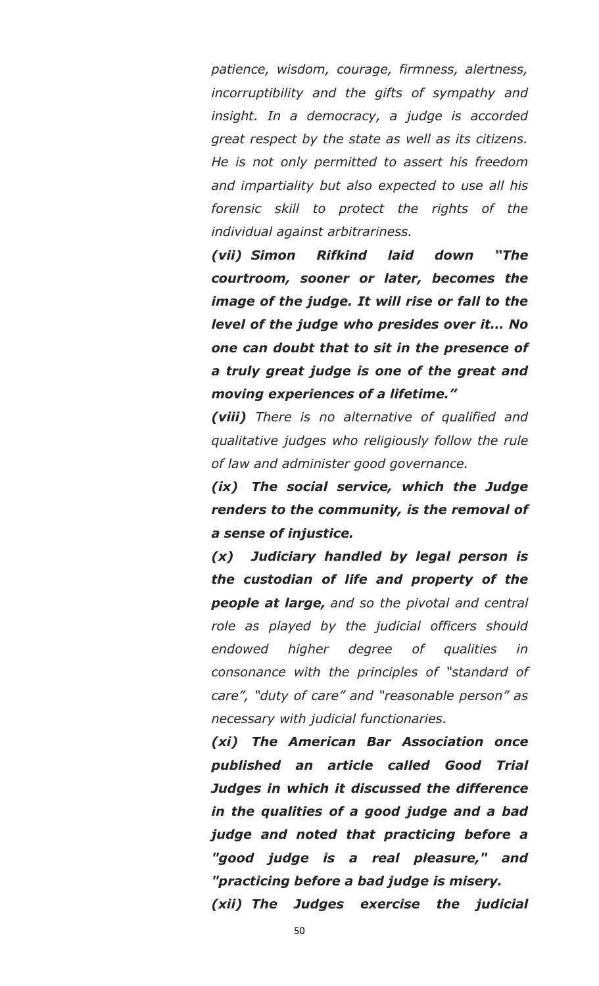*patience, wisdom, courage, firmness, alertness, incorruptibility and the gifts of sympathy and insight. In a democracy, a judge is accorded great respect by the state as well as its citizens. He is not only permitted to assert his freedom and impartiality but also expected to use all his forensic skill to protect the rights of the individual against arbitrariness.*

*(vii) Simon Rifkind laid down ―The courtroom, sooner or later, becomes the image of the judge. It will rise or fall to the level of the judge who presides over it… No one can doubt that to sit in the presence of a truly great judge is one of the great and moving experiences of a lifetime.‖*

*(viii) There is no alternative of qualified and qualitative judges who religiously follow the rule of law and administer good governance.*

*(ix) The social service, which the Judge renders to the community, is the removal of a sense of injustice.*

*(x) Judiciary handled by legal person is the custodian of life and property of the people at large, and so the pivotal and central role as played by the judicial officers should endowed higher degree of qualities in consonance with the principles of "standard of care", "duty of care" and "reasonable person" as necessary with judicial functionaries.*

*(xi) The American Bar Association once published an article called Good Trial Judges in which it discussed the difference in the qualities of a good judge and a bad judge and noted that practicing before a "good judge is a real pleasure," and "practicing before a bad judge is misery. (xii) The Judges exercise the judicial* 

50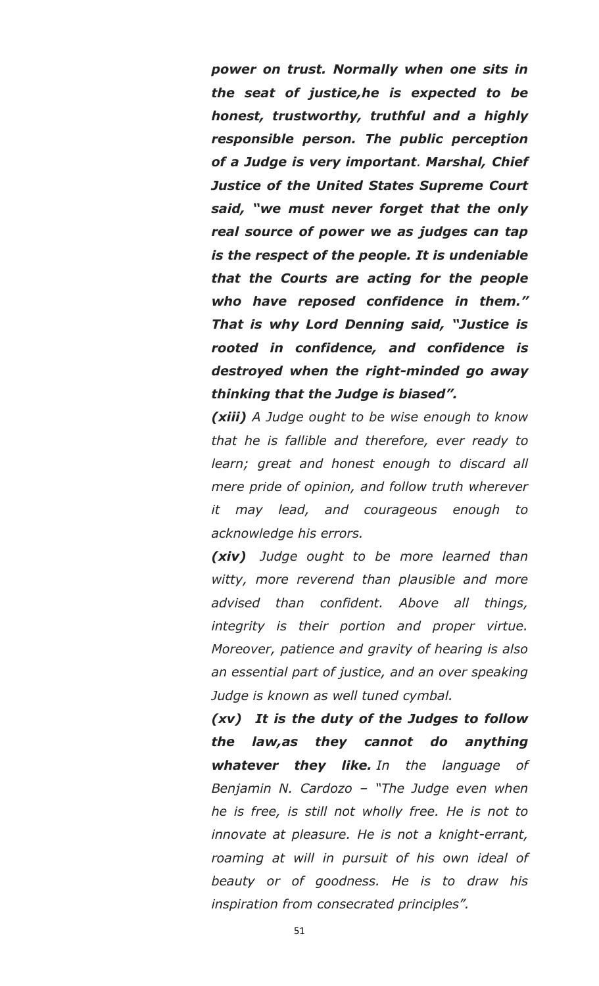*power on trust. Normally when one sits in the seat of justice,he is expected to be honest, trustworthy, truthful and a highly responsible person. The public perception of a Judge is very important. Marshal, Chief Justice of the United States Supreme Court*  said, "we must never forget that the only *real source of power we as judges can tap is the respect of the people. It is undeniable that the Courts are acting for the people who have reposed confidence in them.‖ That is why Lord Denning said, ―Justice is rooted in confidence, and confidence is destroyed when the right-minded go away thinking that the Judge is biased‖.*

*(xiii) A Judge ought to be wise enough to know that he is fallible and therefore, ever ready to learn; great and honest enough to discard all mere pride of opinion, and follow truth wherever it may lead, and courageous enough to acknowledge his errors.*

*(xiv) Judge ought to be more learned than witty, more reverend than plausible and more advised than confident. Above all things, integrity is their portion and proper virtue. Moreover, patience and gravity of hearing is also an essential part of justice, and an over speaking Judge is known as well tuned cymbal.*

*(xv) It is the duty of the Judges to follow the law,as they cannot do anything whatever they like. In the language of Benjamin N. Cardozo – "The Judge even when he is free, is still not wholly free. He is not to innovate at pleasure. He is not a knight-errant, roaming at will in pursuit of his own ideal of beauty or of goodness. He is to draw his inspiration from consecrated principles".*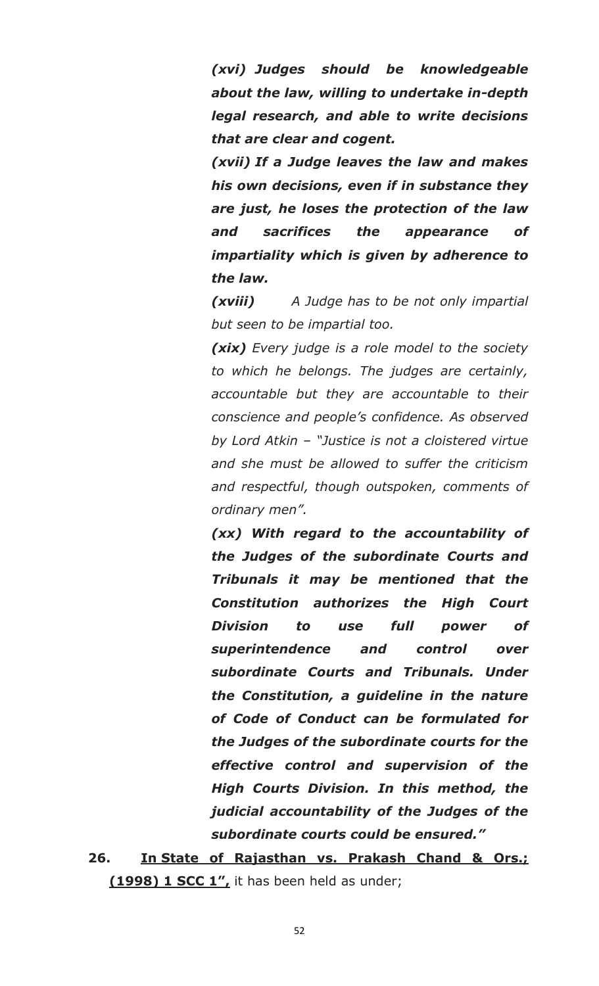*(xvi) Judges should be knowledgeable about the law, willing to undertake in-depth legal research, and able to write decisions that are clear and cogent.*

*(xvii) If a Judge leaves the law and makes his own decisions, even if in substance they are just, he loses the protection of the law and sacrifices the appearance of impartiality which is given by adherence to the law.*

*(xviii) A Judge has to be not only impartial but seen to be impartial too.*

*(xix) Every judge is a role model to the society to which he belongs. The judges are certainly, accountable but they are accountable to their conscience and people"s confidence. As observed by Lord Atkin – "Justice is not a cloistered virtue and she must be allowed to suffer the criticism and respectful, though outspoken, comments of ordinary men".*

*(xx) With regard to the accountability of the Judges of the subordinate Courts and Tribunals it may be mentioned that the Constitution authorizes the High Court Division to use full power of superintendence and control over subordinate Courts and Tribunals. Under the Constitution, a guideline in the nature of Code of Conduct can be formulated for the Judges of the subordinate courts for the effective control and supervision of the High Courts Division. In this method, the judicial accountability of the Judges of the subordinate courts could be ensured.‖*

**26. In State of Rajasthan vs. Prakash Chand & Ors.; (1998) 1 SCC 1",** it has been held as under;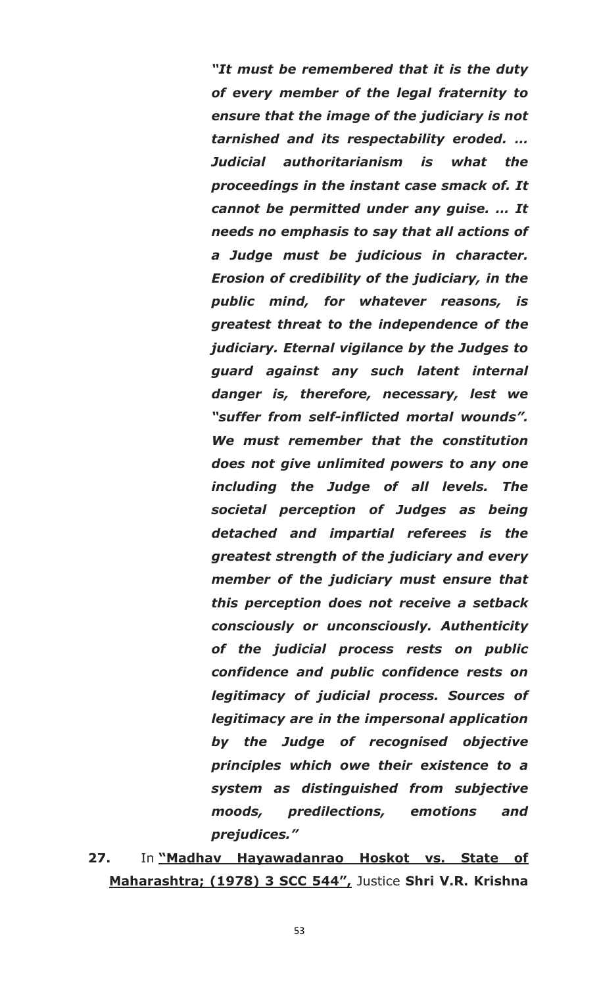*―It must be remembered that it is the duty of every member of the legal fraternity to ensure that the image of the judiciary is not tarnished and its respectability eroded. … Judicial authoritarianism is what the proceedings in the instant case smack of. It cannot be permitted under any guise. … It needs no emphasis to say that all actions of a Judge must be judicious in character. Erosion of credibility of the judiciary, in the public mind, for whatever reasons, is greatest threat to the independence of the judiciary. Eternal vigilance by the Judges to guard against any such latent internal danger is, therefore, necessary, lest we ―suffer from self-inflicted mortal wounds‖. We must remember that the constitution does not give unlimited powers to any one including the Judge of all levels. The societal perception of Judges as being detached and impartial referees is the greatest strength of the judiciary and every member of the judiciary must ensure that this perception does not receive a setback consciously or unconsciously. Authenticity of the judicial process rests on public confidence and public confidence rests on legitimacy of judicial process. Sources of legitimacy are in the impersonal application by the Judge of recognised objective principles which owe their existence to a system as distinguished from subjective moods, predilections, emotions and prejudices.‖*

**27.** In **"Madhav Hayawadanrao Hoskot vs. State of Maharashtra; (1978) 3 SCC 544",** Justice **Shri V.R. Krishna**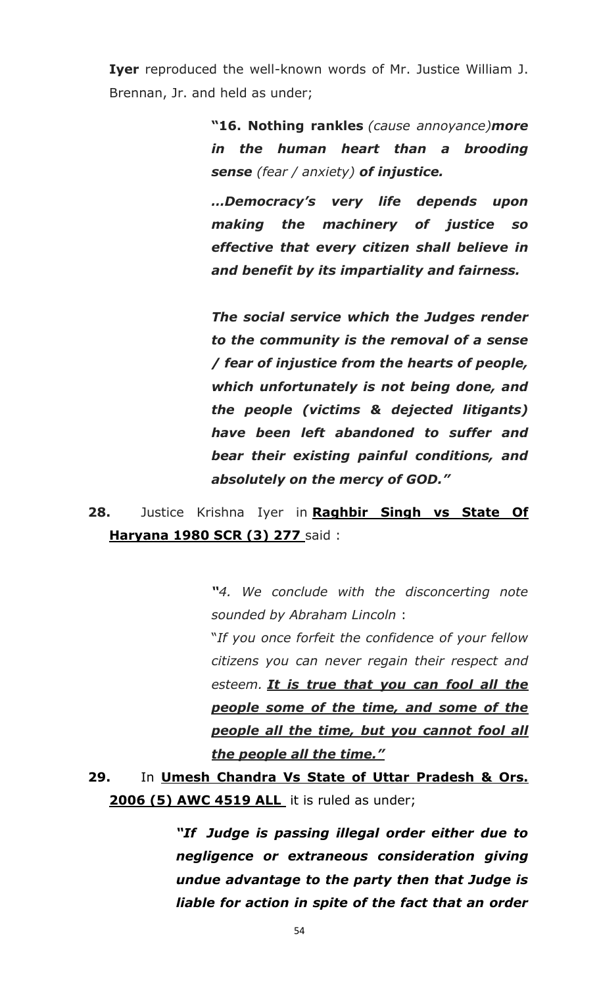**Iyer** reproduced the well-known words of Mr. Justice William J. Brennan, Jr. and held as under;

> **"16. Nothing rankles** *(cause annoyance)more in the human heart than a brooding sense (fear / anxiety) of injustice.*

> *…Democracy's very life depends upon making the machinery of justice so effective that every citizen shall believe in and benefit by its impartiality and fairness.*

> *The social service which the Judges render to the community is the removal of a sense / fear of injustice from the hearts of people, which unfortunately is not being done, and the people (victims & dejected litigants) have been left abandoned to suffer and bear their existing painful conditions, and absolutely on the mercy of GOD.‖*

**28.** Justice Krishna Iyer in **Raghbir Singh vs State Of Haryana 1980 SCR (3) 277** said :

> *―4. We conclude with the disconcerting note sounded by Abraham Lincoln* :

> "*If you once forfeit the confidence of your fellow citizens you can never regain their respect and esteem. It is true that you can fool all the people some of the time, and some of the people all the time, but you cannot fool all the people all the time.‖*

**29.** In **Umesh Chandra Vs State of Uttar Pradesh & Ors. 2006 (5) AWC 4519 ALL** it is ruled as under;

> *―If Judge is passing illegal order either due to negligence or extraneous consideration giving undue advantage to the party then that Judge is liable for action in spite of the fact that an order*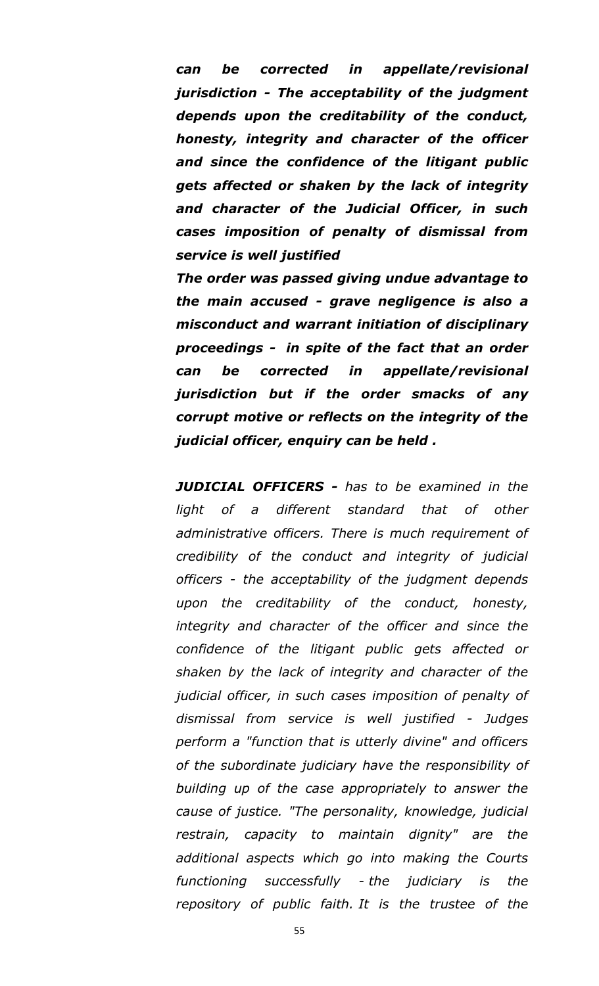*can be corrected in appellate/revisional jurisdiction - The acceptability of the judgment depends upon the creditability of the conduct, honesty, integrity and character of the officer and since the confidence of the litigant public gets affected or shaken by the lack of integrity and character of the Judicial Officer, in such cases imposition of penalty of dismissal from service is well justified*

*The order was passed giving undue advantage to the main accused - grave negligence is also a misconduct and warrant initiation of disciplinary proceedings - in spite of the fact that an order can be corrected in appellate/revisional jurisdiction but if the order smacks of any corrupt motive or reflects on the integrity of the judicial officer, enquiry can be held .*

*JUDICIAL OFFICERS - has to be examined in the light of a different standard that of other administrative officers. There is much requirement of credibility of the conduct and integrity of judicial officers - the acceptability of the judgment depends upon the creditability of the conduct, honesty, integrity and character of the officer and since the confidence of the litigant public gets affected or shaken by the lack of integrity and character of the judicial officer, in such cases imposition of penalty of dismissal from service is well justified - Judges perform a "function that is utterly divine" and officers of the subordinate judiciary have the responsibility of building up of the case appropriately to answer the cause of justice. "The personality, knowledge, judicial restrain, capacity to maintain dignity" are the additional aspects which go into making the Courts functioning successfully - the judiciary is the repository of public faith. It is the trustee of the*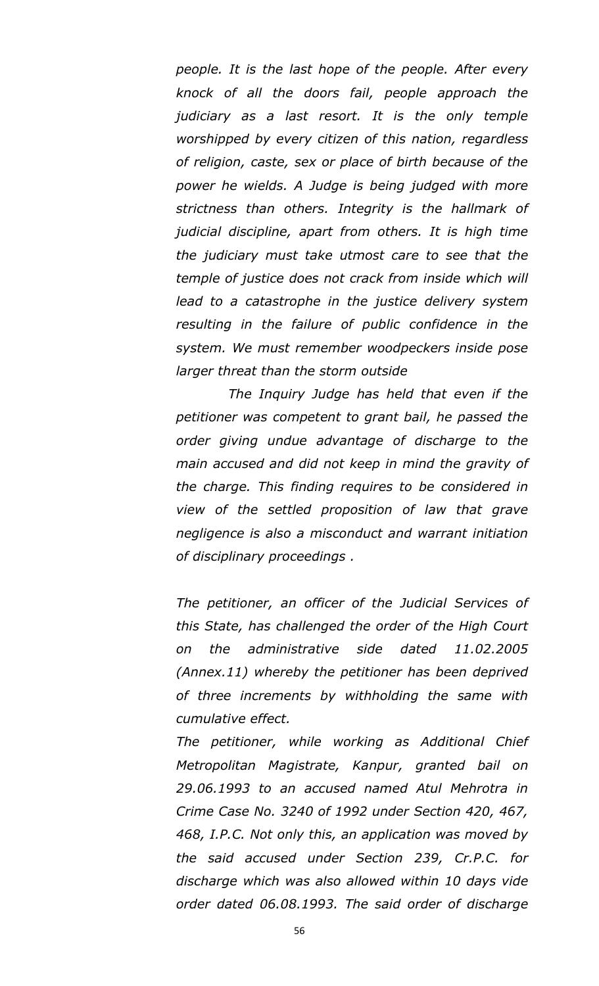*people. It is the last hope of the people. After every knock of all the doors fail, people approach the judiciary as a last resort. It is the only temple worshipped by every citizen of this nation, regardless of religion, caste, sex or place of birth because of the power he wields. A Judge is being judged with more strictness than others. Integrity is the hallmark of judicial discipline, apart from others. It is high time the judiciary must take utmost care to see that the temple of justice does not crack from inside which will lead to a catastrophe in the justice delivery system resulting in the failure of public confidence in the system. We must remember woodpeckers inside pose larger threat than the storm outside*

 *The Inquiry Judge has held that even if the petitioner was competent to grant bail, he passed the order giving undue advantage of discharge to the main accused and did not keep in mind the gravity of the charge. This finding requires to be considered in view of the settled proposition of law that grave negligence is also a misconduct and warrant initiation of disciplinary proceedings .*

*The petitioner, an officer of the Judicial Services of this State, has challenged the order of the High Court on the administrative side dated 11.02.2005 (Annex.11) whereby the petitioner has been deprived of three increments by withholding the same with cumulative effect.*

*The petitioner, while working as Additional Chief Metropolitan Magistrate, Kanpur, granted bail on 29.06.1993 to an accused named Atul Mehrotra in Crime Case No. 3240 of 1992 under Section 420, 467, 468, I.P.C. Not only this, an application was moved by the said accused under Section 239, Cr.P.C. for discharge which was also allowed within 10 days vide order dated 06.08.1993. The said order of discharge*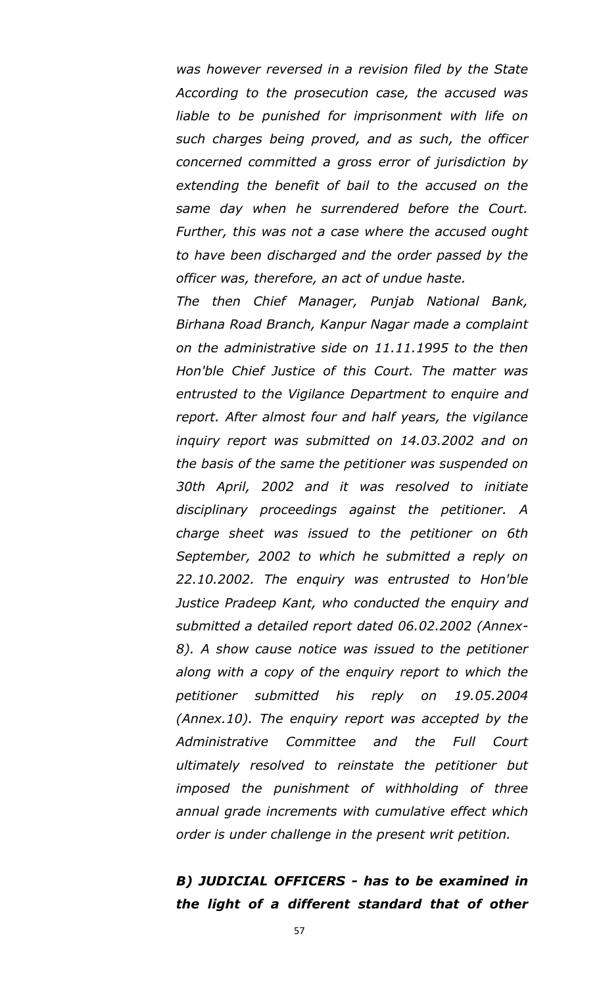*was however reversed in a revision filed by the State According to the prosecution case, the accused was liable to be punished for imprisonment with life on such charges being proved, and as such, the officer concerned committed a gross error of jurisdiction by extending the benefit of bail to the accused on the same day when he surrendered before the Court. Further, this was not a case where the accused ought to have been discharged and the order passed by the officer was, therefore, an act of undue haste.*

*The then Chief Manager, Punjab National Bank, Birhana Road Branch, Kanpur Nagar made a complaint on the administrative side on 11.11.1995 to the then Hon'ble Chief Justice of this Court. The matter was entrusted to the Vigilance Department to enquire and report. After almost four and half years, the vigilance inquiry report was submitted on 14.03.2002 and on the basis of the same the petitioner was suspended on 30th April, 2002 and it was resolved to initiate disciplinary proceedings against the petitioner. A charge sheet was issued to the petitioner on 6th September, 2002 to which he submitted a reply on 22.10.2002. The enquiry was entrusted to Hon'ble Justice Pradeep Kant, who conducted the enquiry and submitted a detailed report dated 06.02.2002 (Annex-8). A show cause notice was issued to the petitioner along with a copy of the enquiry report to which the petitioner submitted his reply on 19.05.2004 (Annex.10). The enquiry report was accepted by the Administrative Committee and the Full Court ultimately resolved to reinstate the petitioner but imposed the punishment of withholding of three annual grade increments with cumulative effect which order is under challenge in the present writ petition.*

### *B) JUDICIAL OFFICERS - has to be examined in the light of a different standard that of other*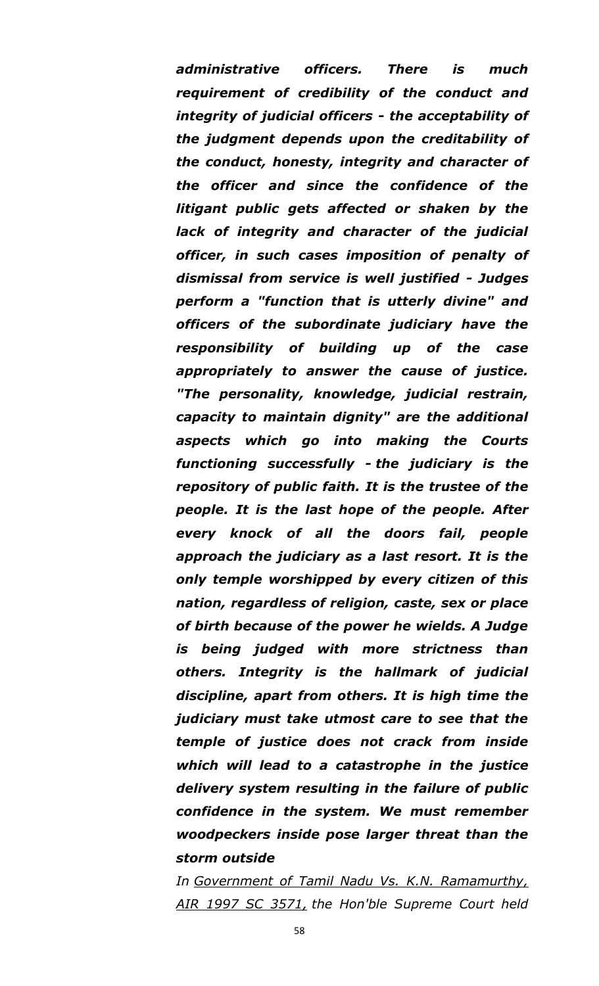*administrative officers. There is much requirement of credibility of the conduct and integrity of judicial officers - the acceptability of the judgment depends upon the creditability of the conduct, honesty, integrity and character of the officer and since the confidence of the litigant public gets affected or shaken by the lack of integrity and character of the judicial officer, in such cases imposition of penalty of dismissal from service is well justified - Judges perform a "function that is utterly divine" and officers of the subordinate judiciary have the responsibility of building up of the case appropriately to answer the cause of justice. "The personality, knowledge, judicial restrain, capacity to maintain dignity" are the additional aspects which go into making the Courts functioning successfully - the judiciary is the repository of public faith. It is the trustee of the people. It is the last hope of the people. After every knock of all the doors fail, people approach the judiciary as a last resort. It is the only temple worshipped by every citizen of this nation, regardless of religion, caste, sex or place of birth because of the power he wields. A Judge is being judged with more strictness than others. Integrity is the hallmark of judicial discipline, apart from others. It is high time the judiciary must take utmost care to see that the temple of justice does not crack from inside which will lead to a catastrophe in the justice delivery system resulting in the failure of public confidence in the system. We must remember woodpeckers inside pose larger threat than the storm outside*

*In Government of Tamil Nadu Vs. K.N. Ramamurthy, AIR 1997 SC 3571, the Hon'ble Supreme Court held*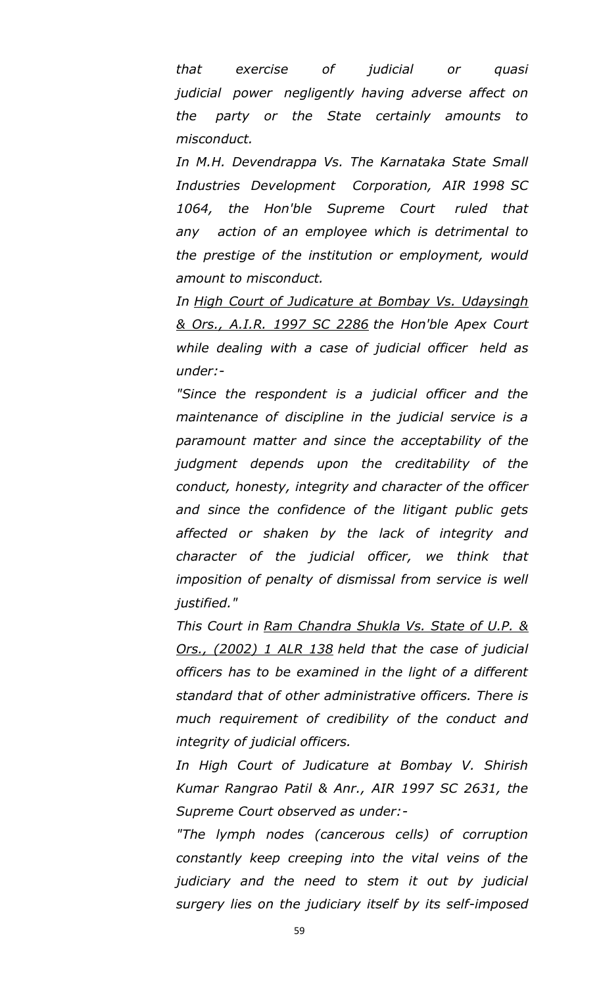*that exercise of judicial or quasi judicial power negligently having adverse affect on the party or the State certainly amounts to misconduct.*

*In M.H. Devendrappa Vs. The Karnataka State Small Industries Development Corporation, AIR 1998 SC 1064, the Hon'ble Supreme Court ruled that any action of an employee which is detrimental to the prestige of the institution or employment, would amount to misconduct.*

*In High Court of Judicature at Bombay Vs. Udaysingh & Ors., A.I.R. 1997 SC 2286 the Hon'ble Apex Court while dealing with a case of judicial officer held as under:-*

*"Since the respondent is a judicial officer and the maintenance of discipline in the judicial service is a paramount matter and since the acceptability of the judgment depends upon the creditability of the conduct, honesty, integrity and character of the officer and since the confidence of the litigant public gets affected or shaken by the lack of integrity and character of the judicial officer, we think that imposition of penalty of dismissal from service is well justified."*

*This Court in Ram Chandra Shukla Vs. State of U.P. & Ors., (2002) 1 ALR 138 held that the case of judicial officers has to be examined in the light of a different standard that of other administrative officers. There is much requirement of credibility of the conduct and integrity of judicial officers.*

*In High Court of Judicature at Bombay V. Shirish Kumar Rangrao Patil & Anr., AIR 1997 SC 2631, the Supreme Court observed as under:-*

*"The lymph nodes (cancerous cells) of corruption constantly keep creeping into the vital veins of the judiciary and the need to stem it out by judicial surgery lies on the judiciary itself by its self-imposed*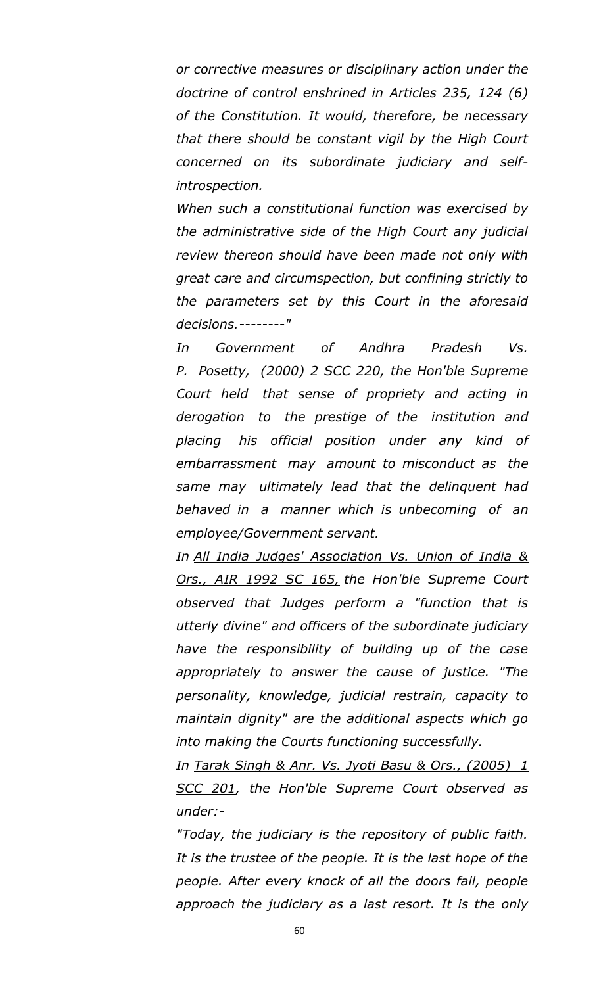*or corrective measures or disciplinary action under the doctrine of control enshrined in Articles 235, 124 (6) of the Constitution. It would, therefore, be necessary that there should be constant vigil by the High Court concerned on its subordinate judiciary and selfintrospection.*

*When such a constitutional function was exercised by the administrative side of the High Court any judicial review thereon should have been made not only with great care and circumspection, but confining strictly to the parameters set by this Court in the aforesaid decisions.--------"*

*In Government of Andhra Pradesh Vs. P. Posetty, (2000) 2 SCC 220, the Hon'ble Supreme Court held that sense of propriety and acting in derogation to the prestige of the institution and placing his official position under any kind of embarrassment may amount to misconduct as the same may ultimately lead that the delinquent had behaved in a manner which is unbecoming of an employee/Government servant.*

*In All India Judges' Association Vs. Union of India & Ors., AIR 1992 SC 165, the Hon'ble Supreme Court observed that Judges perform a "function that is utterly divine" and officers of the subordinate judiciary have the responsibility of building up of the case appropriately to answer the cause of justice. "The personality, knowledge, judicial restrain, capacity to maintain dignity" are the additional aspects which go into making the Courts functioning successfully.*

*In Tarak Singh & Anr. Vs. Jyoti Basu & Ors., (2005) 1 SCC 201, the Hon'ble Supreme Court observed as under:-*

*"Today, the judiciary is the repository of public faith. It is the trustee of the people. It is the last hope of the people. After every knock of all the doors fail, people approach the judiciary as a last resort. It is the only*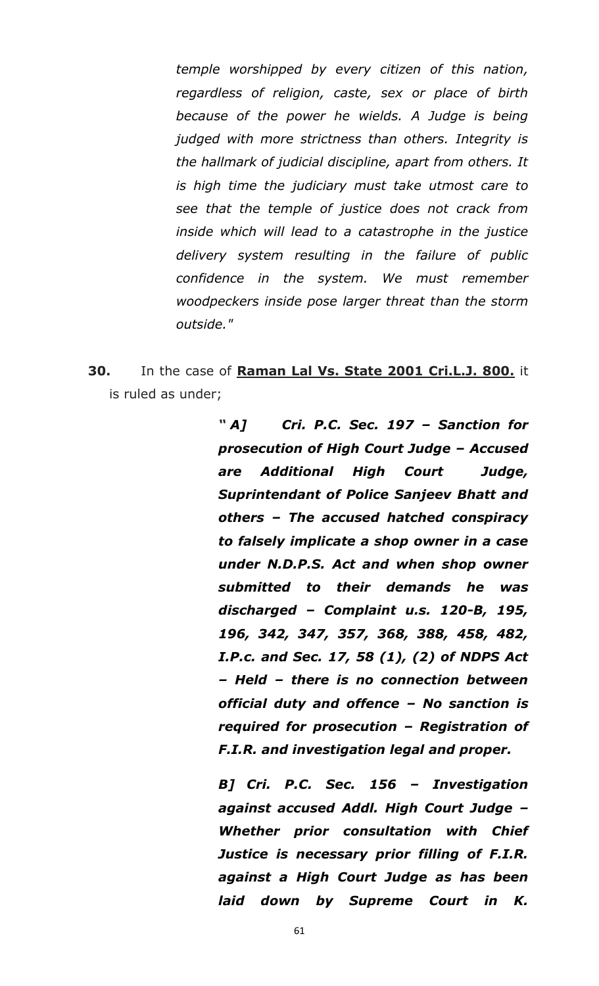*temple worshipped by every citizen of this nation, regardless of religion, caste, sex or place of birth because of the power he wields. A Judge is being judged with more strictness than others. Integrity is the hallmark of judicial discipline, apart from others. It is high time the judiciary must take utmost care to see that the temple of justice does not crack from inside which will lead to a catastrophe in the justice delivery system resulting in the failure of public confidence in the system. We must remember woodpeckers inside pose larger threat than the storm outside."*

**30.** In the case of **Raman Lal Vs. State 2001 Cri.L.J. 800.** it is ruled as under;

> *― A] Cri. P.C. Sec. 197 – Sanction for prosecution of High Court Judge – Accused are Additional High Court Judge, Suprintendant of Police Sanjeev Bhatt and others – The accused hatched conspiracy to falsely implicate a shop owner in a case under N.D.P.S. Act and when shop owner submitted to their demands he was discharged – Complaint u.s. 120-B, 195, 196, 342, 347, 357, 368, 388, 458, 482, I.P.c. and Sec. 17, 58 (1), (2) of NDPS Act – Held – there is no connection between official duty and offence – No sanction is required for prosecution – Registration of F.I.R. and investigation legal and proper.*

> *B] Cri. P.C. Sec. 156 – Investigation against accused Addl. High Court Judge – Whether prior consultation with Chief Justice is necessary prior filling of F.I.R. against a High Court Judge as has been laid down by Supreme Court in K.*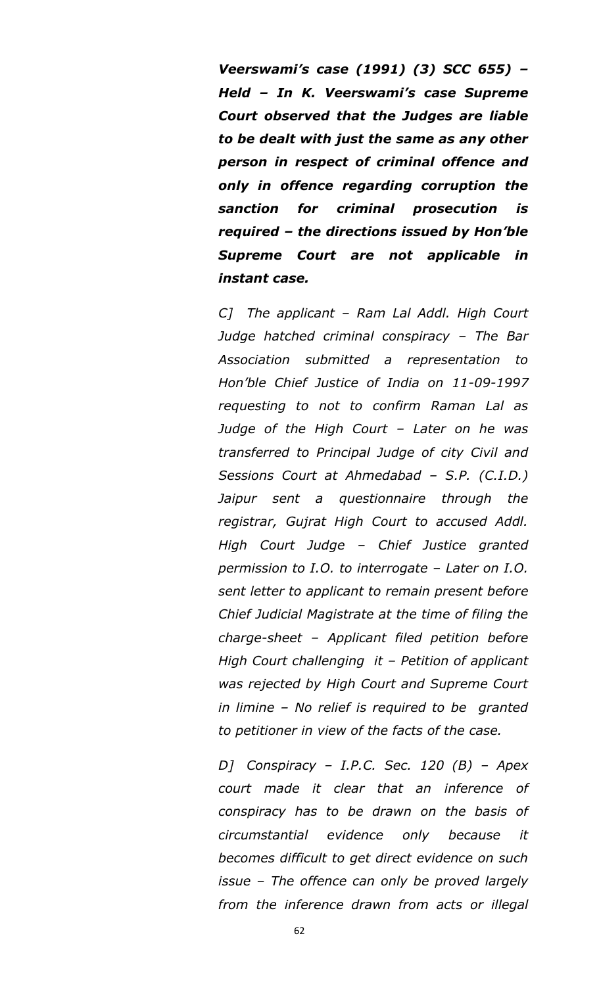*Veerswami's case (1991) (3) SCC 655) – Held – In K. Veerswami's case Supreme Court observed that the Judges are liable to be dealt with just the same as any other person in respect of criminal offence and only in offence regarding corruption the sanction for criminal prosecution is required – the directions issued by Hon'ble Supreme Court are not applicable in instant case.*

*C] The applicant – Ram Lal Addl. High Court Judge hatched criminal conspiracy – The Bar Association submitted a representation to Hon"ble Chief Justice of India on 11-09-1997 requesting to not to confirm Raman Lal as Judge of the High Court – Later on he was transferred to Principal Judge of city Civil and Sessions Court at Ahmedabad – S.P. (C.I.D.) Jaipur sent a questionnaire through the registrar, Gujrat High Court to accused Addl. High Court Judge – Chief Justice granted permission to I.O. to interrogate – Later on I.O. sent letter to applicant to remain present before Chief Judicial Magistrate at the time of filing the charge-sheet – Applicant filed petition before High Court challenging it – Petition of applicant was rejected by High Court and Supreme Court in limine – No relief is required to be granted to petitioner in view of the facts of the case.*

*D] Conspiracy – I.P.C. Sec. 120 (B) – Apex court made it clear that an inference of conspiracy has to be drawn on the basis of circumstantial evidence only because it becomes difficult to get direct evidence on such issue – The offence can only be proved largely from the inference drawn from acts or illegal*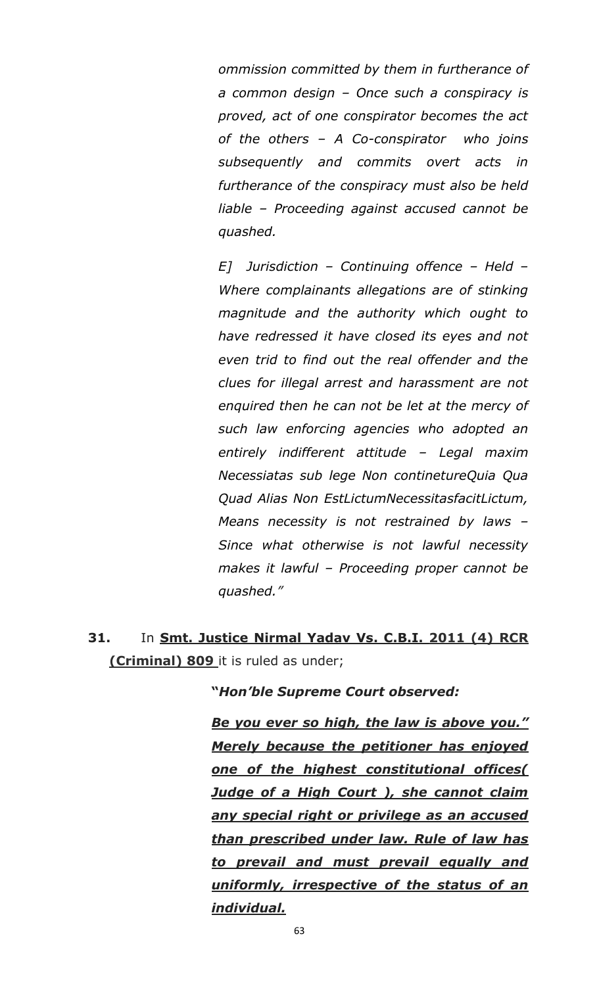*ommission committed by them in furtherance of a common design – Once such a conspiracy is proved, act of one conspirator becomes the act of the others – A Co-conspirator who joins subsequently and commits overt acts in furtherance of the conspiracy must also be held liable – Proceeding against accused cannot be quashed.* 

*E] Jurisdiction – Continuing offence – Held – Where complainants allegations are of stinking magnitude and the authority which ought to have redressed it have closed its eyes and not even trid to find out the real offender and the clues for illegal arrest and harassment are not enquired then he can not be let at the mercy of such law enforcing agencies who adopted an entirely indifferent attitude – Legal maxim Necessiatas sub lege Non continetureQuia Qua Quad Alias Non EstLictumNecessitasfacitLictum, Means necessity is not restrained by laws – Since what otherwise is not lawful necessity makes it lawful – Proceeding proper cannot be quashed."*

**31.** In **Smt. Justice Nirmal Yadav Vs. C.B.I. 2011 (4) RCR (Criminal) 809** it is ruled as under;

#### **"***Hon'ble Supreme Court observed:*

*Be you ever so high, the law is above you.‖ Merely because the petitioner has enjoyed one of the highest constitutional offices( Judge of a High Court ), she cannot claim any special right or privilege as an accused than prescribed under law. Rule of law has to prevail and must prevail equally and uniformly, irrespective of the status of an individual.*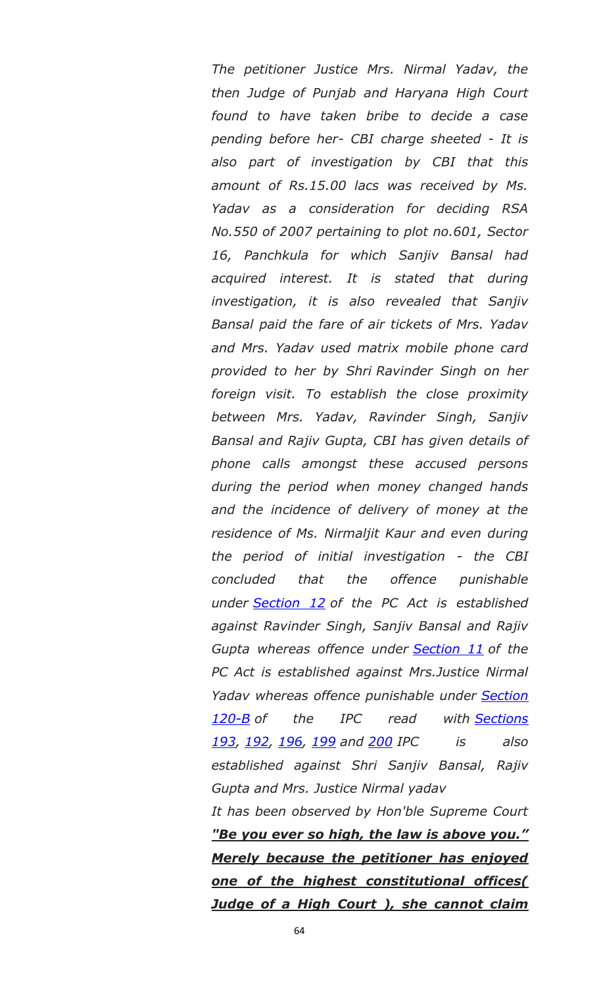*The petitioner Justice Mrs. Nirmal Yadav, the then Judge of Punjab and Haryana High Court found to have taken bribe to decide a case pending before her- CBI charge sheeted - It is also part of investigation by CBI that this amount of Rs.15.00 lacs was received by Ms. Yadav as a consideration for deciding RSA No.550 of 2007 pertaining to plot no.601, Sector 16, Panchkula for which Sanjiv Bansal had acquired interest. It is stated that during investigation, it is also revealed that Sanjiv Bansal paid the fare of air tickets of Mrs. Yadav and Mrs. Yadav used matrix mobile phone card provided to her by Shri Ravinder Singh on her foreign visit. To establish the close proximity between Mrs. Yadav, Ravinder Singh, Sanjiv Bansal and Rajiv Gupta, CBI has given details of phone calls amongst these accused persons during the period when money changed hands and the incidence of delivery of money at the residence of Ms. Nirmaljit Kaur and even during the period of initial investigation - the CBI concluded that the offence punishable under [Section 12](https://indiankanoon.org/doc/642316/) of the PC Act is established against Ravinder Singh, Sanjiv Bansal and Rajiv Gupta whereas offence under [Section 11](https://indiankanoon.org/doc/1973776/) of the PC Act is established against Mrs.Justice Nirmal Yadav whereas offence punishable under [Section](https://indiankanoon.org/doc/1897847/)  [120-B](https://indiankanoon.org/doc/1897847/) of the IPC read with [Sections](https://indiankanoon.org/doc/308396/)  [193,](https://indiankanoon.org/doc/308396/) [192,](https://indiankanoon.org/doc/1905297/) [196,](https://indiankanoon.org/doc/814524/) [199](https://indiankanoon.org/doc/739296/) and [200](https://indiankanoon.org/doc/943588/) IPC is also established against Shri Sanjiv Bansal, Rajiv Gupta and Mrs. Justice Nirmal yadav It has been observed by Hon'ble Supreme Court* 

*"Be you ever so high, the law is above you.‖ Merely because the petitioner has enjoyed one of the highest constitutional offices( Judge of a High Court ), she cannot claim*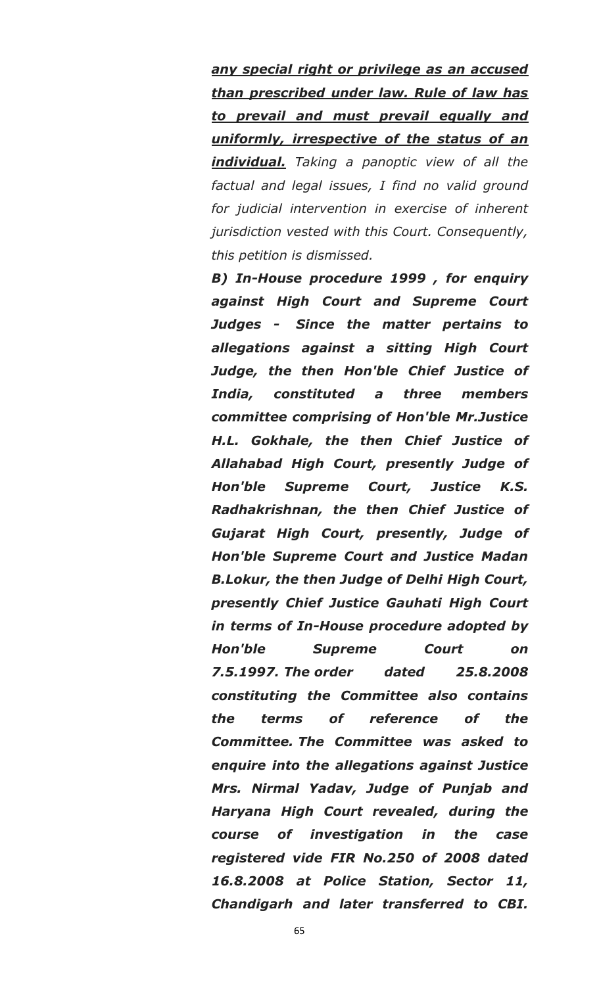*any special right or privilege as an accused than prescribed under law. Rule of law has to prevail and must prevail equally and uniformly, irrespective of the status of an individual. Taking a panoptic view of all the factual and legal issues, I find no valid ground for judicial intervention in exercise of inherent jurisdiction vested with this Court. Consequently, this petition is dismissed.*

*B) In-House procedure 1999 , for enquiry against High Court and Supreme Court Judges - Since the matter pertains to allegations against a sitting High Court Judge, the then Hon'ble Chief Justice of India, constituted a three members committee comprising of Hon'ble Mr.Justice H.L. Gokhale, the then Chief Justice of Allahabad High Court, presently Judge of Hon'ble Supreme Court, Justice K.S. Radhakrishnan, the then Chief Justice of Gujarat High Court, presently, Judge of Hon'ble Supreme Court and Justice Madan B.Lokur, the then Judge of Delhi High Court, presently Chief Justice Gauhati High Court in terms of In-House procedure adopted by Hon'ble Supreme Court on 7.5.1997. The order dated 25.8.2008 constituting the Committee also contains the terms of reference of the Committee. The Committee was asked to enquire into the allegations against Justice Mrs. Nirmal Yadav, Judge of Punjab and Haryana High Court revealed, during the course of investigation in the case registered vide FIR No.250 of 2008 dated 16.8.2008 at Police Station, Sector 11, Chandigarh and later transferred to CBI.*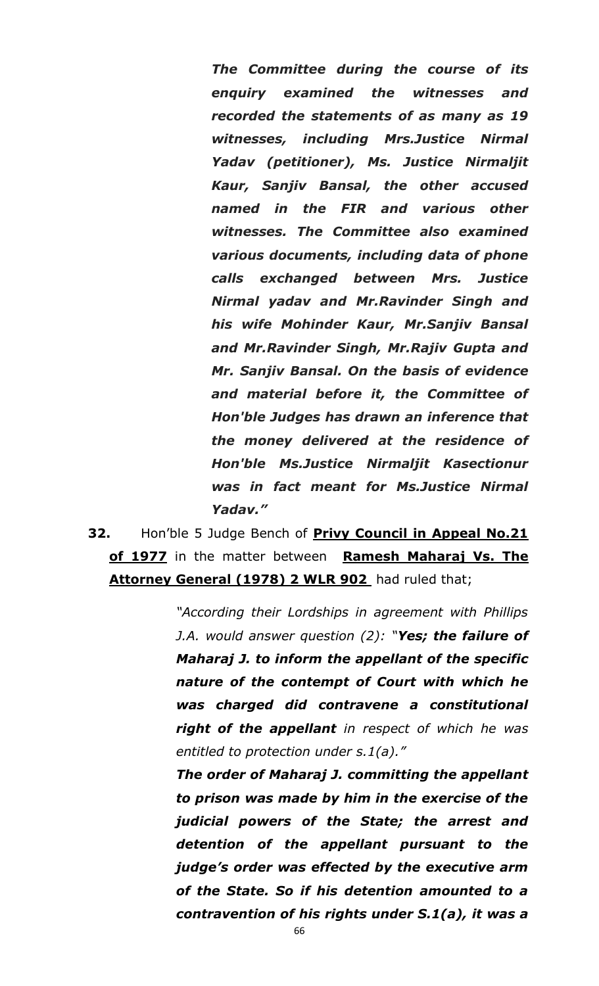*The Committee during the course of its enquiry examined the witnesses and recorded the statements of as many as 19 witnesses, including Mrs.Justice Nirmal Yadav (petitioner), Ms. Justice Nirmaljit Kaur, Sanjiv Bansal, the other accused named in the FIR and various other witnesses. The Committee also examined various documents, including data of phone calls exchanged between Mrs. Justice Nirmal yadav and Mr.Ravinder Singh and his wife Mohinder Kaur, Mr.Sanjiv Bansal and Mr.Ravinder Singh, Mr.Rajiv Gupta and Mr. Sanjiv Bansal. On the basis of evidence and material before it, the Committee of Hon'ble Judges has drawn an inference that the money delivered at the residence of Hon'ble Ms.Justice Nirmaljit Kasectionur was in fact meant for Ms.Justice Nirmal Yadav.‖*

**32.** Hon"ble 5 Judge Bench of **Privy Council in Appeal No.21 of 1977** in the matter between **Ramesh Maharaj Vs. The Attorney General (1978) 2 WLR 902** had ruled that;

> *"According their Lordships in agreement with Phillips J.A. would answer question (2): "Yes; the failure of Maharaj J. to inform the appellant of the specific nature of the contempt of Court with which he was charged did contravene a constitutional right of the appellant in respect of which he was entitled to protection under s.1(a)."*

> *The order of Maharaj J. committing the appellant to prison was made by him in the exercise of the judicial powers of the State; the arrest and detention of the appellant pursuant to the judge's order was effected by the executive arm of the State. So if his detention amounted to a contravention of his rights under S.1(a), it was a*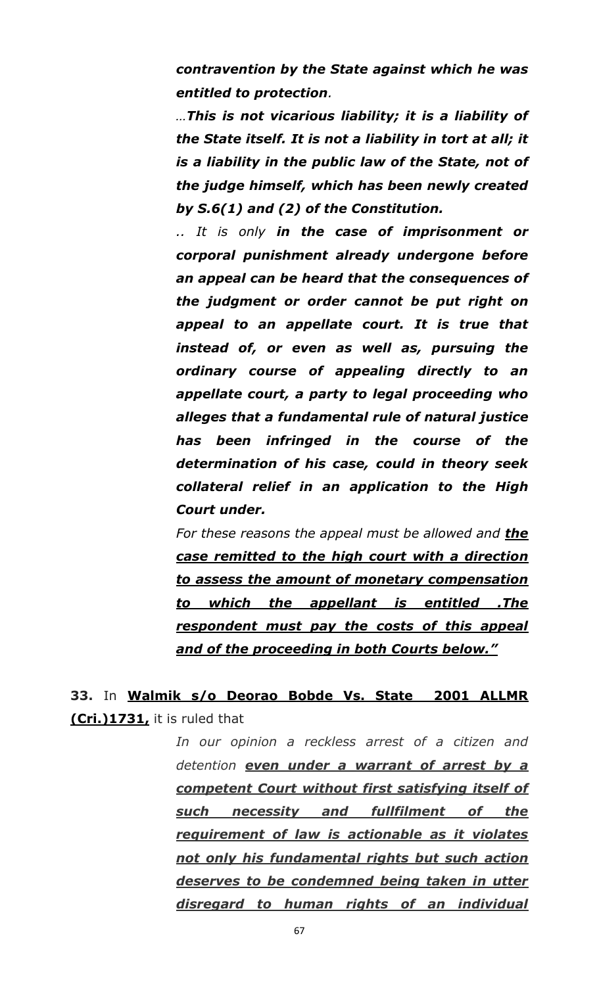*contravention by the State against which he was entitled to protection.*

*…This is not vicarious liability; it is a liability of the State itself. It is not a liability in tort at all; it is a liability in the public law of the State, not of the judge himself, which has been newly created by S.6(1) and (2) of the Constitution.*

*.. It is only in the case of imprisonment or corporal punishment already undergone before an appeal can be heard that the consequences of the judgment or order cannot be put right on appeal to an appellate court. It is true that instead of, or even as well as, pursuing the ordinary course of appealing directly to an appellate court, a party to legal proceeding who alleges that a fundamental rule of natural justice has been infringed in the course of the determination of his case, could in theory seek collateral relief in an application to the High Court under.*

*For these reasons the appeal must be allowed and the case remitted to the high court with a direction to assess the amount of monetary compensation to which the appellant is entitled .The respondent must pay the costs of this appeal and of the proceeding in both Courts below.‖*

## **33.** In **Walmik s/o Deorao Bobde Vs. State 2001 ALLMR (Cri.)1731,** it is ruled that

*In our opinion a reckless arrest of a citizen and detention even under a warrant of arrest by a competent Court without first satisfying itself of such necessity and fullfilment of the requirement of law is actionable as it violates not only his fundamental rights but such action deserves to be condemned being taken in utter disregard to human rights of an individual*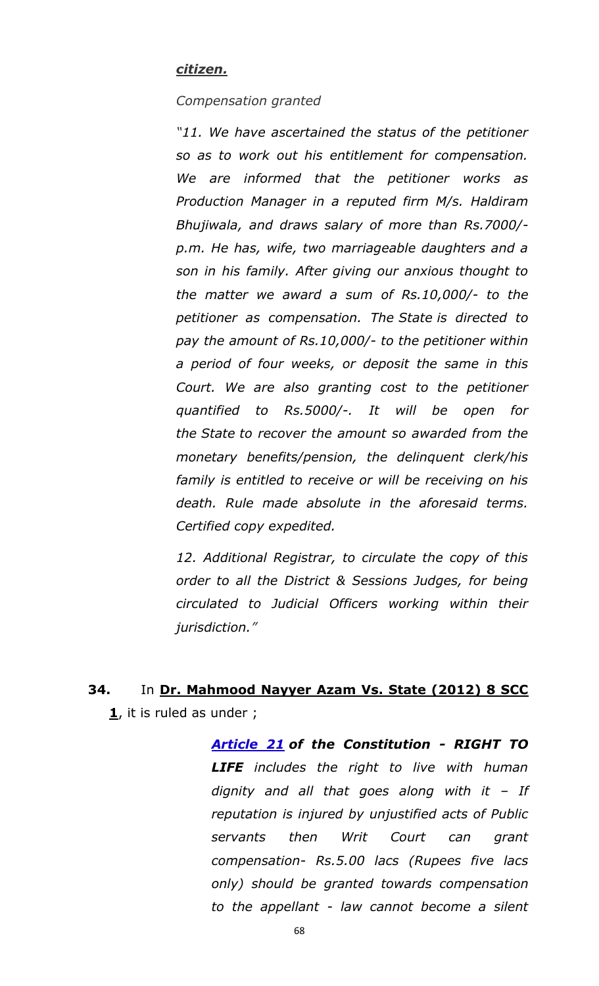#### *citizen.*

#### *Compensation granted*

*"11. We have ascertained the status of the petitioner so as to work out his entitlement for compensation. We are informed that the petitioner works as Production Manager in a reputed firm M/s. Haldiram Bhujiwala, and draws salary of more than Rs.7000/ p.m. He has, wife, two marriageable daughters and a son in his family. After giving our anxious thought to the matter we award a sum of Rs.10,000/- to the petitioner as compensation. The State is directed to pay the amount of Rs.10,000/- to the petitioner within a period of four weeks, or deposit the same in this Court. We are also granting cost to the petitioner quantified to Rs.5000/-. It will be open for the State to recover the amount so awarded from the monetary benefits/pension, the delinquent clerk/his family is entitled to receive or will be receiving on his death. Rule made absolute in the aforesaid terms. Certified copy expedited.*

*12. Additional Registrar, to circulate the copy of this order to all the District & Sessions Judges, for being circulated to Judicial Officers working within their jurisdiction."*

**34.** In **Dr. Mahmood Nayyer Azam Vs. State (2012) 8 SCC 1**, it is ruled as under ;

> *[Article 21](http://indiankanoon.org/doc/1199182/) of the Constitution - RIGHT TO LIFE includes the right to live with human dignity and all that goes along with it – If reputation is injured by unjustified acts of Public servants then Writ Court can grant compensation- Rs.5.00 lacs (Rupees five lacs only) should be granted towards compensation to the appellant - law cannot become a silent*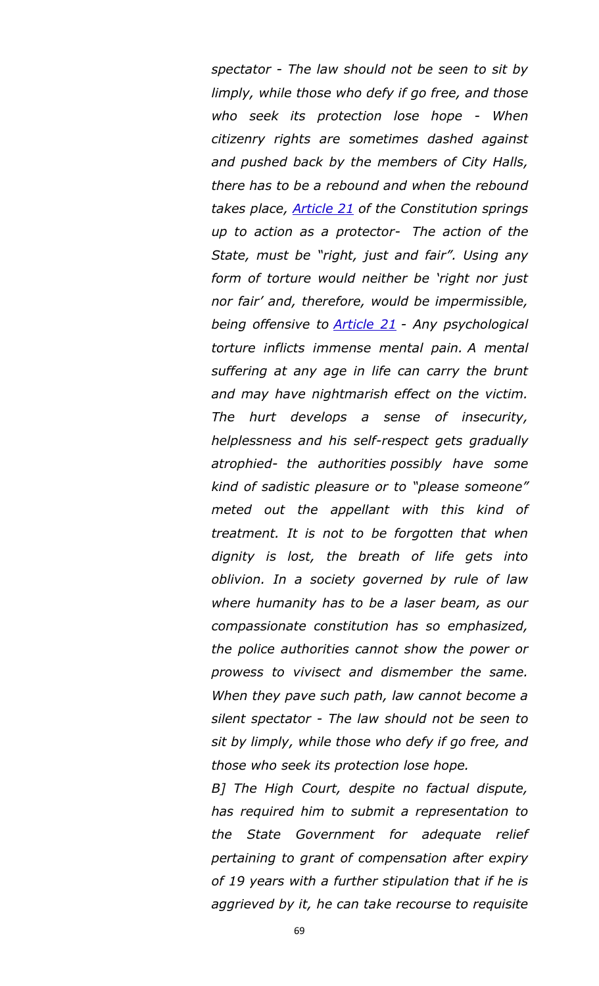*spectator - The law should not be seen to sit by limply, while those who defy if go free, and those who seek its protection lose hope - When citizenry rights are sometimes dashed against and pushed back by the members of City Halls, there has to be a rebound and when the rebound takes place, [Article 21](http://indiankanoon.org/doc/1199182/) of the Constitution springs up to action as a protector- The action of the State, must be "right, just and fair". Using any form of torture would neither be "right nor just nor fair" and, therefore, would be impermissible, being offensive to [Article 21](http://indiankanoon.org/doc/1199182/) - Any psychological torture inflicts immense mental pain. A mental suffering at any age in life can carry the brunt and may have nightmarish effect on the victim. The hurt develops a sense of insecurity, helplessness and his self-respect gets gradually atrophied- the authorities possibly have some kind of sadistic pleasure or to "please someone" meted out the appellant with this kind of treatment. It is not to be forgotten that when dignity is lost, the breath of life gets into oblivion. In a society governed by rule of law where humanity has to be a laser beam, as our compassionate constitution has so emphasized, the police authorities cannot show the power or prowess to vivisect and dismember the same. When they pave such path, law cannot become a silent spectator - The law should not be seen to sit by limply, while those who defy if go free, and those who seek its protection lose hope.*

*B] The High Court, despite no factual dispute, has required him to submit a representation to the State Government for adequate relief pertaining to grant of compensation after expiry of 19 years with a further stipulation that if he is aggrieved by it, he can take recourse to requisite*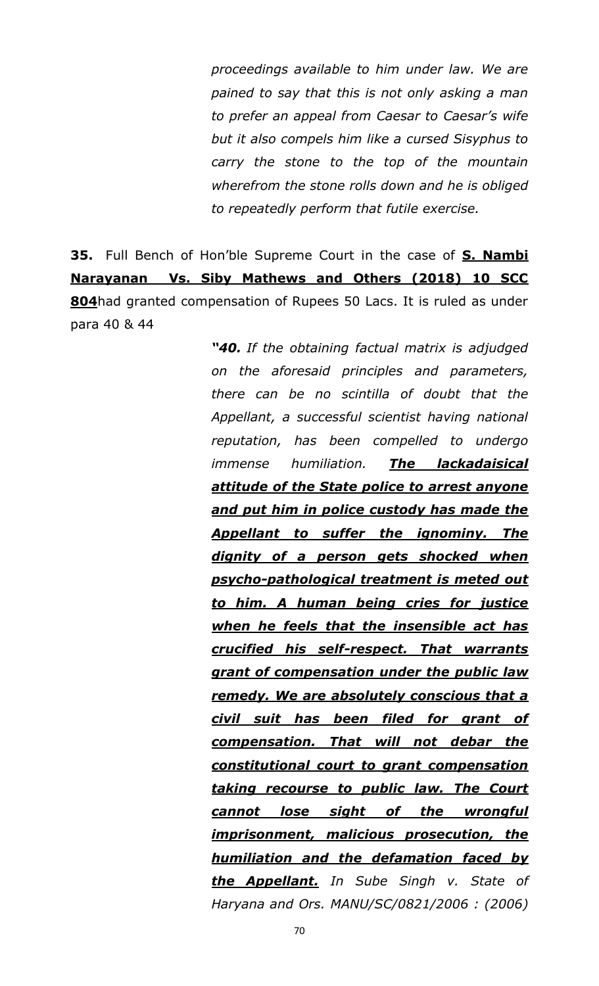*proceedings available to him under law. We are pained to say that this is not only asking a man to prefer an appeal from Caesar to Caesar"s wife but it also compels him like a cursed Sisyphus to carry the stone to the top of the mountain wherefrom the stone rolls down and he is obliged to repeatedly perform that futile exercise.*

**35.** Full Bench of Hon"ble Supreme Court in the case of **S. Nambi Narayanan Vs. Siby Mathews and Others (2018) 10 SCC 804**had granted compensation of Rupees 50 Lacs. It is ruled as under para 40 & 44

> *―40. If the obtaining factual matrix is adjudged on the aforesaid principles and parameters, there can be no scintilla of doubt that the Appellant, a successful scientist having national reputation, has been compelled to undergo immense humiliation. The lackadaisical attitude of the State police to arrest anyone and put him in police custody has made the Appellant to suffer the ignominy. The dignity of a person gets shocked when psycho-pathological treatment is meted out to him. A human being cries for justice when he feels that the insensible act has crucified his self-respect. That warrants grant of compensation under the public law remedy. We are absolutely conscious that a civil suit has been filed for grant of compensation. That will not debar the constitutional court to grant compensation taking recourse to public law. The Court cannot lose sight of the wrongful imprisonment, malicious prosecution, the humiliation and the defamation faced by the Appellant. In Sube Singh v. State of Haryana and Ors. MANU/SC/0821/2006 : (2006)*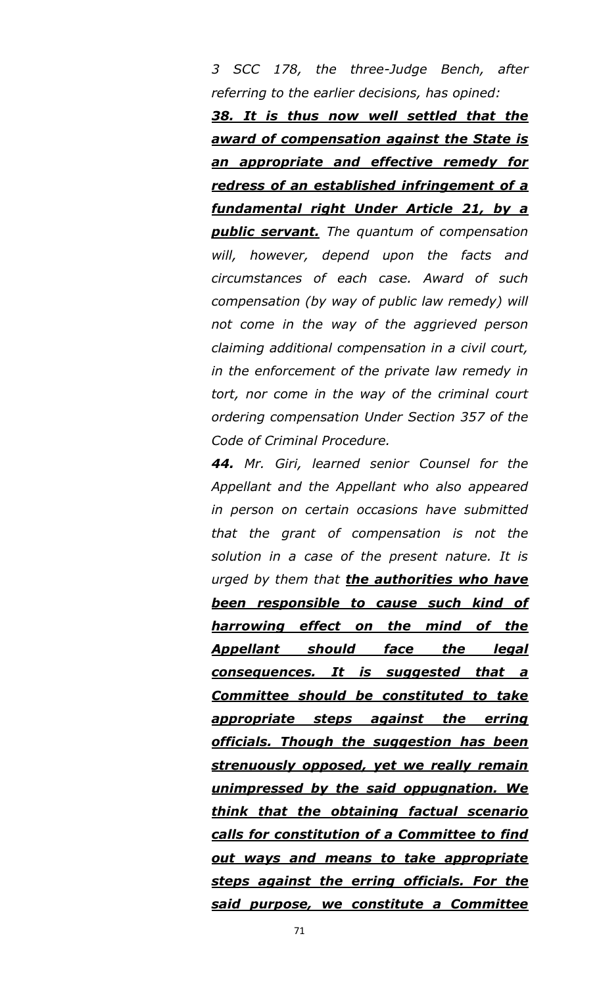*3 SCC 178, the three-Judge Bench, after referring to the earlier decisions, has opined:*

*38. It is thus now well settled that the award of compensation against the State is an appropriate and effective remedy for redress of an established infringement of a fundamental right Under Article 21, by a public servant. The quantum of compensation will, however, depend upon the facts and circumstances of each case. Award of such compensation (by way of public law remedy) will not come in the way of the aggrieved person claiming additional compensation in a civil court, in the enforcement of the private law remedy in tort, nor come in the way of the criminal court ordering compensation Under Section 357 of the Code of Criminal Procedure.*

*44. Mr. Giri, learned senior Counsel for the Appellant and the Appellant who also appeared in person on certain occasions have submitted that the grant of compensation is not the solution in a case of the present nature. It is urged by them that the authorities who have been responsible to cause such kind of harrowing effect on the mind of the Appellant should face the legal consequences. It is suggested that a Committee should be constituted to take appropriate steps against the erring officials. Though the suggestion has been strenuously opposed, yet we really remain unimpressed by the said oppugnation. We think that the obtaining factual scenario calls for constitution of a Committee to find out ways and means to take appropriate steps against the erring officials. For the said purpose, we constitute a Committee*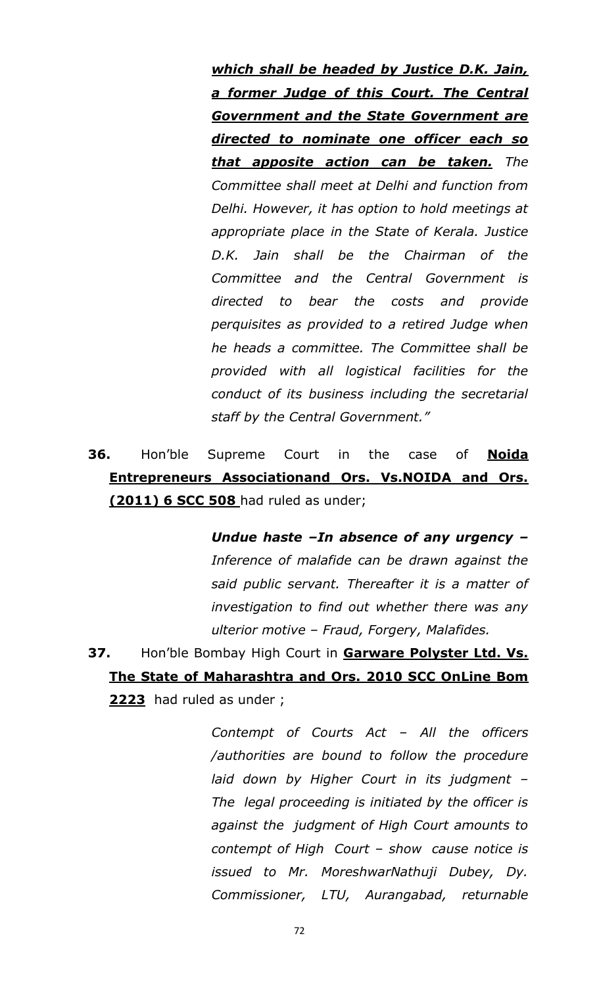*which shall be headed by Justice D.K. Jain, a former Judge of this Court. The Central Government and the State Government are directed to nominate one officer each so that apposite action can be taken. The Committee shall meet at Delhi and function from Delhi. However, it has option to hold meetings at appropriate place in the State of Kerala. Justice D.K. Jain shall be the Chairman of the Committee and the Central Government is directed to bear the costs and provide perquisites as provided to a retired Judge when he heads a committee. The Committee shall be provided with all logistical facilities for the conduct of its business including the secretarial staff by the Central Government."* 

# **36.** Hon"ble Supreme Court in the case of **Noida Entrepreneurs Associationand Ors. Vs.NOIDA and Ors. (2011) 6 SCC 508** had ruled as under;

*Undue haste –In absence of any urgency – Inference of malafide can be drawn against the said public servant. Thereafter it is a matter of investigation to find out whether there was any ulterior motive – Fraud, Forgery, Malafides.* 

**37.** Hon"ble Bombay High Court in **Garware Polyster Ltd. Vs. The State of Maharashtra and Ors. 2010 SCC OnLine Bom 2223** had ruled as under ;

> *Contempt of Courts Act – All the officers /authorities are bound to follow the procedure laid down by Higher Court in its judgment – The legal proceeding is initiated by the officer is against the judgment of High Court amounts to contempt of High Court – show cause notice is issued to Mr. MoreshwarNathuji Dubey, Dy. Commissioner, LTU, Aurangabad, returnable*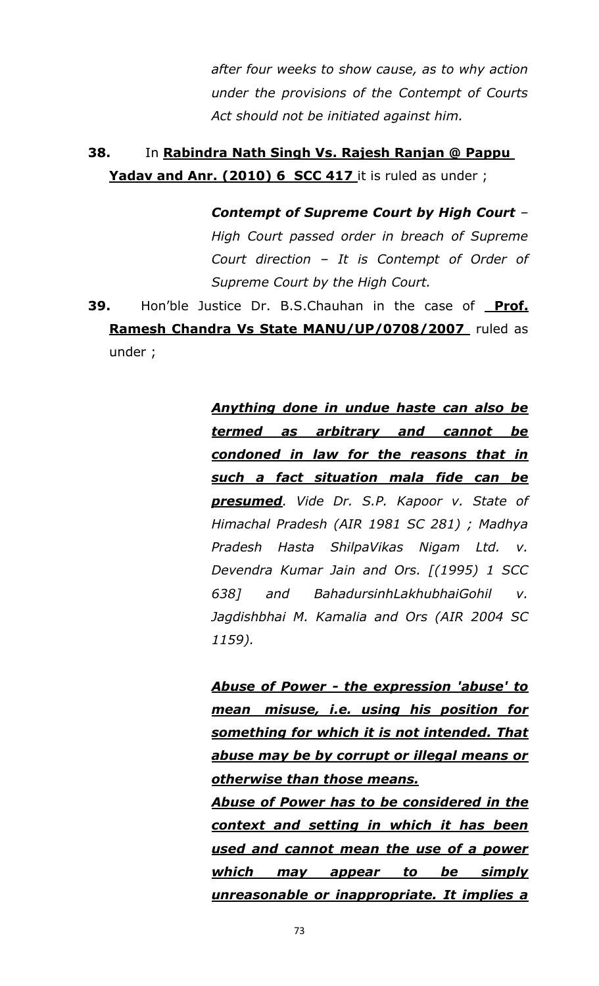*after four weeks to show cause, as to why action under the provisions of the Contempt of Courts Act should not be initiated against him.*

## **38.** In **Rabindra Nath Singh Vs. Rajesh Ranjan @ Pappu**  Yadav and Anr. (2010) 6 SCC 417 it is ruled as under ;

*Contempt of Supreme Court by High Court – High Court passed order in breach of Supreme Court direction – It is Contempt of Order of Supreme Court by the High Court.*

**39.** Hon"ble Justice Dr. B.S.Chauhan in the case of **Prof. Ramesh Chandra Vs State MANU/UP/0708/2007** ruled as under ;

> *Anything done in undue haste can also be termed as arbitrary and cannot be condoned in law for the reasons that in such a fact situation mala fide can be presumed. Vide Dr. S.P. Kapoor v. State of Himachal Pradesh (AIR 1981 SC 281) ; Madhya Pradesh Hasta ShilpaVikas Nigam Ltd. v. Devendra Kumar Jain and Ors. [(1995) 1 SCC 638] and BahadursinhLakhubhaiGohil v. Jagdishbhai M. Kamalia and Ors (AIR 2004 SC 1159).*

> *Abuse of Power - the expression 'abuse' to mean misuse, i.e. using his position for something for which it is not intended. That abuse may be by corrupt or illegal means or otherwise than those means.*

> *Abuse of Power has to be considered in the context and setting in which it has been used and cannot mean the use of a power which may appear to be simply unreasonable or inappropriate. It implies a*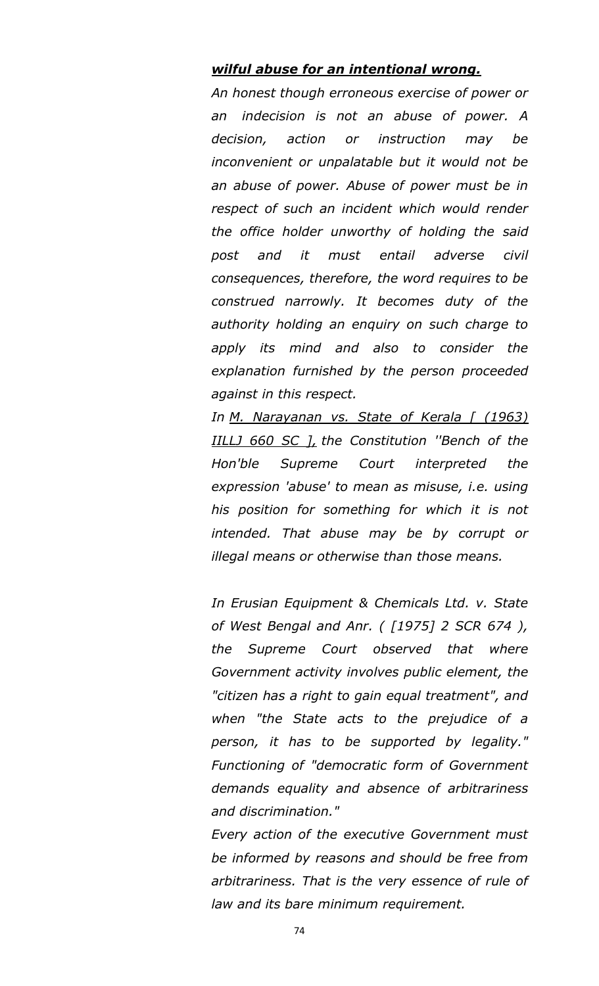#### *wilful abuse for an intentional wrong.*

*An honest though erroneous exercise of power or an indecision is not an abuse of power. A decision, action or instruction may be inconvenient or unpalatable but it would not be an abuse of power. Abuse of power must be in respect of such an incident which would render the office holder unworthy of holding the said post and it must entail adverse civil consequences, therefore, the word requires to be construed narrowly. It becomes duty of the authority holding an enquiry on such charge to apply its mind and also to consider the explanation furnished by the person proceeded against in this respect.*

*In M. Narayanan vs. State of Kerala [ (1963) IILLJ 660 SC ], the Constitution ''Bench of the Hon'ble Supreme Court interpreted the expression 'abuse' to mean as misuse, i.e. using his position for something for which it is not intended. That abuse may be by corrupt or illegal means or otherwise than those means.*

*In Erusian Equipment & Chemicals Ltd. v. State of West Bengal and Anr. ( [1975] 2 SCR 674 ), the Supreme Court observed that where Government activity involves public element, the "citizen has a right to gain equal treatment", and when "the State acts to the prejudice of a person, it has to be supported by legality." Functioning of "democratic form of Government demands equality and absence of arbitrariness and discrimination."*

*Every action of the executive Government must be informed by reasons and should be free from arbitrariness. That is the very essence of rule of law and its bare minimum requirement.*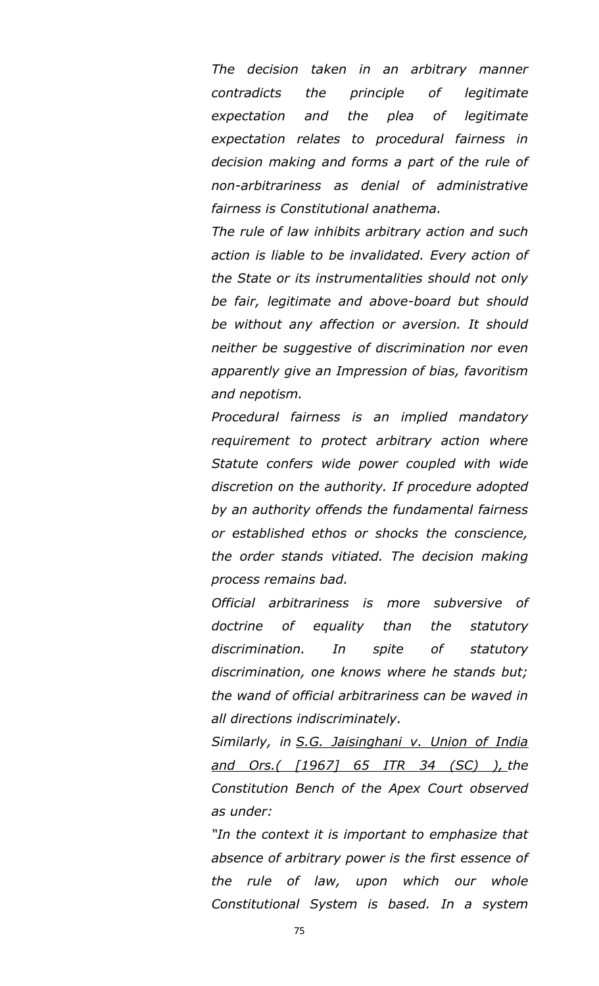*The decision taken in an arbitrary manner contradicts the principle of legitimate expectation and the plea of legitimate expectation relates to procedural fairness in decision making and forms a part of the rule of non-arbitrariness as denial of administrative fairness is Constitutional anathema.*

*The rule of law inhibits arbitrary action and such action is liable to be invalidated. Every action of the State or its instrumentalities should not only be fair, legitimate and above-board but should be without any affection or aversion. It should neither be suggestive of discrimination nor even apparently give an Impression of bias, favoritism and nepotism.*

*Procedural fairness is an implied mandatory requirement to protect arbitrary action where Statute confers wide power coupled with wide discretion on the authority. If procedure adopted by an authority offends the fundamental fairness or established ethos or shocks the conscience, the order stands vitiated. The decision making process remains bad.*

*Official arbitrariness is more subversive of doctrine of equality than the statutory discrimination. In spite of statutory discrimination, one knows where he stands but; the wand of official arbitrariness can be waved in all directions indiscriminately.*

*Similarly, in S.G. Jaisinghani v. Union of India and Ors.( [1967] 65 ITR 34 (SC) ), the Constitution Bench of the Apex Court observed as under:*

*"In the context it is important to emphasize that absence of arbitrary power is the first essence of the rule of law, upon which our whole Constitutional System is based. In a system*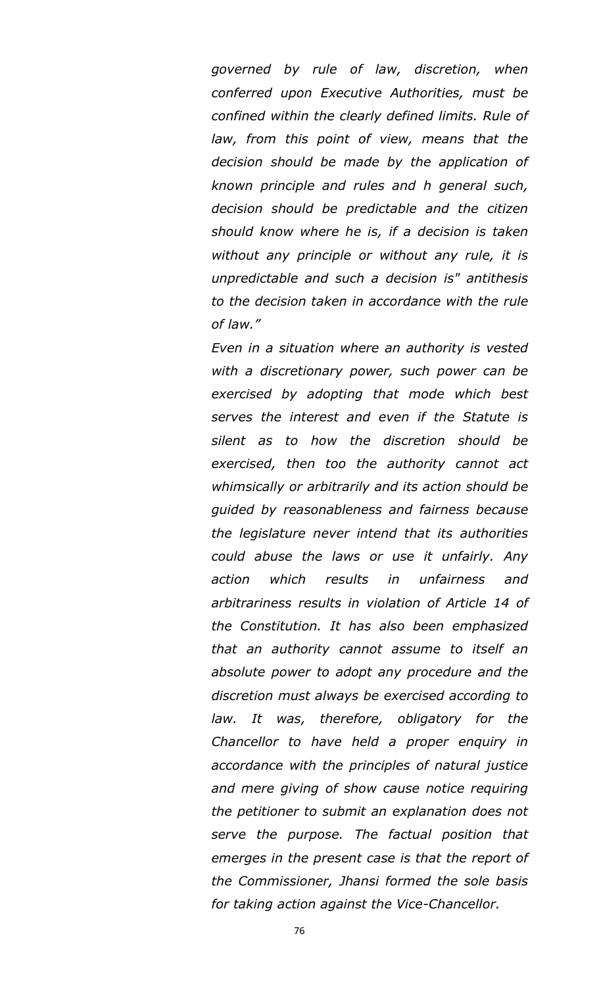*governed by rule of law, discretion, when conferred upon Executive Authorities, must be confined within the clearly defined limits. Rule of law, from this point of view, means that the decision should be made by the application of known principle and rules and h general such, decision should be predictable and the citizen should know where he is, if a decision is taken without any principle or without any rule, it is unpredictable and such a decision is" antithesis to the decision taken in accordance with the rule of law."*

*Even in a situation where an authority is vested with a discretionary power, such power can be exercised by adopting that mode which best serves the interest and even if the Statute is silent as to how the discretion should be exercised, then too the authority cannot act whimsically or arbitrarily and its action should be guided by reasonableness and fairness because the legislature never intend that its authorities could abuse the laws or use it unfairly. Any action which results in unfairness and arbitrariness results in violation of Article 14 of the Constitution. It has also been emphasized that an authority cannot assume to itself an absolute power to adopt any procedure and the discretion must always be exercised according to law. It was, therefore, obligatory for the Chancellor to have held a proper enquiry in accordance with the principles of natural justice and mere giving of show cause notice requiring the petitioner to submit an explanation does not serve the purpose. The factual position that emerges in the present case is that the report of the Commissioner, Jhansi formed the sole basis for taking action against the Vice-Chancellor.*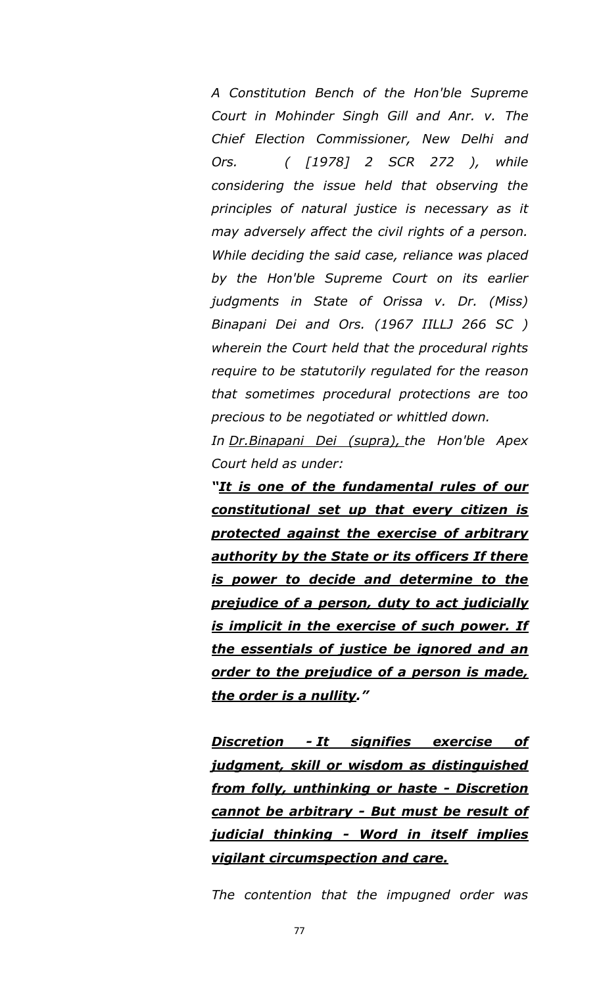*A Constitution Bench of the Hon'ble Supreme Court in Mohinder Singh Gill and Anr. v. The Chief Election Commissioner, New Delhi and Ors. ( [1978] 2 SCR 272 ), while considering the issue held that observing the principles of natural justice is necessary as it may adversely affect the civil rights of a person. While deciding the said case, reliance was placed by the Hon'ble Supreme Court on its earlier judgments in State of Orissa v. Dr. (Miss) Binapani Dei and Ors. (1967 IILLJ 266 SC ) wherein the Court held that the procedural rights require to be statutorily regulated for the reason that sometimes procedural protections are too precious to be negotiated or whittled down.*

*In Dr.Binapani Dei (supra), the Hon'ble Apex Court held as under:*

*―It is one of the fundamental rules of our constitutional set up that every citizen is protected against the exercise of arbitrary authority by the State or its officers If there is power to decide and determine to the prejudice of a person, duty to act judicially is implicit in the exercise of such power. If the essentials of justice be ignored and an order to the prejudice of a person is made, the order is a nullity.‖*

*Discretion - It signifies exercise of judgment, skill or wisdom as distinguished from folly, unthinking or haste - Discretion cannot be arbitrary - But must be result of judicial thinking - Word in itself implies vigilant circumspection and care.*

*The contention that the impugned order was*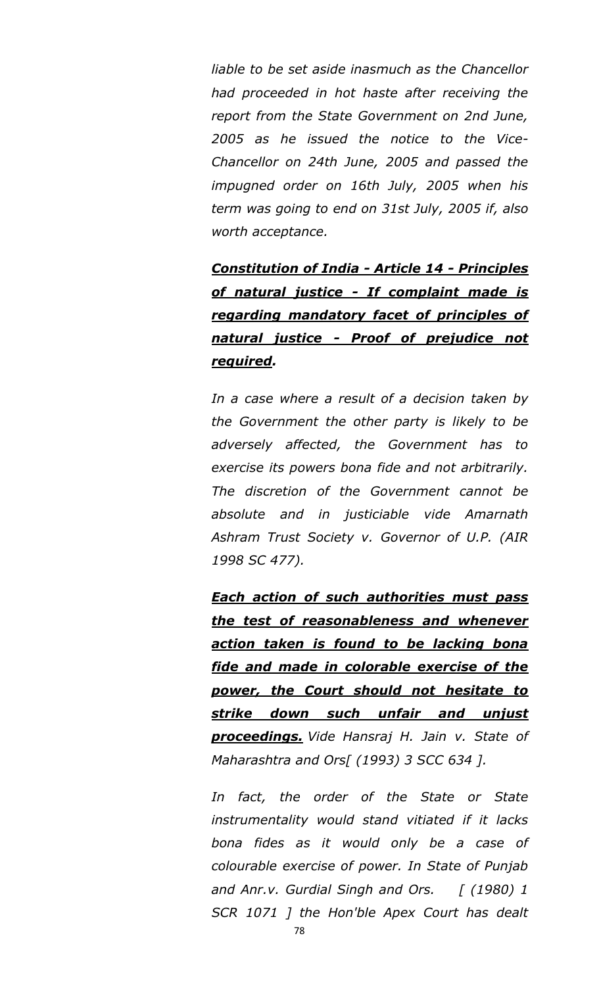*liable to be set aside inasmuch as the Chancellor had proceeded in hot haste after receiving the report from the State Government on 2nd June, 2005 as he issued the notice to the Vice-Chancellor on 24th June, 2005 and passed the impugned order on 16th July, 2005 when his term was going to end on 31st July, 2005 if, also worth acceptance.*

*Constitution of India - Article 14 - Principles of natural justice - If complaint made is regarding mandatory facet of principles of natural justice - Proof of prejudice not required.*

*In a case where a result of a decision taken by the Government the other party is likely to be adversely affected, the Government has to exercise its powers bona fide and not arbitrarily. The discretion of the Government cannot be absolute and in justiciable vide Amarnath Ashram Trust Society v. Governor of U.P. (AIR 1998 SC 477).*

*Each action of such authorities must pass the test of reasonableness and whenever action taken is found to be lacking bona fide and made in colorable exercise of the power, the Court should not hesitate to strike down such unfair and unjust proceedings. Vide Hansraj H. Jain v. State of Maharashtra and Ors[ (1993) 3 SCC 634 ].*

*In fact, the order of the State or State instrumentality would stand vitiated if it lacks bona fides as it would only be a case of colourable exercise of power. In State of Punjab and Anr.v. Gurdial Singh and Ors. [ (1980) 1 SCR 1071 ] the Hon'ble Apex Court has dealt*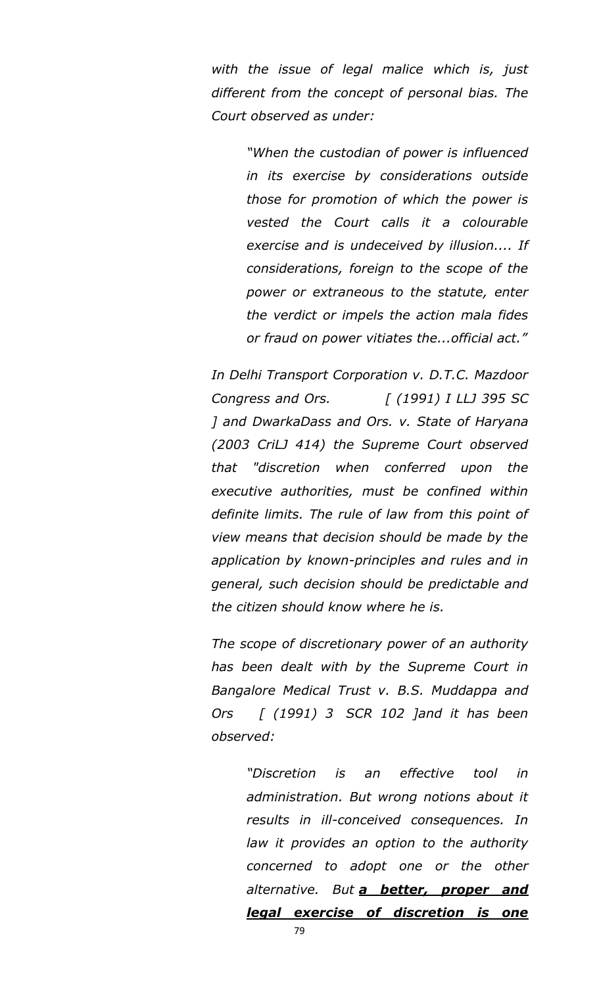*with the issue of legal malice which is, just different from the concept of personal bias. The Court observed as under:*

> *"When the custodian of power is influenced in its exercise by considerations outside those for promotion of which the power is vested the Court calls it a colourable exercise and is undeceived by illusion.... If considerations, foreign to the scope of the power or extraneous to the statute, enter the verdict or impels the action mala fides or fraud on power vitiates the...official act."*

*In Delhi Transport Corporation v. D.T.C. Mazdoor Congress and Ors. [ (1991) I LLJ 395 SC ] and DwarkaDass and Ors. v. State of Haryana (2003 CriLJ 414) the Supreme Court observed that "discretion when conferred upon the executive authorities, must be confined within definite limits. The rule of law from this point of view means that decision should be made by the application by known-principles and rules and in general, such decision should be predictable and the citizen should know where he is.*

*The scope of discretionary power of an authority has been dealt with by the Supreme Court in Bangalore Medical Trust v. B.S. Muddappa and Ors [ (1991) 3 SCR 102 ]and it has been observed:*

> *"Discretion is an effective tool in administration. But wrong notions about it results in ill-conceived consequences. In law it provides an option to the authority concerned to adopt one or the other alternative. But a better, proper and legal exercise of discretion is one*

> > 79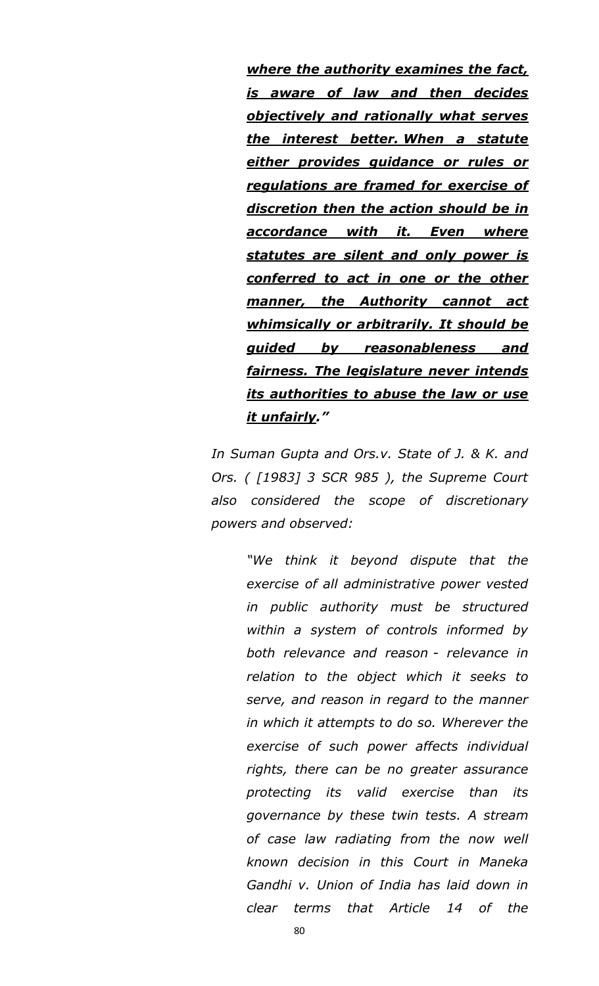*where the authority examines the fact, is aware of law and then decides objectively and rationally what serves the interest better. When a statute either provides guidance or rules or regulations are framed for exercise of discretion then the action should be in accordance with it. Even where statutes are silent and only power is conferred to act in one or the other manner, the Authority cannot act whimsically or arbitrarily. It should be guided by reasonableness and fairness. The legislature never intends its authorities to abuse the law or use it unfairly.‖*

*In Suman Gupta and Ors.v. State of J. & K. and Ors. ( [1983] 3 SCR 985 ), the Supreme Court also considered the scope of discretionary powers and observed:*

> *"We think it beyond dispute that the exercise of all administrative power vested in public authority must be structured within a system of controls informed by both relevance and reason - relevance in relation to the object which it seeks to serve, and reason in regard to the manner in which it attempts to do so. Wherever the exercise of such power affects individual rights, there can be no greater assurance protecting its valid exercise than its governance by these twin tests. A stream of case law radiating from the now well known decision in this Court in Maneka Gandhi v. Union of India has laid down in clear terms that Article 14 of the*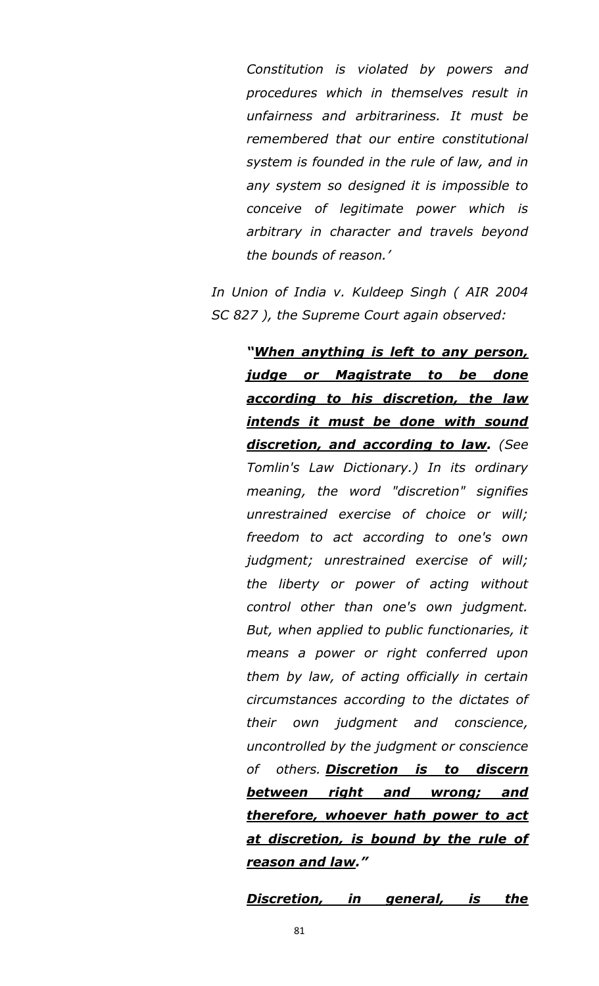*Constitution is violated by powers and procedures which in themselves result in unfairness and arbitrariness. It must be remembered that our entire constitutional system is founded in the rule of law, and in any system so designed it is impossible to conceive of legitimate power which is arbitrary in character and travels beyond the bounds of reason."*

*In Union of India v. Kuldeep Singh ( AIR 2004 SC 827 ), the Supreme Court again observed:*

> *―When anything is left to any person, judge or Magistrate to be done according to his discretion, the law intends it must be done with sound discretion, and according to law. (See Tomlin's Law Dictionary.) In its ordinary meaning, the word "discretion" signifies unrestrained exercise of choice or will; freedom to act according to one's own judgment; unrestrained exercise of will; the liberty or power of acting without control other than one's own judgment. But, when applied to public functionaries, it means a power or right conferred upon them by law, of acting officially in certain circumstances according to the dictates of their own judgment and conscience, uncontrolled by the judgment or conscience of others. Discretion is to discern between right and wrong; and therefore, whoever hath power to act at discretion, is bound by the rule of reason and law.‖*

> *Discretion, in general, is the*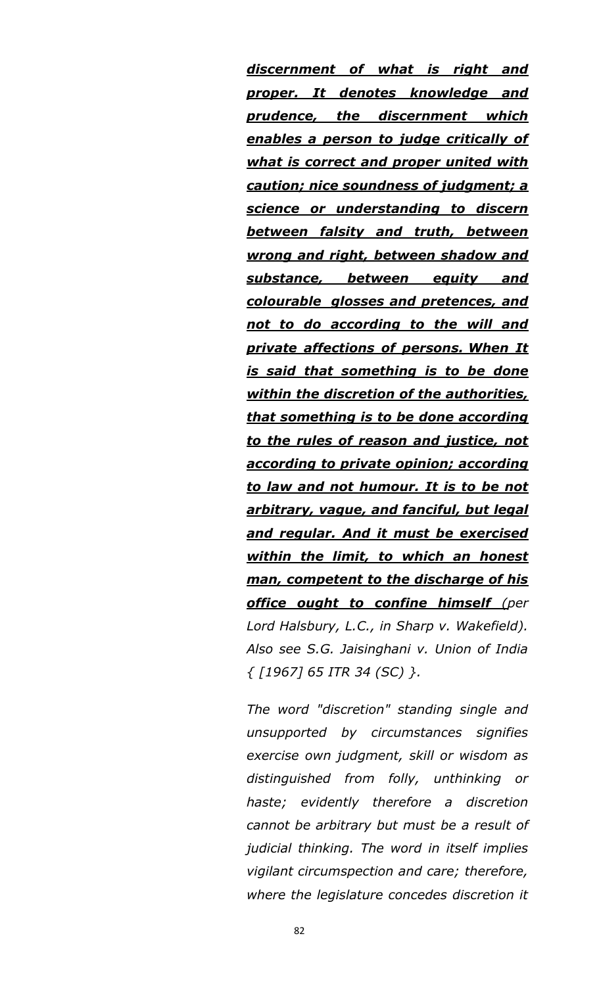*discernment of what is right and proper. It denotes knowledge and prudence, the discernment which enables a person to judge critically of what is correct and proper united with caution; nice soundness of judgment; a science or understanding to discern between falsity and truth, between wrong and right, between shadow and substance, between equity and colourable glosses and pretences, and not to do according to the will and private affections of persons. When It is said that something is to be done within the discretion of the authorities, that something is to be done according to the rules of reason and justice, not according to private opinion; according to law and not humour. It is to be not arbitrary, vague, and fanciful, but legal and regular. And it must be exercised within the limit, to which an honest man, competent to the discharge of his office ought to confine himself (per Lord Halsbury, L.C., in Sharp v. Wakefield). Also see S.G. Jaisinghani v. Union of India { [1967] 65 ITR 34 (SC) }.*

*The word "discretion" standing single and unsupported by circumstances signifies exercise own judgment, skill or wisdom as distinguished from folly, unthinking or haste; evidently therefore a discretion cannot be arbitrary but must be a result of judicial thinking. The word in itself implies vigilant circumspection and care; therefore, where the legislature concedes discretion it*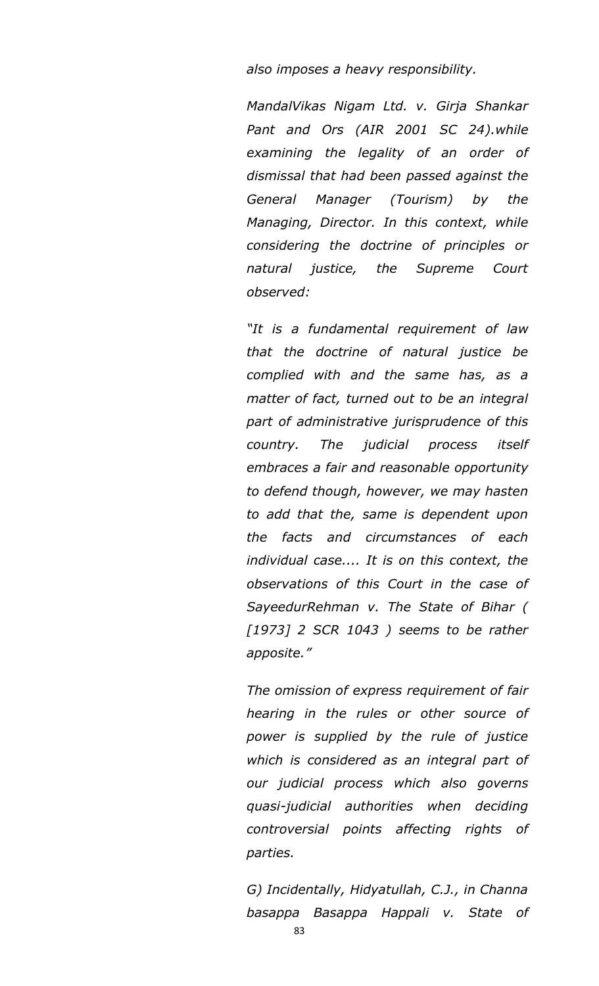*also imposes a heavy responsibility.*

*MandalVikas Nigam Ltd. v. Girja Shankar Pant and Ors (AIR 2001 SC 24).while examining the legality of an order of dismissal that had been passed against the General Manager (Tourism) by the Managing, Director. In this context, while considering the doctrine of principles or natural justice, the Supreme Court observed:*

*"It is a fundamental requirement of law that the doctrine of natural justice be complied with and the same has, as a matter of fact, turned out to be an integral part of administrative jurisprudence of this country. The judicial process itself embraces a fair and reasonable opportunity to defend though, however, we may hasten to add that the, same is dependent upon the facts and circumstances of each individual case.... It is on this context, the observations of this Court in the case of SayeedurRehman v. The State of Bihar ( [1973] 2 SCR 1043 ) seems to be rather apposite."*

*The omission of express requirement of fair hearing in the rules or other source of power is supplied by the rule of justice which is considered as an integral part of our judicial process which also governs quasi-judicial authorities when deciding controversial points affecting rights of parties.*

*G) Incidentally, Hidyatullah, C.J., in Channa basappa Basappa Happali v. State of*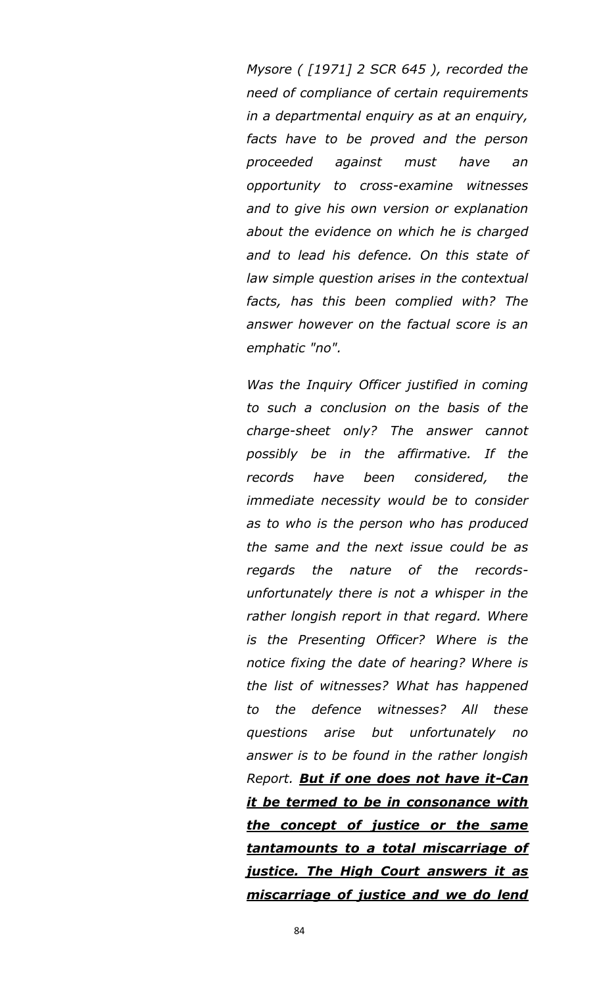*Mysore ( [1971] 2 SCR 645 ), recorded the need of compliance of certain requirements in a departmental enquiry as at an enquiry, facts have to be proved and the person proceeded against must have an opportunity to cross-examine witnesses and to give his own version or explanation about the evidence on which he is charged and to lead his defence. On this state of law simple question arises in the contextual facts, has this been complied with? The answer however on the factual score is an emphatic "no".*

*Was the Inquiry Officer justified in coming to such a conclusion on the basis of the charge-sheet only? The answer cannot possibly be in the affirmative. If the records have been considered, the immediate necessity would be to consider as to who is the person who has produced the same and the next issue could be as regards the nature of the recordsunfortunately there is not a whisper in the rather longish report in that regard. Where is the Presenting Officer? Where is the notice fixing the date of hearing? Where is the list of witnesses? What has happened to the defence witnesses? All these questions arise but unfortunately no answer is to be found in the rather longish Report. But if one does not have it-Can it be termed to be in consonance with the concept of justice or the same tantamounts to a total miscarriage of justice. The High Court answers it as miscarriage of justice and we do lend*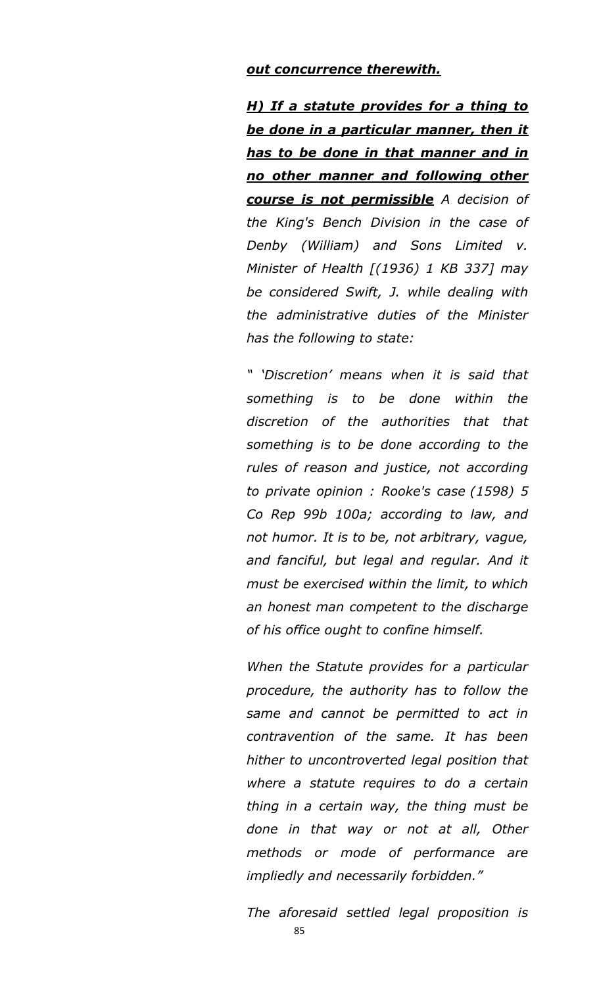#### *out concurrence therewith.*

*H) If a statute provides for a thing to be done in a particular manner, then it has to be done in that manner and in no other manner and following other course is not permissible A decision of the King's Bench Division in the case of Denby (William) and Sons Limited v. Minister of Health [(1936) 1 KB 337] may be considered Swift, J. while dealing with the administrative duties of the Minister has the following to state:*

*" "Discretion" means when it is said that something is to be done within the discretion of the authorities that that something is to be done according to the rules of reason and justice, not according to private opinion : Rooke's case (1598) 5 Co Rep 99b 100a; according to law, and not humor. It is to be, not arbitrary, vague, and fanciful, but legal and regular. And it must be exercised within the limit, to which an honest man competent to the discharge of his office ought to confine himself.*

*When the Statute provides for a particular procedure, the authority has to follow the same and cannot be permitted to act in contravention of the same. It has been hither to uncontroverted legal position that where a statute requires to do a certain thing in a certain way, the thing must be done in that way or not at all, Other methods or mode of performance are impliedly and necessarily forbidden."*

*The aforesaid settled legal proposition is*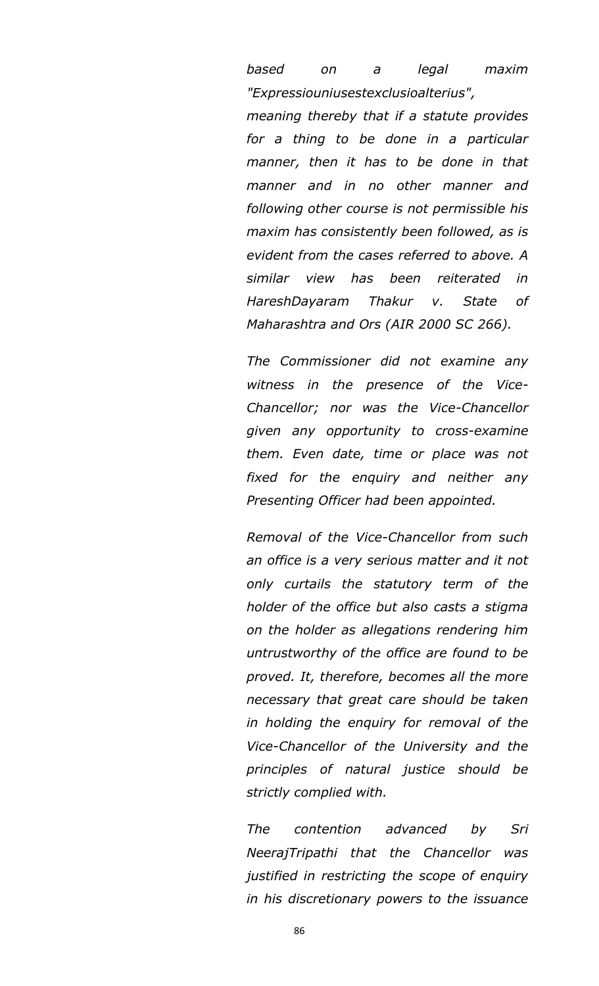*based on a legal maxim "Expressiouniusestexclusioalterius",* 

*meaning thereby that if a statute provides for a thing to be done in a particular manner, then it has to be done in that manner and in no other manner and following other course is not permissible his maxim has consistently been followed, as is evident from the cases referred to above. A similar view has been reiterated in HareshDayaram Thakur v. State of Maharashtra and Ors (AIR 2000 SC 266).*

*The Commissioner did not examine any witness in the presence of the Vice-Chancellor; nor was the Vice-Chancellor given any opportunity to cross-examine them. Even date, time or place was not fixed for the enquiry and neither any Presenting Officer had been appointed.*

*Removal of the Vice-Chancellor from such an office is a very serious matter and it not only curtails the statutory term of the holder of the office but also casts a stigma on the holder as allegations rendering him untrustworthy of the office are found to be proved. It, therefore, becomes all the more necessary that great care should be taken in holding the enquiry for removal of the Vice-Chancellor of the University and the principles of natural justice should be strictly complied with.*

*The contention advanced by Sri NeerajTripathi that the Chancellor was justified in restricting the scope of enquiry in his discretionary powers to the issuance* 

86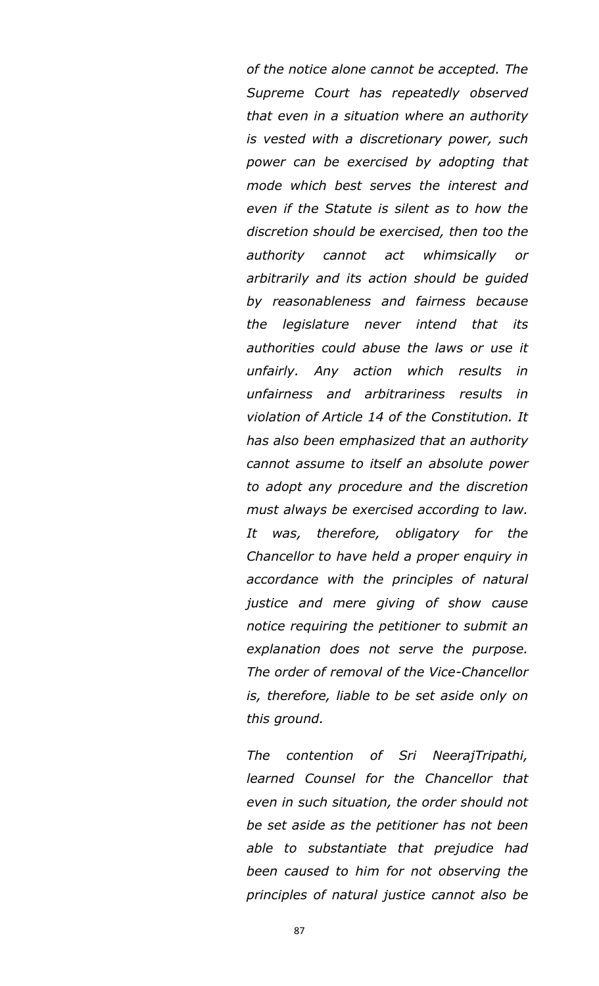*of the notice alone cannot be accepted. The Supreme Court has repeatedly observed that even in a situation where an authority is vested with a discretionary power, such power can be exercised by adopting that mode which best serves the interest and even if the Statute is silent as to how the discretion should be exercised, then too the authority cannot act whimsically or arbitrarily and its action should be guided by reasonableness and fairness because the legislature never intend that its authorities could abuse the laws or use it unfairly. Any action which results in unfairness and arbitrariness results in violation of Article 14 of the Constitution. It has also been emphasized that an authority cannot assume to itself an absolute power to adopt any procedure and the discretion must always be exercised according to law. It was, therefore, obligatory for the Chancellor to have held a proper enquiry in accordance with the principles of natural justice and mere giving of show cause notice requiring the petitioner to submit an explanation does not serve the purpose. The order of removal of the Vice-Chancellor is, therefore, liable to be set aside only on this ground.*

*The contention of Sri NeerajTripathi, learned Counsel for the Chancellor that even in such situation, the order should not be set aside as the petitioner has not been able to substantiate that prejudice had been caused to him for not observing the principles of natural justice cannot also be*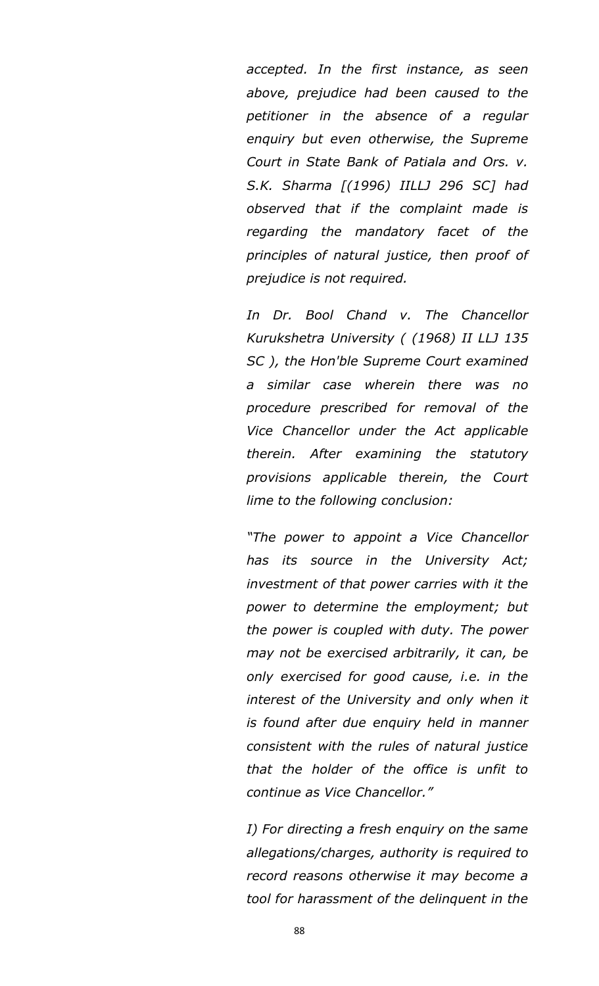*accepted. In the first instance, as seen above, prejudice had been caused to the petitioner in the absence of a regular enquiry but even otherwise, the Supreme Court in State Bank of Patiala and Ors. v. S.K. Sharma [(1996) IILLJ 296 SC] had observed that if the complaint made is regarding the mandatory facet of the principles of natural justice, then proof of prejudice is not required.*

*In Dr. Bool Chand v. The Chancellor Kurukshetra University ( (1968) II LLJ 135 SC ), the Hon'ble Supreme Court examined a similar case wherein there was no procedure prescribed for removal of the Vice Chancellor under the Act applicable therein. After examining the statutory provisions applicable therein, the Court lime to the following conclusion:*

*"The power to appoint a Vice Chancellor has its source in the University Act; investment of that power carries with it the power to determine the employment; but the power is coupled with duty. The power may not be exercised arbitrarily, it can, be only exercised for good cause, i.e. in the interest of the University and only when it is found after due enquiry held in manner consistent with the rules of natural justice that the holder of the office is unfit to continue as Vice Chancellor."*

*I) For directing a fresh enquiry on the same allegations/charges, authority is required to record reasons otherwise it may become a tool for harassment of the delinquent in the*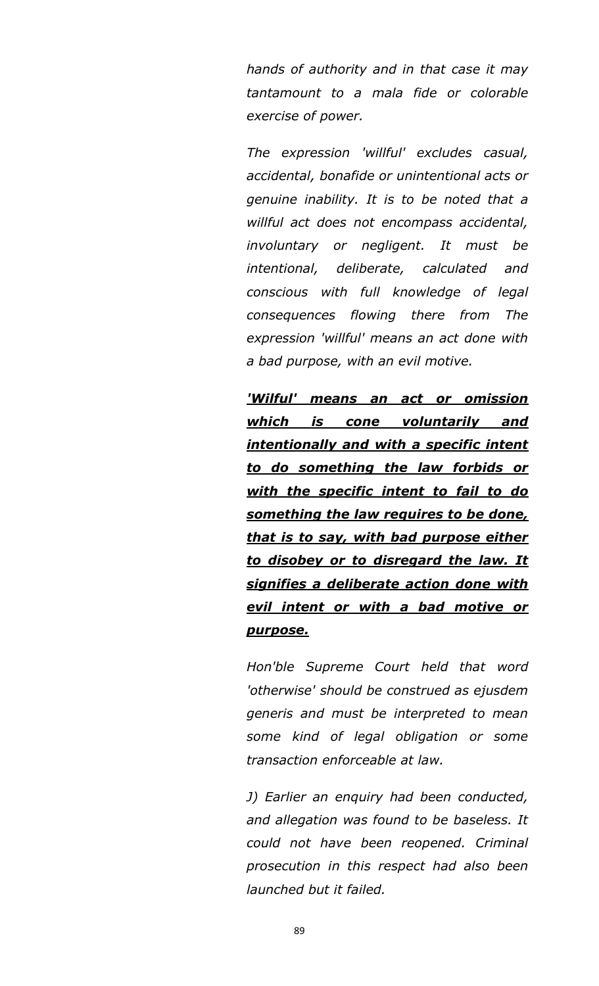*hands of authority and in that case it may tantamount to a mala fide or colorable exercise of power.*

*The expression 'willful' excludes casual, accidental, bonafide or unintentional acts or genuine inability. It is to be noted that a willful act does not encompass accidental, involuntary or negligent. It must be intentional, deliberate, calculated and conscious with full knowledge of legal consequences flowing there from The expression 'willful' means an act done with a bad purpose, with an evil motive.*

*'Wilful' means an act or omission which is cone voluntarily and intentionally and with a specific intent to do something the law forbids or with the specific intent to fail to do something the law requires to be done, that is to say, with bad purpose either to disobey or to disregard the law. It signifies a deliberate action done with evil intent or with a bad motive or purpose.*

*Hon'ble Supreme Court held that word 'otherwise' should be construed as ejusdem generis and must be interpreted to mean some kind of legal obligation or some transaction enforceable at law.*

*J) Earlier an enquiry had been conducted, and allegation was found to be baseless. It could not have been reopened. Criminal prosecution in this respect had also been launched but it failed.*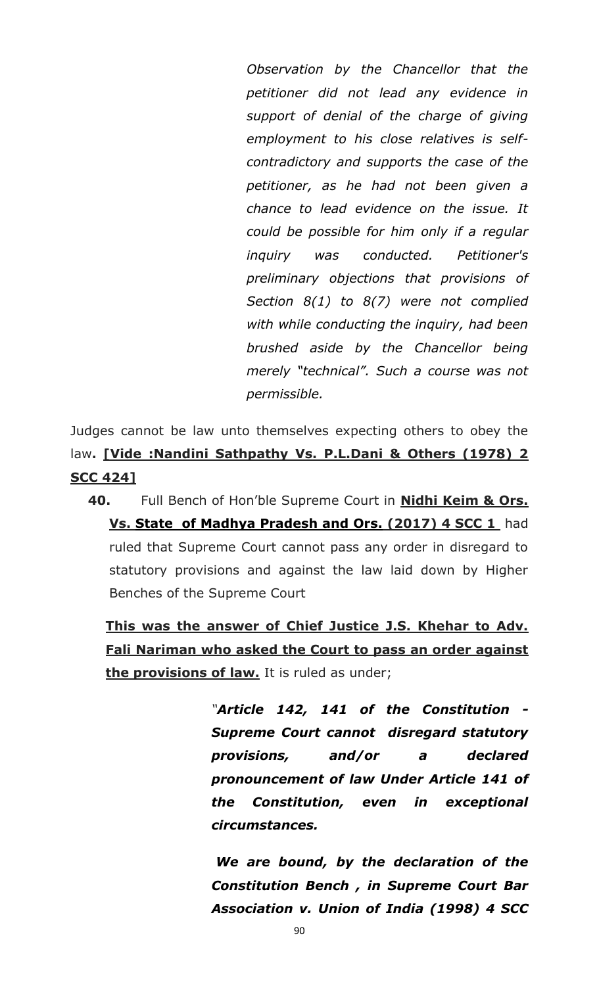*Observation by the Chancellor that the petitioner did not lead any evidence in support of denial of the charge of giving employment to his close relatives is selfcontradictory and supports the case of the petitioner, as he had not been given a chance to lead evidence on the issue. It could be possible for him only if a regular inquiry was conducted. Petitioner's preliminary objections that provisions of Section 8(1) to 8(7) were not complied with while conducting the inquiry, had been brushed aside by the Chancellor being merely "technical". Such a course was not permissible.*

Judges cannot be law unto themselves expecting others to obey the law**. [Vide :Nandini Sathpathy Vs. P.L.Dani & Others (1978) 2 SCC 424]**

**40.** Full Bench of Hon"ble Supreme Court in **Nidhi Keim & Ors. Vs. State of Madhya Pradesh and Ors. (2017) 4 SCC 1** had ruled that Supreme Court cannot pass any order in disregard to statutory provisions and against the law laid down by Higher Benches of the Supreme Court

**This was the answer of Chief Justice J.S. Khehar to Adv. Fali Nariman who asked the Court to pass an order against the provisions of law.** It is ruled as under;

> *"Article 142, 141 of the Constitution - Supreme Court cannot disregard statutory provisions, and/or a declared pronouncement of law Under Article 141 of the Constitution, even in exceptional circumstances.*

> *We are bound, by the declaration of the Constitution Bench , in Supreme Court Bar Association v. Union of India (1998) 4 SCC*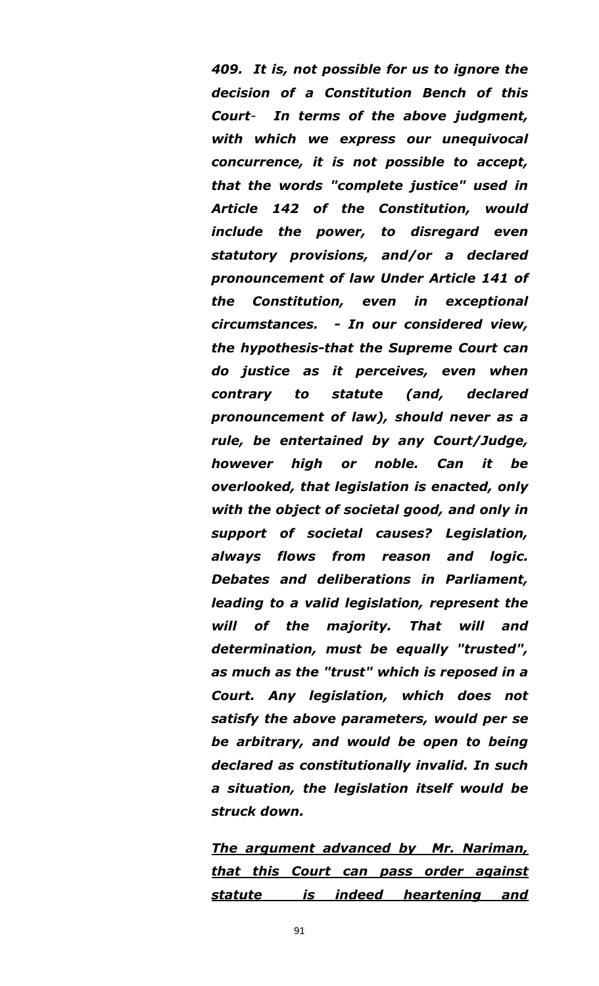*409. It is, not possible for us to ignore the decision of a Constitution Bench of this Court- In terms of the above judgment, with which we express our unequivocal concurrence, it is not possible to accept, that the words "complete justice" used in Article 142 of the Constitution, would include the power, to disregard even statutory provisions, and/or a declared pronouncement of law Under Article 141 of the Constitution, even in exceptional circumstances. - In our considered view, the hypothesis-that the Supreme Court can do justice as it perceives, even when contrary to statute (and, declared pronouncement of law), should never as a rule, be entertained by any Court/Judge, however high or noble. Can it be overlooked, that legislation is enacted, only with the object of societal good, and only in support of societal causes? Legislation, always flows from reason and logic. Debates and deliberations in Parliament, leading to a valid legislation, represent the will of the majority. That will and determination, must be equally "trusted", as much as the "trust" which is reposed in a Court. Any legislation, which does not satisfy the above parameters, would per se be arbitrary, and would be open to being declared as constitutionally invalid. In such a situation, the legislation itself would be struck down.*

*The argument advanced by Mr. Nariman, that this Court can pass order against statute is indeed heartening and*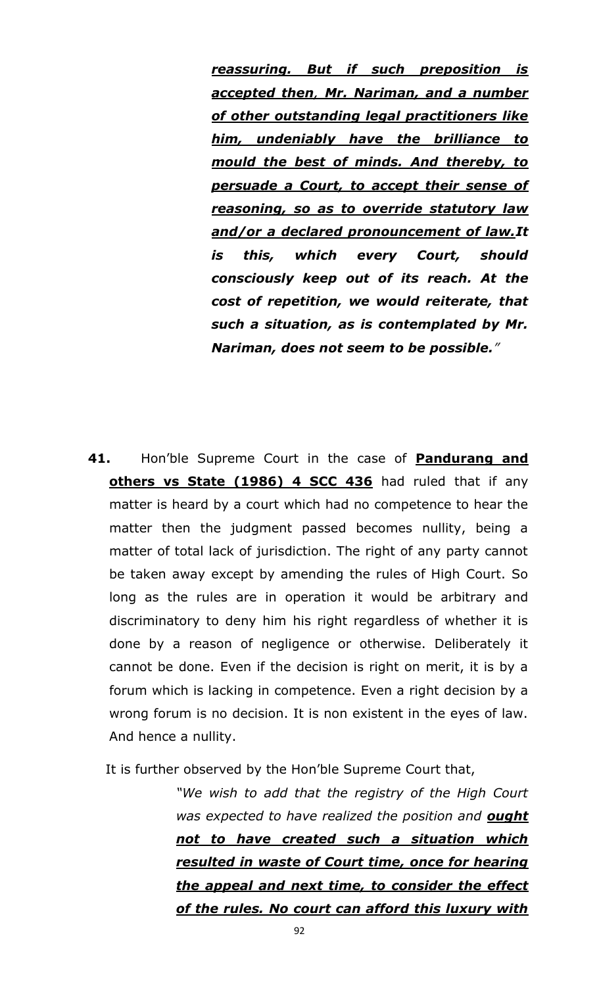*reassuring. But if such preposition is accepted then, Mr. Nariman, and a number of other outstanding legal practitioners like him, undeniably have the brilliance to mould the best of minds. And thereby, to persuade a Court, to accept their sense of reasoning, so as to override statutory law and/or a declared pronouncement of law.It is this, which every Court, should consciously keep out of its reach. At the cost of repetition, we would reiterate, that such a situation, as is contemplated by Mr. Nariman, does not seem to be possible."*

**41.** Hon"ble Supreme Court in the case of **Pandurang and others vs State (1986) 4 SCC 436** had ruled that if any matter is heard by a court which had no competence to hear the matter then the judgment passed becomes nullity, being a matter of total lack of jurisdiction. The right of any party cannot be taken away except by amending the rules of High Court. So long as the rules are in operation it would be arbitrary and discriminatory to deny him his right regardless of whether it is done by a reason of negligence or otherwise. Deliberately it cannot be done. Even if the decision is right on merit, it is by a forum which is lacking in competence. Even a right decision by a wrong forum is no decision. It is non existent in the eyes of law. And hence a nullity.

It is further observed by the Hon"ble Supreme Court that,

*"We wish to add that the registry of the High Court was expected to have realized the position and ought not to have created such a situation which resulted in waste of Court time, once for hearing the appeal and next time, to consider the effect of the rules. No court can afford this luxury with*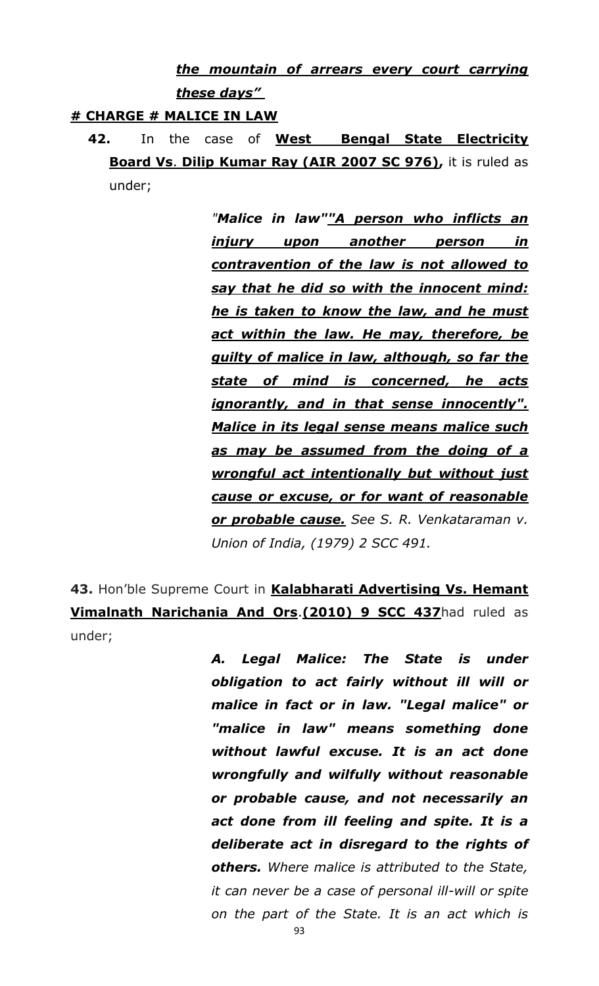*the mountain of arrears every court carrying these days‖* 

### **# CHARGE # MALICE IN LAW**

**42.** In the case of **West Bengal State Electricity Board Vs**. **Dilip Kumar Ray (AIR 2007 SC 976),** it is ruled as under;

> *"Malice in law""A person who inflicts an injury upon another person in contravention of the law is not allowed to say that he did so with the innocent mind: he is taken to know the law, and he must act within the law. He may, therefore, be guilty of malice in law, although, so far the state of mind is concerned, he acts ignorantly, and in that sense innocently". Malice in its legal sense means malice such as may be assumed from the doing of a wrongful act intentionally but without just cause or excuse, or for want of reasonable or probable cause. See S. R. Venkataraman v. Union of India, (1979) 2 SCC 491.*

**43.** Hon"ble Supreme Court in **Kalabharati Advertising Vs. Hemant Vimalnath Narichania And Ors**.**(2010) 9 SCC 437**had ruled as under;

> *A. Legal Malice: The State is under obligation to act fairly without ill will or malice in fact or in law. "Legal malice" or "malice in law" means something done without lawful excuse. It is an act done wrongfully and wilfully without reasonable or probable cause, and not necessarily an act done from ill feeling and spite. It is a deliberate act in disregard to the rights of others. Where malice is attributed to the State, it can never be a case of personal ill-will or spite on the part of the State. It is an act which is*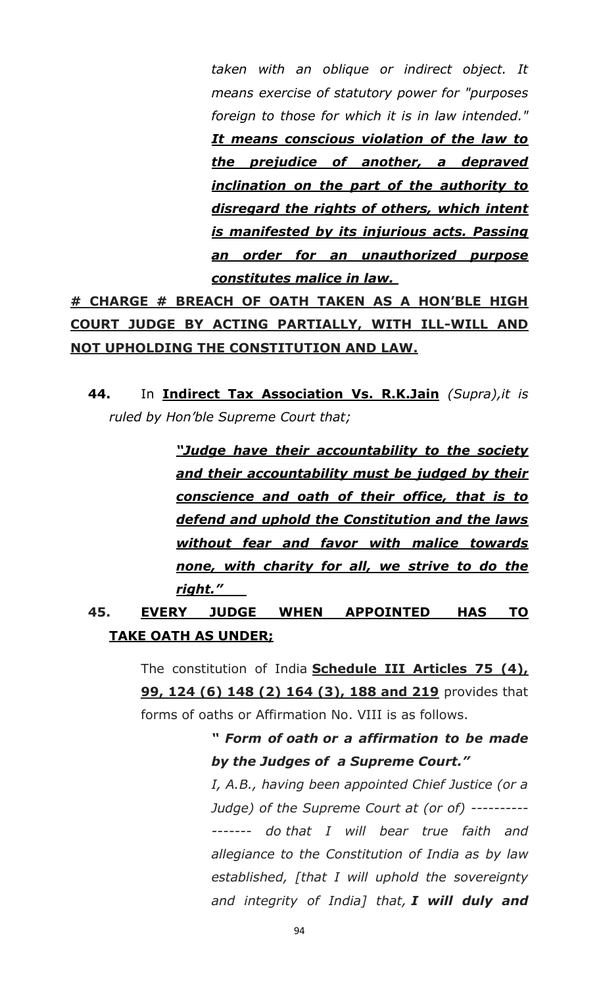*taken with an oblique or indirect object. It means exercise of statutory power for "purposes foreign to those for which it is in law intended." It means conscious violation of the law to the prejudice of another, a depraved inclination on the part of the authority to disregard the rights of others, which intent is manifested by its injurious acts. Passing an order for an unauthorized purpose constitutes malice in law.* 

**# CHARGE # BREACH OF OATH TAKEN AS A HON"BLE HIGH COURT JUDGE BY ACTING PARTIALLY, WITH ILL-WILL AND NOT UPHOLDING THE CONSTITUTION AND LAW.**

**44.** In **Indirect Tax Association Vs. R.K.Jain** *(Supra),it is ruled by Hon"ble Supreme Court that;*

> *―Judge have their accountability to the society and their accountability must be judged by their conscience and oath of their office, that is to defend and uphold the Constitution and the laws without fear and favor with malice towards none, with charity for all, we strive to do the right.‖*

## **45. EVERY JUDGE WHEN APPOINTED HAS TO TAKE OATH AS UNDER;**

The constitution of India **Schedule III Articles 75 (4), 99, 124 (6) 148 (2) 164 (3), 188 and 219** provides that forms of oaths or Affirmation No. VIII is as follows.

> *― Form of oath or a affirmation to be made by the Judges of a Supreme Court.‖*

> *I, A.B., having been appointed Chief Justice (or a Judge) of the Supreme Court at (or of) ---------- ------- do that I will bear true faith and allegiance to the Constitution of India as by law established, [that I will uphold the sovereignty and integrity of India] that, I will duly and*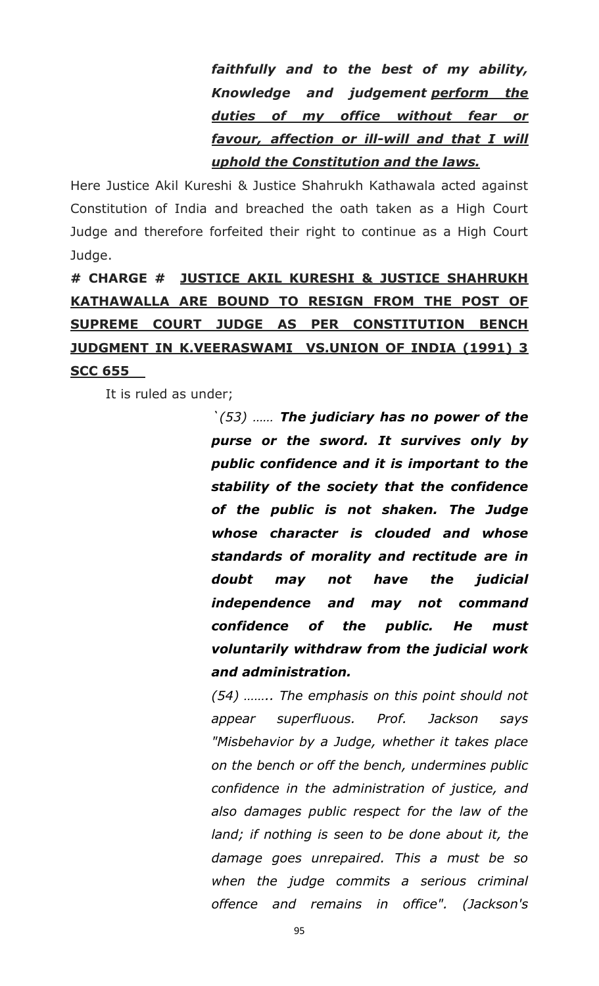*faithfully and to the best of my ability, Knowledge and judgement perform the duties of my office without fear or favour, affection or ill-will and that I will uphold the Constitution and the laws.*

Here Justice Akil Kureshi & Justice Shahrukh Kathawala acted against Constitution of India and breached the oath taken as a High Court Judge and therefore forfeited their right to continue as a High Court Judge.

**# CHARGE # JUSTICE AKIL KURESHI & JUSTICE SHAHRUKH KATHAWALLA ARE BOUND TO RESIGN FROM THE POST OF SUPREME COURT JUDGE AS PER CONSTITUTION BENCH JUDGMENT IN K.VEERASWAMI VS.UNION OF INDIA (1991) 3 SCC 655**

It is ruled as under;

*`(53) …… The judiciary has no power of the purse or the sword. It survives only by public confidence and it is important to the stability of the society that the confidence of the public is not shaken. The Judge whose character is clouded and whose standards of morality and rectitude are in doubt may not have the judicial independence and may not command confidence of the public. He must voluntarily withdraw from the judicial work and administration.*

*(54) …….. The emphasis on this point should not appear superfluous. Prof. Jackson says "Misbehavior by a Judge, whether it takes place on the bench or off the bench, undermines public confidence in the administration of justice, and also damages public respect for the law of the land; if nothing is seen to be done about it, the damage goes unrepaired. This a must be so when the judge commits a serious criminal offence and remains in office". (Jackson's*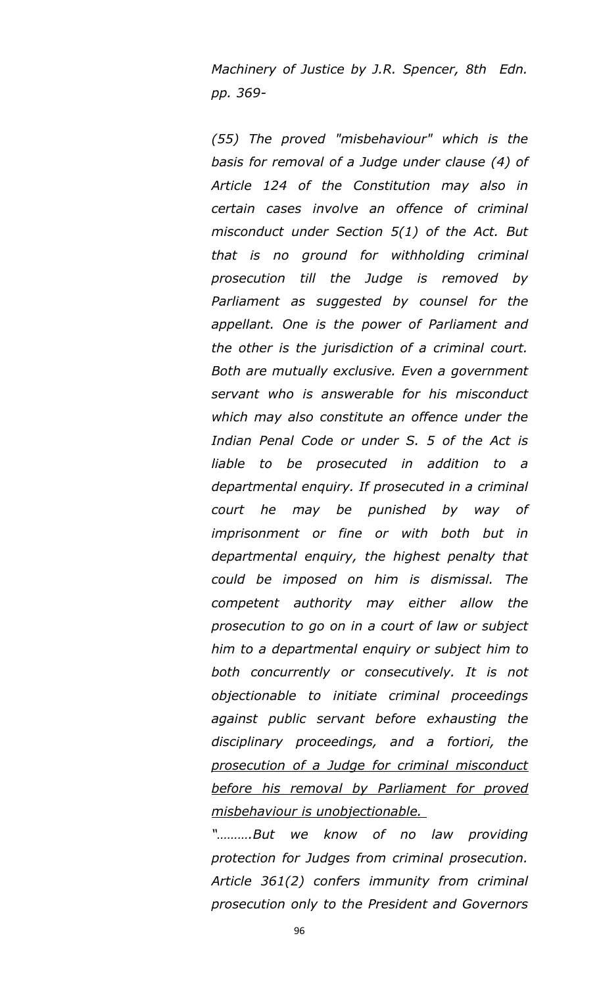*Machinery of Justice by J.R. Spencer, 8th Edn. pp. 369-*

*(55) The proved "misbehaviour" which is the basis for removal of a Judge under clause (4) of Article 124 of the Constitution may also in certain cases involve an offence of criminal misconduct under Section 5(1) of the Act. But that is no ground for withholding criminal prosecution till the Judge is removed by Parliament as suggested by counsel for the appellant. One is the power of Parliament and the other is the jurisdiction of a criminal court. Both are mutually exclusive. Even a government servant who is answerable for his misconduct which may also constitute an offence under the Indian Penal Code or under S. 5 of the Act is liable to be prosecuted in addition to a departmental enquiry. If prosecuted in a criminal court he may be punished by way of imprisonment or fine or with both but in departmental enquiry, the highest penalty that could be imposed on him is dismissal. The competent authority may either allow the prosecution to go on in a court of law or subject him to a departmental enquiry or subject him to both concurrently or consecutively. It is not objectionable to initiate criminal proceedings against public servant before exhausting the disciplinary proceedings, and a fortiori, the prosecution of a Judge for criminal misconduct before his removal by Parliament for proved misbehaviour is unobjectionable.* 

*"……….But we know of no law providing protection for Judges from criminal prosecution. Article 361(2) confers immunity from criminal prosecution only to the President and Governors*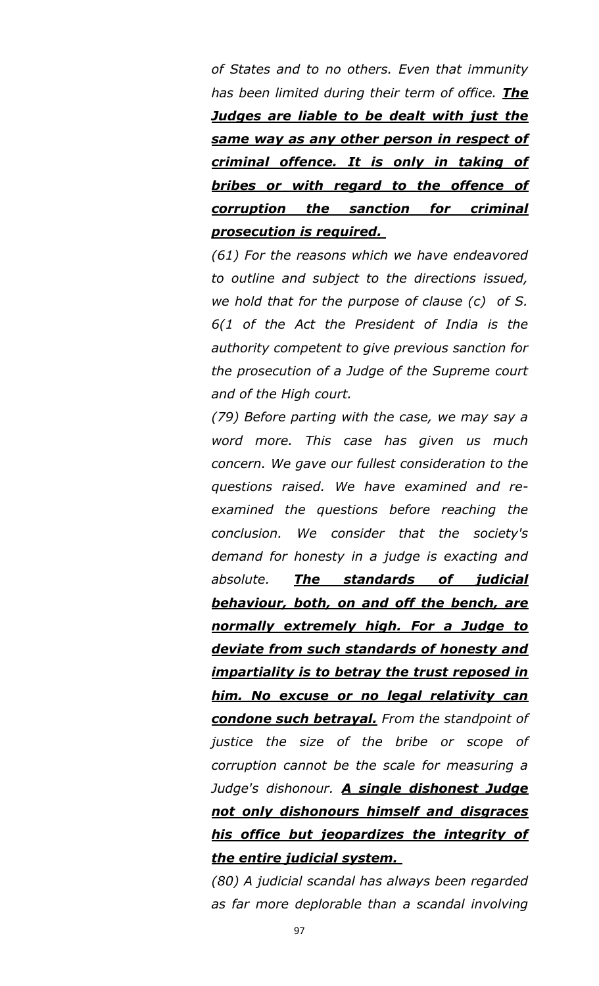*of States and to no others. Even that immunity has been limited during their term of office. The Judges are liable to be dealt with just the same way as any other person in respect of criminal offence. It is only in taking of bribes or with regard to the offence of corruption the sanction for criminal prosecution is required.* 

*(61) For the reasons which we have endeavored to outline and subject to the directions issued, we hold that for the purpose of clause (c) of S. 6(1 of the Act the President of India is the authority competent to give previous sanction for the prosecution of a Judge of the Supreme court and of the High court.* 

*(79) Before parting with the case, we may say a word more. This case has given us much concern. We gave our fullest consideration to the questions raised. We have examined and reexamined the questions before reaching the conclusion. We consider that the society's demand for honesty in a judge is exacting and absolute. The standards of judicial behaviour, both, on and off the bench, are normally extremely high. For a Judge to deviate from such standards of honesty and impartiality is to betray the trust reposed in him. No excuse or no legal relativity can condone such betrayal. From the standpoint of justice the size of the bribe or scope of corruption cannot be the scale for measuring a Judge's dishonour. A single dishonest Judge not only dishonours himself and disgraces his office but jeopardizes the integrity of the entire judicial system.* 

*(80) A judicial scandal has always been regarded as far more deplorable than a scandal involving*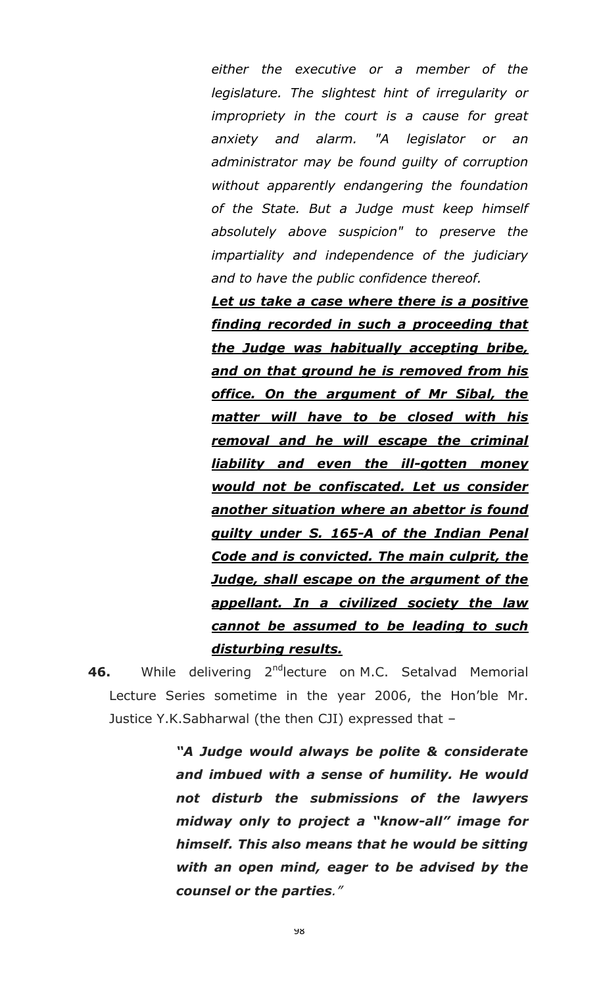*either the executive or a member of the legislature. The slightest hint of irregularity or impropriety in the court is a cause for great anxiety and alarm. "A legislator or an administrator may be found guilty of corruption without apparently endangering the foundation of the State. But a Judge must keep himself absolutely above suspicion" to preserve the impartiality and independence of the judiciary and to have the public confidence thereof.* 

*Let us take a case where there is a positive finding recorded in such a proceeding that the Judge was habitually accepting bribe, and on that ground he is removed from his office. On the argument of Mr Sibal, the matter will have to be closed with his removal and he will escape the criminal liability and even the ill-gotten money would not be confiscated. Let us consider another situation where an abettor is found guilty under S. 165-A of the Indian Penal Code and is convicted. The main culprit, the Judge, shall escape on the argument of the appellant. In a civilized society the law cannot be assumed to be leading to such disturbing results.*

46. While delivering 2<sup>nd</sup>lecture on M.C. Setalvad Memorial Lecture Series sometime in the year 2006, the Hon"ble Mr. Justice Y.K.Sabharwal (the then CJI) expressed that –

> *―A Judge would always be polite & considerate and imbued with a sense of humility. He would not disturb the submissions of the lawyers midway only to project a "know-all" image for himself. This also means that he would be sitting with an open mind, eager to be advised by the counsel or the parties."*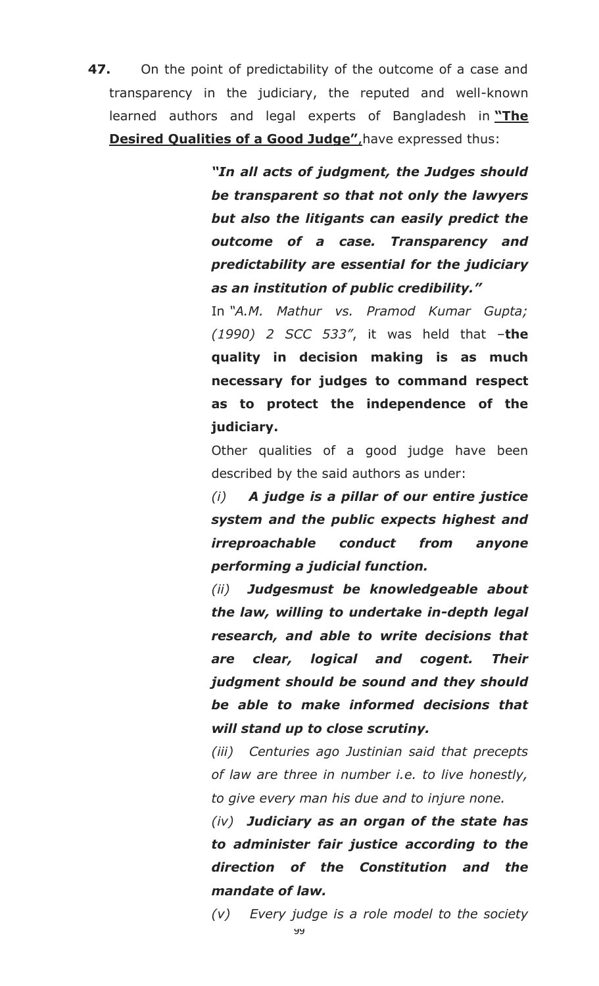**47.** On the point of predictability of the outcome of a case and transparency in the judiciary, the reputed and well-known learned authors and legal experts of Bangladesh in **"The Desired Qualities of a Good Judge"**, have expressed thus:

> *―In all acts of judgment, the Judges should be transparent so that not only the lawyers but also the litigants can easily predict the outcome of a case. Transparency and predictability are essential for the judiciary as an institution of public credibility.‖*

> In *"A.M. Mathur vs. Pramod Kumar Gupta; (1990) 2 SCC 533"*, it was held that –**the quality in decision making is as much necessary for judges to command respect as to protect the independence of the judiciary.**

> Other qualities of a good judge have been described by the said authors as under:

> *(i) A judge is a pillar of our entire justice system and the public expects highest and irreproachable conduct from anyone performing a judicial function.*

> *(ii) Judgesmust be knowledgeable about the law, willing to undertake in-depth legal research, and able to write decisions that are clear, logical and cogent. Their judgment should be sound and they should be able to make informed decisions that will stand up to close scrutiny.*

> *(iii) Centuries ago Justinian said that precepts of law are three in number i.e. to live honestly, to give every man his due and to injure none.*

> *(iv) Judiciary as an organ of the state has to administer fair justice according to the direction of the Constitution and the mandate of law.*

> *(v) Every judge is a role model to the society*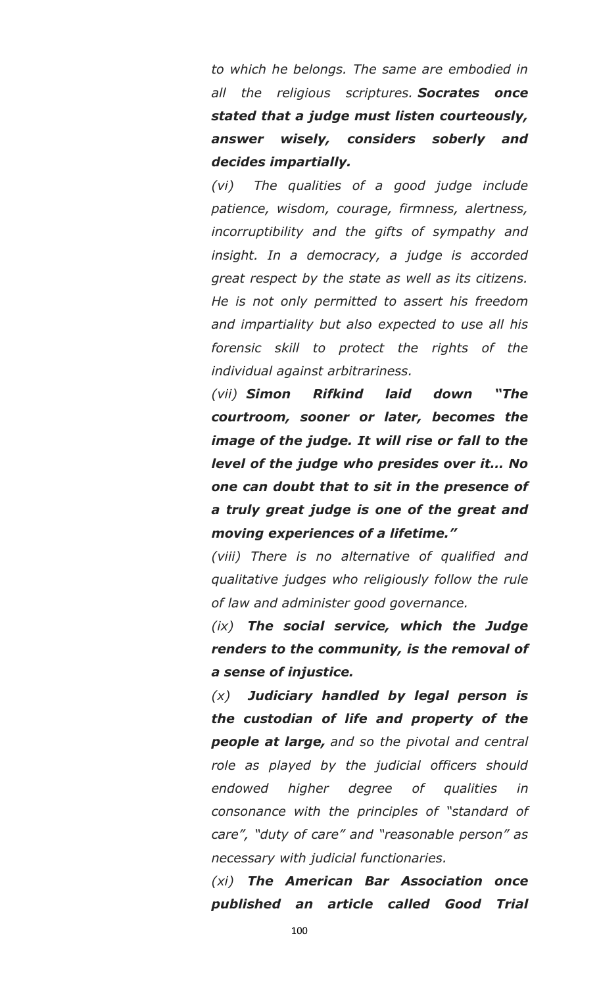*to which he belongs. The same are embodied in all the religious scriptures. Socrates once stated that a judge must listen courteously, answer wisely, considers soberly and decides impartially.*

*(vi) The qualities of a good judge include patience, wisdom, courage, firmness, alertness, incorruptibility and the gifts of sympathy and insight. In a democracy, a judge is accorded great respect by the state as well as its citizens. He is not only permitted to assert his freedom and impartiality but also expected to use all his forensic skill to protect the rights of the individual against arbitrariness.*

*(vii) Simon Rifkind laid down ―The courtroom, sooner or later, becomes the image of the judge. It will rise or fall to the level of the judge who presides over it… No one can doubt that to sit in the presence of a truly great judge is one of the great and moving experiences of a lifetime.‖*

*(viii) There is no alternative of qualified and qualitative judges who religiously follow the rule of law and administer good governance.*

*(ix) The social service, which the Judge renders to the community, is the removal of a sense of injustice.*

*(x) Judiciary handled by legal person is the custodian of life and property of the people at large, and so the pivotal and central role as played by the judicial officers should endowed higher degree of qualities in consonance with the principles of "standard of care", "duty of care" and "reasonable person" as necessary with judicial functionaries.*

*(xi) The American Bar Association once published an article called Good Trial*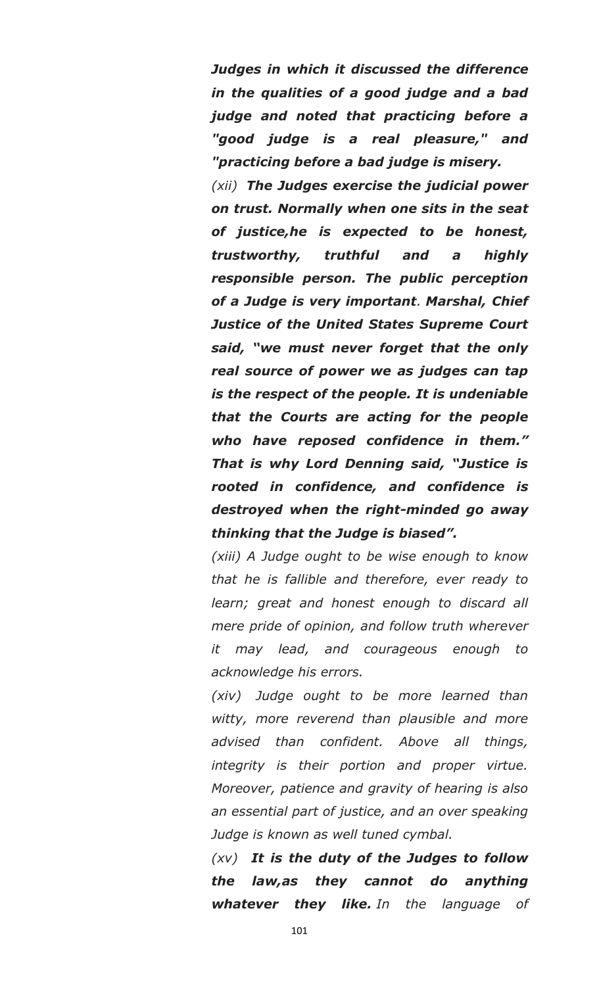*Judges in which it discussed the difference in the qualities of a good judge and a bad judge and noted that practicing before a "good judge is a real pleasure," and "practicing before a bad judge is misery.*

*(xii) The Judges exercise the judicial power on trust. Normally when one sits in the seat of justice,he is expected to be honest, trustworthy, truthful and a highly responsible person. The public perception of a Judge is very important. Marshal, Chief Justice of the United States Supreme Court*  said, "we must never forget that the only *real source of power we as judges can tap is the respect of the people. It is undeniable that the Courts are acting for the people who have reposed confidence in them.‖ That is why Lord Denning said, ―Justice is rooted in confidence, and confidence is destroyed when the right-minded go away thinking that the Judge is biased‖.*

*(xiii) A Judge ought to be wise enough to know that he is fallible and therefore, ever ready to learn; great and honest enough to discard all mere pride of opinion, and follow truth wherever it may lead, and courageous enough to acknowledge his errors.*

*(xiv) Judge ought to be more learned than witty, more reverend than plausible and more advised than confident. Above all things, integrity is their portion and proper virtue. Moreover, patience and gravity of hearing is also an essential part of justice, and an over speaking Judge is known as well tuned cymbal.*

*(xv) It is the duty of the Judges to follow the law,as they cannot do anything whatever they like. In the language of*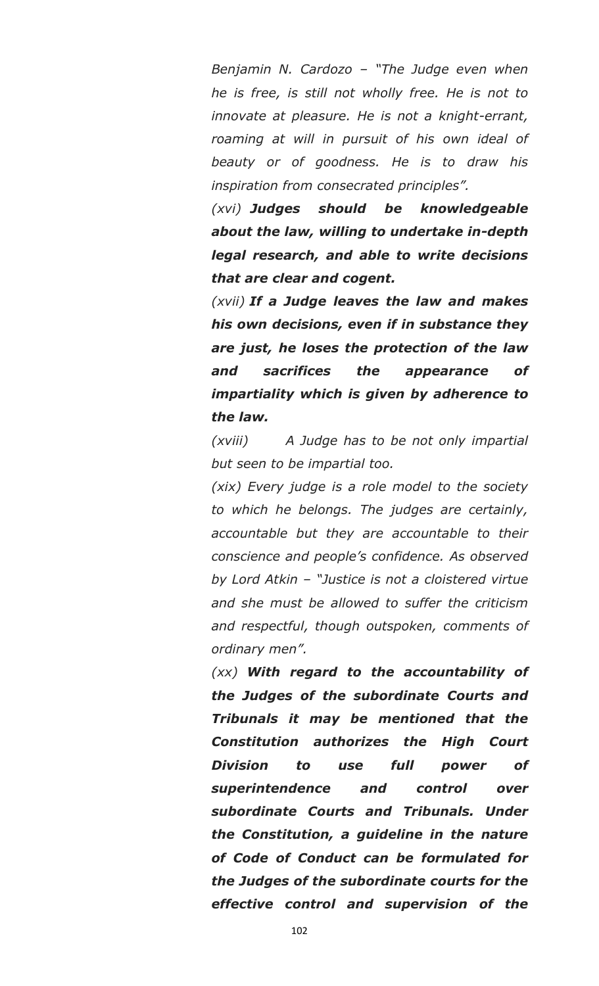*Benjamin N. Cardozo – "The Judge even when he is free, is still not wholly free. He is not to innovate at pleasure. He is not a knight-errant, roaming at will in pursuit of his own ideal of beauty or of goodness. He is to draw his inspiration from consecrated principles".*

*(xvi) Judges should be knowledgeable about the law, willing to undertake in-depth legal research, and able to write decisions that are clear and cogent.*

*(xvii) If a Judge leaves the law and makes his own decisions, even if in substance they are just, he loses the protection of the law and sacrifices the appearance of impartiality which is given by adherence to the law.*

*(xviii) A Judge has to be not only impartial but seen to be impartial too.*

*(xix) Every judge is a role model to the society to which he belongs. The judges are certainly, accountable but they are accountable to their conscience and people"s confidence. As observed by Lord Atkin – "Justice is not a cloistered virtue and she must be allowed to suffer the criticism and respectful, though outspoken, comments of ordinary men".*

*(xx) With regard to the accountability of the Judges of the subordinate Courts and Tribunals it may be mentioned that the Constitution authorizes the High Court Division to use full power of superintendence and control over subordinate Courts and Tribunals. Under the Constitution, a guideline in the nature of Code of Conduct can be formulated for the Judges of the subordinate courts for the effective control and supervision of the*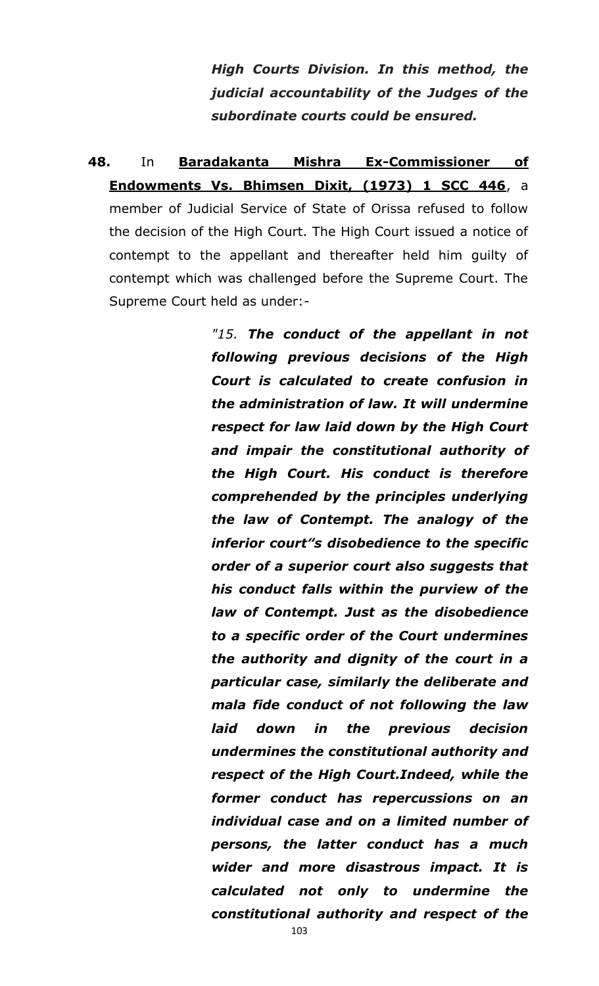*High Courts Division. In this method, the judicial accountability of the Judges of the subordinate courts could be ensured.*

**48.** In **Baradakanta Mishra Ex-Commissioner of Endowments Vs. Bhimsen Dixit, (1973) 1 SCC 446**, a member of Judicial Service of State of Orissa refused to follow the decision of the High Court. The High Court issued a notice of contempt to the appellant and thereafter held him guilty of contempt which was challenged before the Supreme Court. The Supreme Court held as under:-

> *"15. The conduct of the appellant in not following previous decisions of the High Court is calculated to create confusion in the administration of law. It will undermine respect for law laid down by the High Court and impair the constitutional authority of the High Court. His conduct is therefore comprehended by the principles underlying the law of Contempt. The analogy of the inferior court"s disobedience to the specific order of a superior court also suggests that his conduct falls within the purview of the law of Contempt. Just as the disobedience to a specific order of the Court undermines the authority and dignity of the court in a particular case, similarly the deliberate and mala fide conduct of not following the law laid down in the previous decision undermines the constitutional authority and respect of the High Court.Indeed, while the former conduct has repercussions on an individual case and on a limited number of persons, the latter conduct has a much wider and more disastrous impact. It is calculated not only to undermine the constitutional authority and respect of the*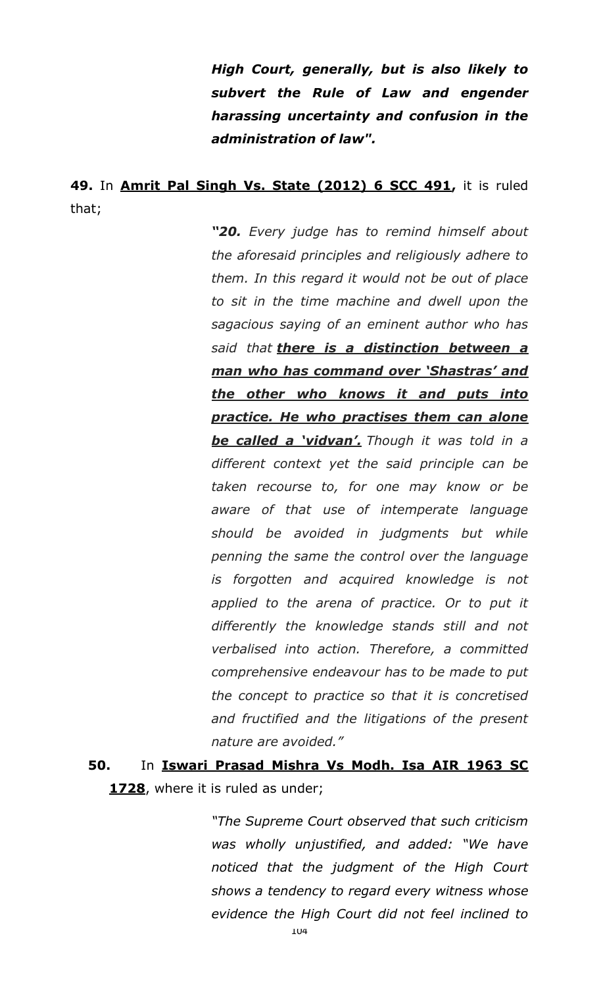*High Court, generally, but is also likely to subvert the Rule of Law and engender harassing uncertainty and confusion in the administration of law".*

### **49.** In **Amrit Pal Singh Vs. State (2012) 6 SCC 491,** it is ruled that;

*―20. Every judge has to remind himself about the aforesaid principles and religiously adhere to them. In this regard it would not be out of place to sit in the time machine and dwell upon the sagacious saying of an eminent author who has said that there is a distinction between a man who has command over ‗Shastras' and the other who knows it and puts into practice. He who practises them can alone*  **be called a 'vidvan'.** Though it was told in a *different context yet the said principle can be taken recourse to, for one may know or be aware of that use of intemperate language should be avoided in judgments but while penning the same the control over the language is forgotten and acquired knowledge is not applied to the arena of practice. Or to put it differently the knowledge stands still and not verbalised into action. Therefore, a committed comprehensive endeavour has to be made to put the concept to practice so that it is concretised and fructified and the litigations of the present nature are avoided."*

# **50.** In **Iswari Prasad Mishra Vs Modh. Isa AIR 1963 SC 1728**, where it is ruled as under;

*"The Supreme Court observed that such criticism was wholly unjustified, and added: "We have noticed that the judgment of the High Court shows a tendency to regard every witness whose evidence the High Court did not feel inclined to*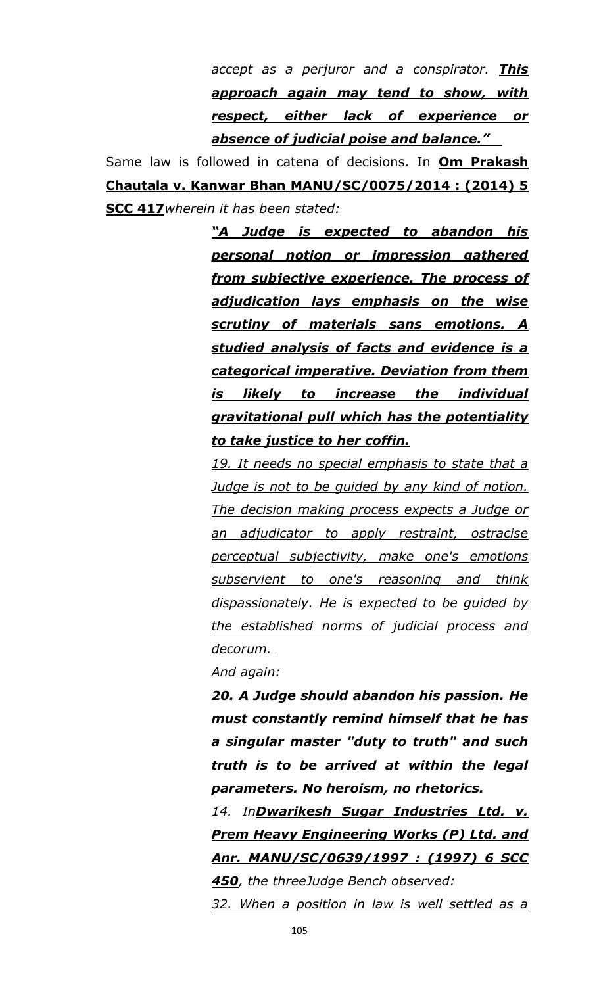*accept as a perjuror and a conspirator. This approach again may tend to show, with respect, either lack of experience or absence of judicial poise and balance.‖* 

Same law is followed in catena of decisions. In **Om Prakash Chautala v. Kanwar Bhan MANU/SC/0075/2014 : (2014) 5 SCC 417***wherein it has been stated:* 

> *―A Judge is expected to abandon his personal notion or impression gathered from subjective experience. The process of adjudication lays emphasis on the wise scrutiny of materials sans emotions. A studied analysis of facts and evidence is a categorical imperative. Deviation from them is likely to increase the individual gravitational pull which has the potentiality to take justice to her coffin.*

> *19. It needs no special emphasis to state that a Judge is not to be guided by any kind of notion. The decision making process expects a Judge or an adjudicator to apply restraint, ostracise perceptual subjectivity, make one's emotions subservient to one's reasoning and think dispassionately. He is expected to be guided by the established norms of judicial process and decorum.*

*And again:* 

*20. A Judge should abandon his passion. He must constantly remind himself that he has a singular master "duty to truth" and such truth is to be arrived at within the legal parameters. No heroism, no rhetorics.* 

*14. InDwarikesh Sugar Industries Ltd. v. Prem Heavy Engineering Works (P) Ltd. and Anr. MANU/SC/0639/1997 : (1997) 6 SCC 450, the threeJudge Bench observed:* 

*32. When a position in law is well settled as a*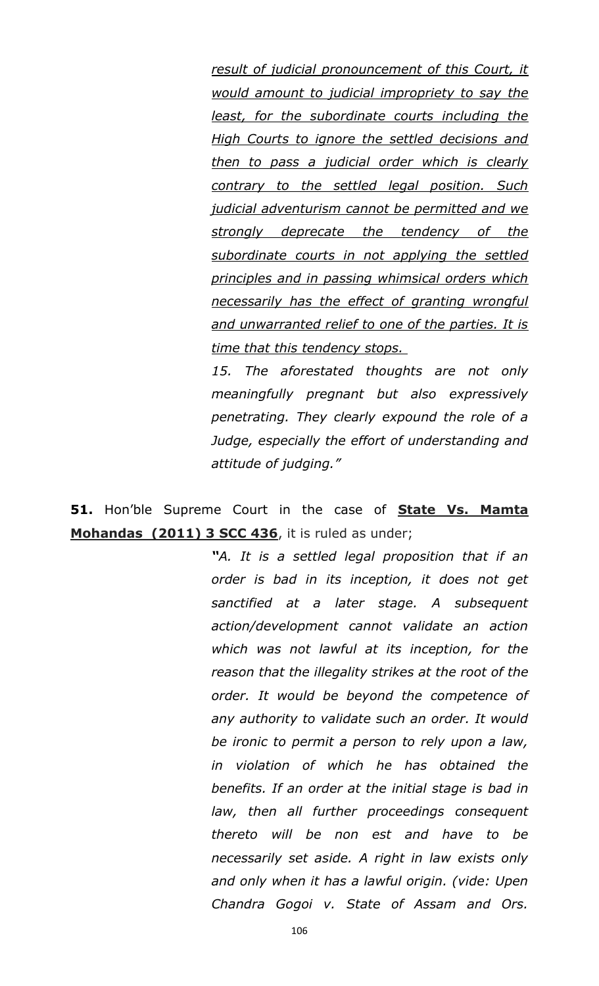*result of judicial pronouncement of this Court, it would amount to judicial impropriety to say the least, for the subordinate courts including the High Courts to ignore the settled decisions and then to pass a judicial order which is clearly contrary to the settled legal position. Such judicial adventurism cannot be permitted and we strongly deprecate the tendency of the subordinate courts in not applying the settled principles and in passing whimsical orders which necessarily has the effect of granting wrongful and unwarranted relief to one of the parties. It is time that this tendency stops.* 

*15. The aforestated thoughts are not only meaningfully pregnant but also expressively penetrating. They clearly expound the role of a Judge, especially the effort of understanding and attitude of judging."* 

**51.** Hon"ble Supreme Court in the case of **State Vs. Mamta Mohandas (2011) 3 SCC 436**, it is ruled as under;

> *―A. It is a settled legal proposition that if an order is bad in its inception, it does not get sanctified at a later stage. A subsequent action/development cannot validate an action which was not lawful at its inception, for the reason that the illegality strikes at the root of the order. It would be beyond the competence of any authority to validate such an order. It would be ironic to permit a person to rely upon a law, in violation of which he has obtained the benefits. If an order at the initial stage is bad in law, then all further proceedings consequent thereto will be non est and have to be necessarily set aside. A right in law exists only and only when it has a lawful origin. (vide: Upen Chandra Gogoi v. State of Assam and Ors.*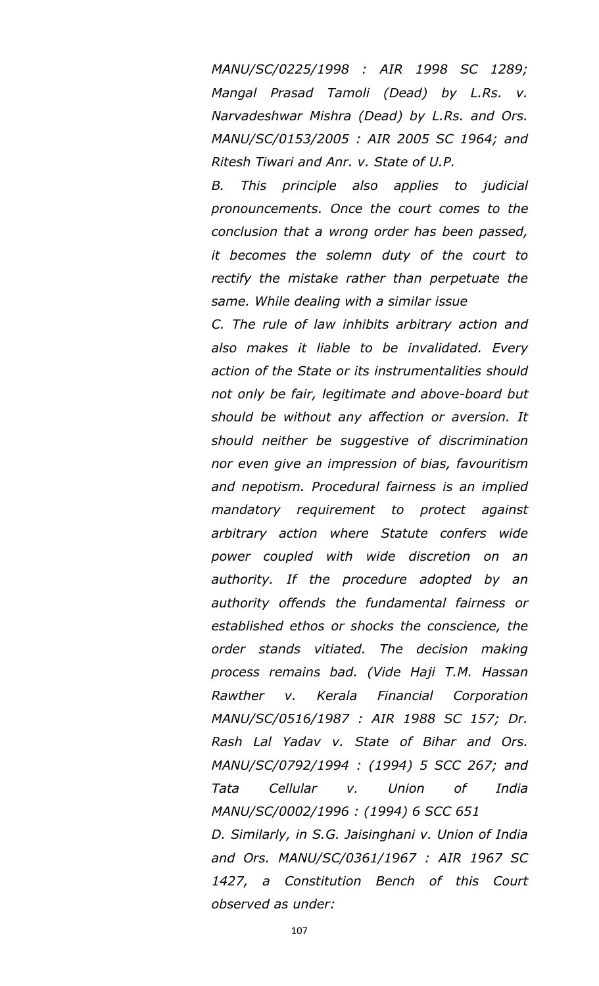*MANU/SC/0225/1998 : AIR 1998 SC 1289; Mangal Prasad Tamoli (Dead) by L.Rs. v. Narvadeshwar Mishra (Dead) by L.Rs. and Ors. MANU/SC/0153/2005 : AIR 2005 SC 1964; and Ritesh Tiwari and Anr. v. State of U.P.* 

*B. This principle also applies to judicial pronouncements. Once the court comes to the conclusion that a wrong order has been passed, it becomes the solemn duty of the court to rectify the mistake rather than perpetuate the same. While dealing with a similar issue* 

*C. The rule of law inhibits arbitrary action and also makes it liable to be invalidated. Every action of the State or its instrumentalities should not only be fair, legitimate and above-board but should be without any affection or aversion. It should neither be suggestive of discrimination nor even give an impression of bias, favouritism and nepotism. Procedural fairness is an implied mandatory requirement to protect against arbitrary action where Statute confers wide power coupled with wide discretion on an authority. If the procedure adopted by an authority offends the fundamental fairness or established ethos or shocks the conscience, the order stands vitiated. The decision making process remains bad. (Vide Haji T.M. Hassan Rawther v. Kerala Financial Corporation MANU/SC/0516/1987 : AIR 1988 SC 157; Dr. Rash Lal Yadav v. State of Bihar and Ors. MANU/SC/0792/1994 : (1994) 5 SCC 267; and Tata Cellular v. Union of India MANU/SC/0002/1996 : (1994) 6 SCC 651 D. Similarly, in S.G. Jaisinghani v. Union of India and Ors. MANU/SC/0361/1967 : AIR 1967 SC 1427, a Constitution Bench of this Court observed as under:*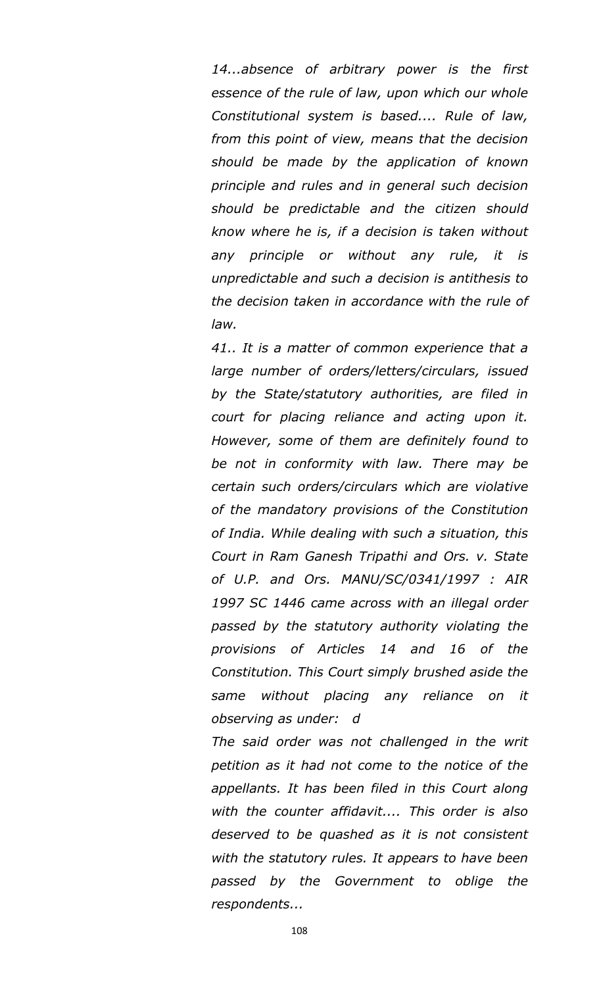*14...absence of arbitrary power is the first essence of the rule of law, upon which our whole Constitutional system is based.... Rule of law, from this point of view, means that the decision should be made by the application of known principle and rules and in general such decision should be predictable and the citizen should know where he is, if a decision is taken without any principle or without any rule, it is unpredictable and such a decision is antithesis to the decision taken in accordance with the rule of law.* 

*41.. It is a matter of common experience that a large number of orders/letters/circulars, issued by the State/statutory authorities, are filed in court for placing reliance and acting upon it. However, some of them are definitely found to be not in conformity with law. There may be certain such orders/circulars which are violative of the mandatory provisions of the Constitution of India. While dealing with such a situation, this Court in Ram Ganesh Tripathi and Ors. v. State of U.P. and Ors. MANU/SC/0341/1997 : AIR 1997 SC 1446 came across with an illegal order passed by the statutory authority violating the provisions of Articles 14 and 16 of the Constitution. This Court simply brushed aside the same without placing any reliance on it observing as under: d*

*The said order was not challenged in the writ petition as it had not come to the notice of the appellants. It has been filed in this Court along with the counter affidavit.... This order is also deserved to be quashed as it is not consistent with the statutory rules. It appears to have been passed by the Government to oblige the respondents...*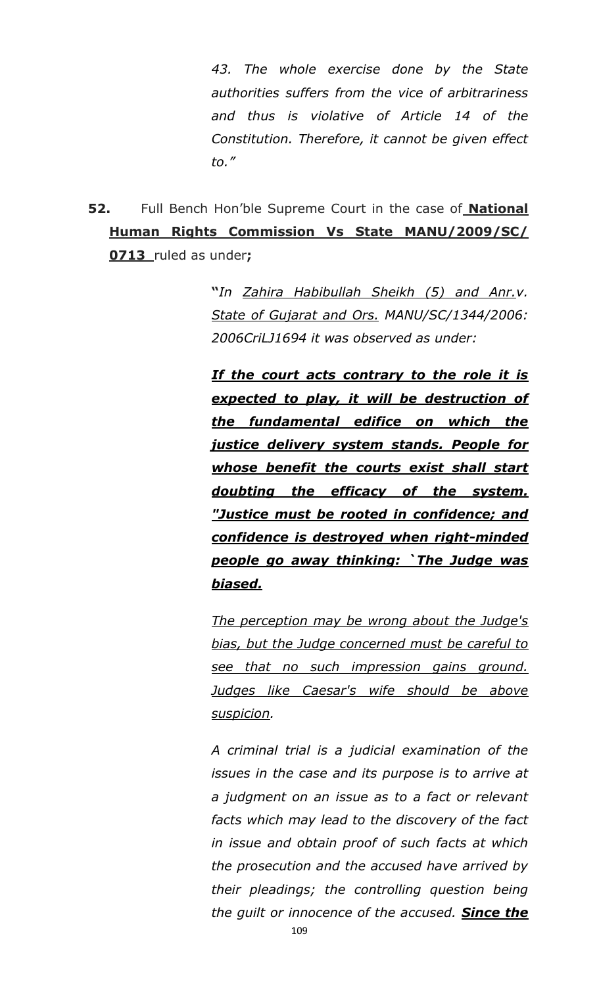*43. The whole exercise done by the State authorities suffers from the vice of arbitrariness and thus is violative of Article 14 of the Constitution. Therefore, it cannot be given effect to."*

**52.** Full Bench Hon"ble Supreme Court in the case of **National Human Rights Commission Vs State MANU/2009/SC/ 0713** ruled as under**;**

> **"***In Zahira Habibullah Sheikh (5) and Anr.v. State of Gujarat and Ors. MANU/SC/1344/2006: 2006CriLJ1694 it was observed as under:*

> *If the court acts contrary to the role it is expected to play, it will be destruction of the fundamental edifice on which the justice delivery system stands. People for whose benefit the courts exist shall start doubting the efficacy of the system. "Justice must be rooted in confidence; and confidence is destroyed when right-minded people go away thinking: `The Judge was biased.*

> *The perception may be wrong about the Judge's bias, but the Judge concerned must be careful to see that no such impression gains ground. Judges like Caesar's wife should be above suspicion.*

> *A criminal trial is a judicial examination of the issues in the case and its purpose is to arrive at a judgment on an issue as to a fact or relevant facts which may lead to the discovery of the fact in issue and obtain proof of such facts at which the prosecution and the accused have arrived by their pleadings; the controlling question being the guilt or innocence of the accused. Since the*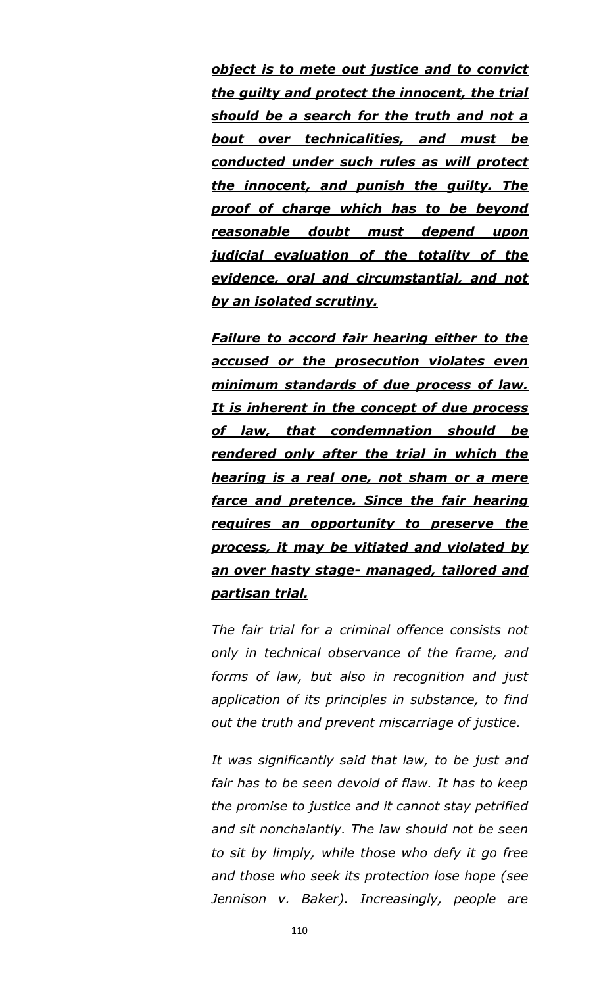*object is to mete out justice and to convict the guilty and protect the innocent, the trial should be a search for the truth and not a bout over technicalities, and must be conducted under such rules as will protect the innocent, and punish the guilty. The proof of charge which has to be beyond reasonable doubt must depend upon judicial evaluation of the totality of the evidence, oral and circumstantial, and not by an isolated scrutiny.*

*Failure to accord fair hearing either to the accused or the prosecution violates even minimum standards of due process of law. It is inherent in the concept of due process of law, that condemnation should be rendered only after the trial in which the hearing is a real one, not sham or a mere farce and pretence. Since the fair hearing requires an opportunity to preserve the process, it may be vitiated and violated by an over hasty stage- managed, tailored and partisan trial.*

*The fair trial for a criminal offence consists not only in technical observance of the frame, and forms of law, but also in recognition and just application of its principles in substance, to find out the truth and prevent miscarriage of justice.*

*It was significantly said that law, to be just and fair has to be seen devoid of flaw. It has to keep the promise to justice and it cannot stay petrified and sit nonchalantly. The law should not be seen to sit by limply, while those who defy it go free and those who seek its protection lose hope (see Jennison v. Baker). Increasingly, people are*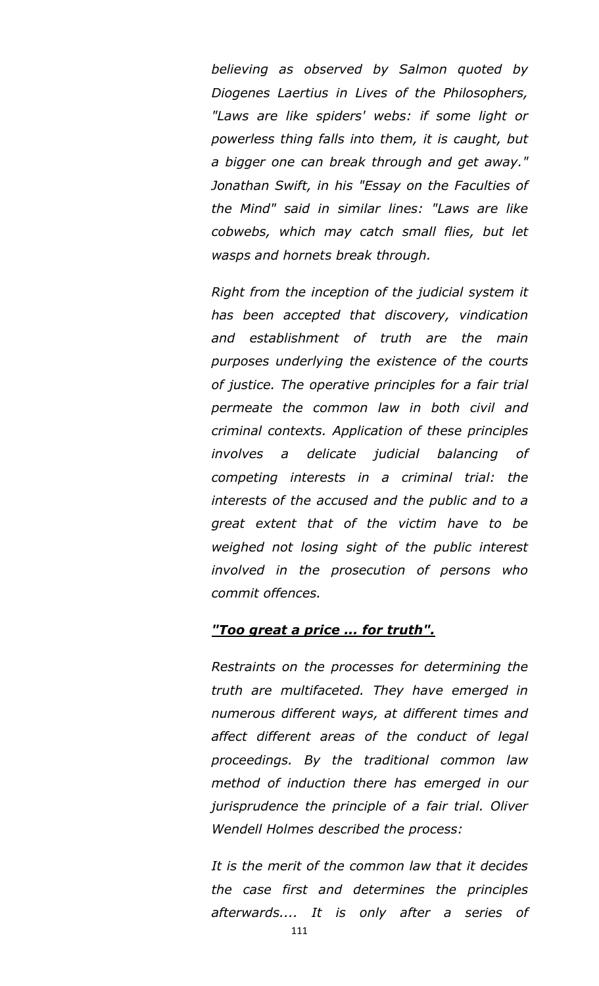*believing as observed by Salmon quoted by Diogenes Laertius in Lives of the Philosophers, "Laws are like spiders' webs: if some light or powerless thing falls into them, it is caught, but a bigger one can break through and get away." Jonathan Swift, in his "Essay on the Faculties of the Mind" said in similar lines: "Laws are like cobwebs, which may catch small flies, but let wasps and hornets break through.*

*Right from the inception of the judicial system it has been accepted that discovery, vindication and establishment of truth are the main purposes underlying the existence of the courts of justice. The operative principles for a fair trial permeate the common law in both civil and criminal contexts. Application of these principles involves a delicate judicial balancing of competing interests in a criminal trial: the interests of the accused and the public and to a great extent that of the victim have to be weighed not losing sight of the public interest involved in the prosecution of persons who commit offences.*

#### *"Too great a price ... for truth".*

*Restraints on the processes for determining the truth are multifaceted. They have emerged in numerous different ways, at different times and affect different areas of the conduct of legal proceedings. By the traditional common law method of induction there has emerged in our jurisprudence the principle of a fair trial. Oliver Wendell Holmes described the process:*

*It is the merit of the common law that it decides the case first and determines the principles afterwards.... It is only after a series of*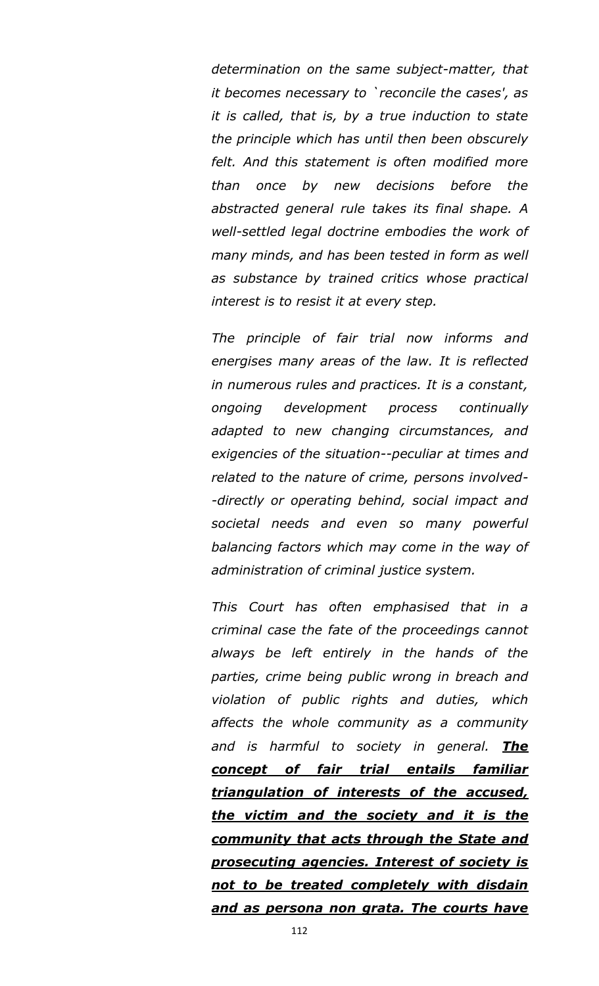*determination on the same subject-matter, that it becomes necessary to `reconcile the cases', as it is called, that is, by a true induction to state the principle which has until then been obscurely felt. And this statement is often modified more than once by new decisions before the abstracted general rule takes its final shape. A well-settled legal doctrine embodies the work of many minds, and has been tested in form as well as substance by trained critics whose practical interest is to resist it at every step.*

*The principle of fair trial now informs and energises many areas of the law. It is reflected in numerous rules and practices. It is a constant, ongoing development process continually adapted to new changing circumstances, and exigencies of the situation--peculiar at times and related to the nature of crime, persons involved- -directly or operating behind, social impact and societal needs and even so many powerful balancing factors which may come in the way of administration of criminal justice system.*

*This Court has often emphasised that in a criminal case the fate of the proceedings cannot always be left entirely in the hands of the parties, crime being public wrong in breach and violation of public rights and duties, which affects the whole community as a community and is harmful to society in general. The concept of fair trial entails familiar triangulation of interests of the accused, the victim and the society and it is the community that acts through the State and prosecuting agencies. Interest of society is not to be treated completely with disdain and as persona non grata. The courts have*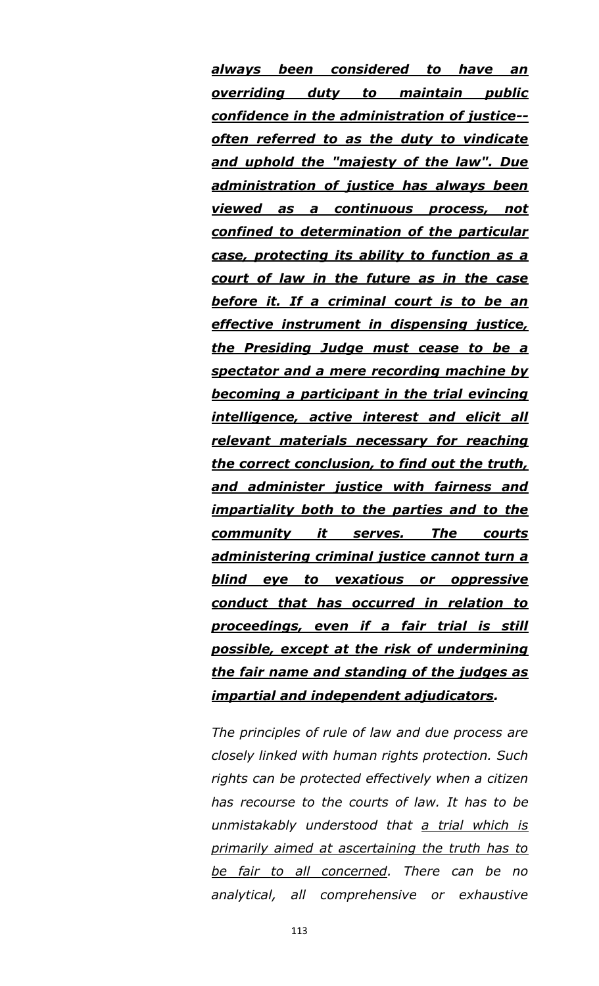*always been considered to have an overriding duty to maintain public confidence in the administration of justice- often referred to as the duty to vindicate and uphold the "majesty of the law". Due administration of justice has always been viewed as a continuous process, not confined to determination of the particular case, protecting its ability to function as a court of law in the future as in the case before it. If a criminal court is to be an effective instrument in dispensing justice, the Presiding Judge must cease to be a spectator and a mere recording machine by becoming a participant in the trial evincing intelligence, active interest and elicit all relevant materials necessary for reaching the correct conclusion, to find out the truth, and administer justice with fairness and impartiality both to the parties and to the community it serves. The courts administering criminal justice cannot turn a blind eye to vexatious or oppressive conduct that has occurred in relation to proceedings, even if a fair trial is still possible, except at the risk of undermining the fair name and standing of the judges as impartial and independent adjudicators.*

*The principles of rule of law and due process are closely linked with human rights protection. Such rights can be protected effectively when a citizen has recourse to the courts of law. It has to be unmistakably understood that a trial which is primarily aimed at ascertaining the truth has to be fair to all concerned. There can be no analytical, all comprehensive or exhaustive*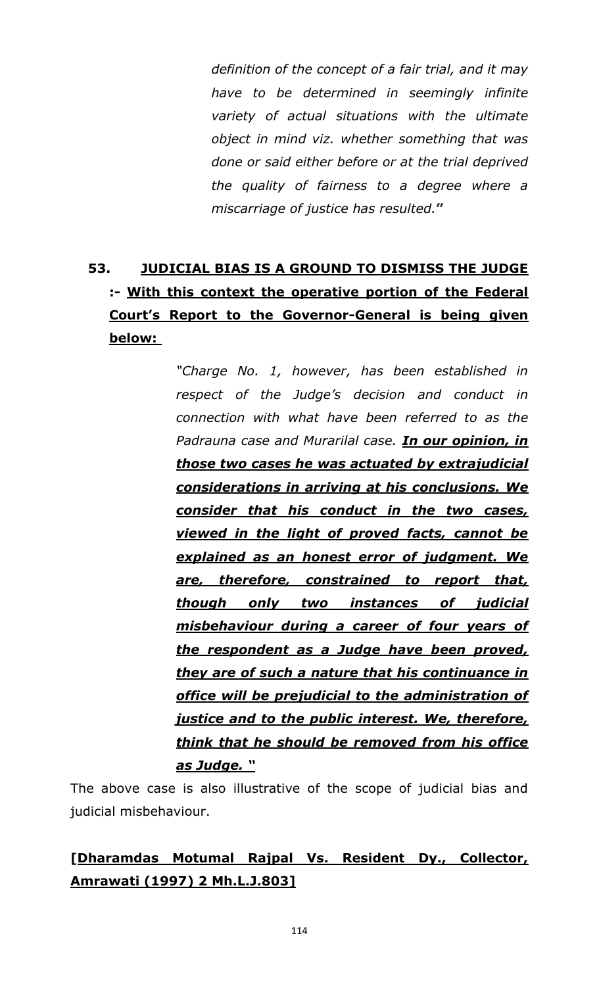*definition of the concept of a fair trial, and it may have to be determined in seemingly infinite variety of actual situations with the ultimate object in mind viz. whether something that was done or said either before or at the trial deprived the quality of fairness to a degree where a miscarriage of justice has resulted.***"**

# **53. JUDICIAL BIAS IS A GROUND TO DISMISS THE JUDGE :- With this context the operative portion of the Federal Court"s Report to the Governor-General is being given below:**

*"Charge No. 1, however, has been established in respect of the Judge"s decision and conduct in connection with what have been referred to as the Padrauna case and Murarilal case. In our opinion, in those two cases he was actuated by extrajudicial considerations in arriving at his conclusions. We consider that his conduct in the two cases, viewed in the light of proved facts, cannot be explained as an honest error of judgment. We are, therefore, constrained to report that, though only two instances of judicial misbehaviour during a career of four years of the respondent as a Judge have been proved, they are of such a nature that his continuance in office will be prejudicial to the administration of justice and to the public interest. We, therefore, think that he should be removed from his office as Judge. ―*

The above case is also illustrative of the scope of judicial bias and judicial misbehaviour.

## **[Dharamdas Motumal Rajpal Vs. Resident Dy., Collector, Amrawati (1997) 2 Mh.L.J.803]**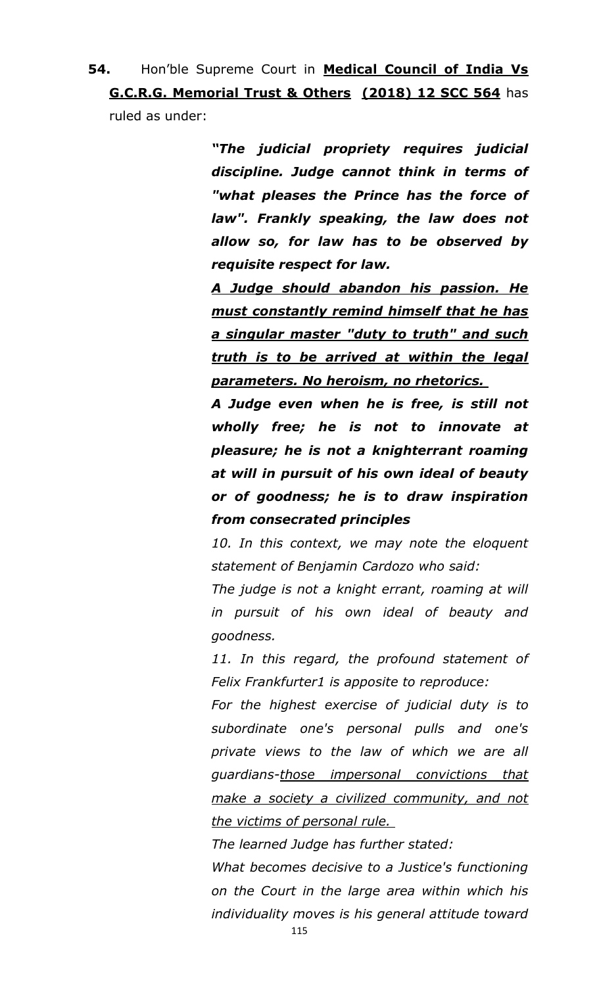**54.** Hon"ble Supreme Court in **Medical Council of India Vs G.C.R.G. Memorial Trust & Others (2018) 12 SCC 564** has ruled as under:

> *―The judicial propriety requires judicial discipline. Judge cannot think in terms of "what pleases the Prince has the force of law". Frankly speaking, the law does not allow so, for law has to be observed by requisite respect for law.*

> *A Judge should abandon his passion. He must constantly remind himself that he has a singular master "duty to truth" and such truth is to be arrived at within the legal parameters. No heroism, no rhetorics.*

> *A Judge even when he is free, is still not wholly free; he is not to innovate at pleasure; he is not a knighterrant roaming at will in pursuit of his own ideal of beauty or of goodness; he is to draw inspiration from consecrated principles*

> *10. In this context, we may note the eloquent statement of Benjamin Cardozo who said:*

> *The judge is not a knight errant, roaming at will in pursuit of his own ideal of beauty and goodness.*

> *11. In this regard, the profound statement of Felix Frankfurter1 is apposite to reproduce:*

> *For the highest exercise of judicial duty is to subordinate one's personal pulls and one's private views to the law of which we are all guardians-those impersonal convictions that make a society a civilized community, and not the victims of personal rule.*

*The learned Judge has further stated:* 

*What becomes decisive to a Justice's functioning on the Court in the large area within which his individuality moves is his general attitude toward*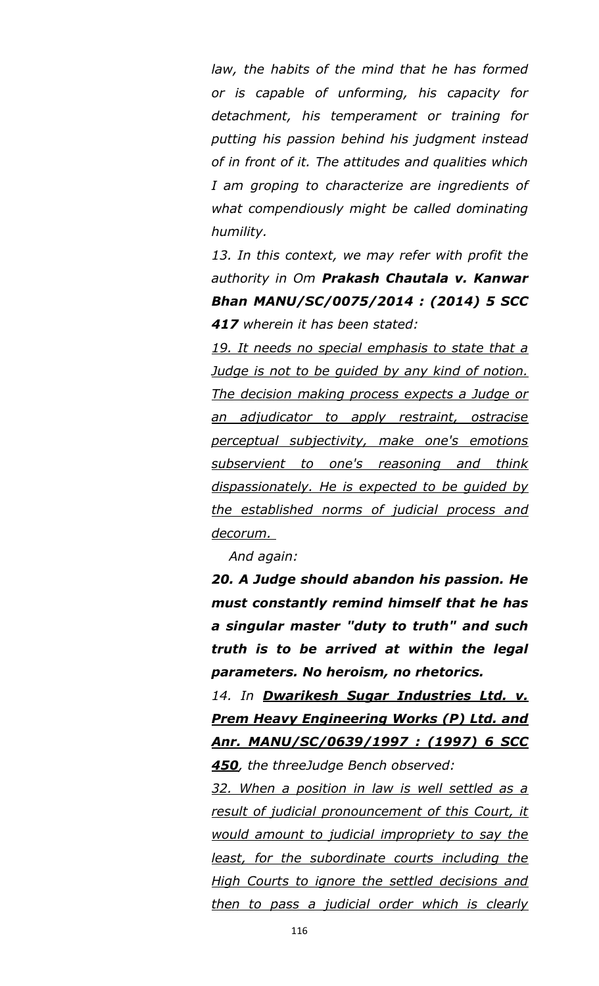*law, the habits of the mind that he has formed or is capable of unforming, his capacity for detachment, his temperament or training for putting his passion behind his judgment instead of in front of it. The attitudes and qualities which I am groping to characterize are ingredients of what compendiously might be called dominating humility.* 

*13. In this context, we may refer with profit the authority in Om Prakash Chautala v. Kanwar Bhan MANU/SC/0075/2014 : (2014) 5 SCC 417 wherein it has been stated:* 

*19. It needs no special emphasis to state that a Judge is not to be guided by any kind of notion. The decision making process expects a Judge or an adjudicator to apply restraint, ostracise perceptual subjectivity, make one's emotions subservient to one's reasoning and think dispassionately. He is expected to be guided by the established norms of judicial process and decorum.* 

*And again:* 

*20. A Judge should abandon his passion. He must constantly remind himself that he has a singular master "duty to truth" and such truth is to be arrived at within the legal parameters. No heroism, no rhetorics.* 

*14. In Dwarikesh Sugar Industries Ltd. v. Prem Heavy Engineering Works (P) Ltd. and Anr. MANU/SC/0639/1997 : (1997) 6 SCC 450, the threeJudge Bench observed:* 

*32. When a position in law is well settled as a result of judicial pronouncement of this Court, it would amount to judicial impropriety to say the least, for the subordinate courts including the High Courts to ignore the settled decisions and then to pass a judicial order which is clearly*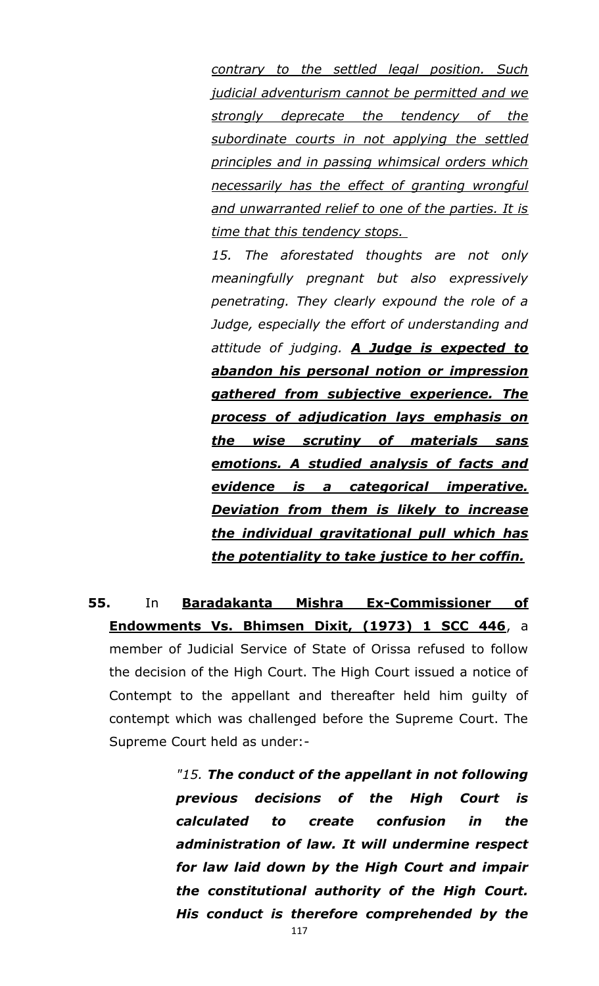*contrary to the settled legal position. Such judicial adventurism cannot be permitted and we strongly deprecate the tendency of the subordinate courts in not applying the settled principles and in passing whimsical orders which necessarily has the effect of granting wrongful and unwarranted relief to one of the parties. It is time that this tendency stops.* 

*15. The aforestated thoughts are not only meaningfully pregnant but also expressively penetrating. They clearly expound the role of a Judge, especially the effort of understanding and attitude of judging. A Judge is expected to abandon his personal notion or impression gathered from subjective experience. The process of adjudication lays emphasis on the wise scrutiny of materials sans emotions. A studied analysis of facts and evidence is a categorical imperative. Deviation from them is likely to increase the individual gravitational pull which has the potentiality to take justice to her coffin.*

**55.** In **Baradakanta Mishra Ex-Commissioner of Endowments Vs. Bhimsen Dixit, (1973) 1 SCC 446**, a member of Judicial Service of State of Orissa refused to follow the decision of the High Court. The High Court issued a notice of Contempt to the appellant and thereafter held him guilty of contempt which was challenged before the Supreme Court. The Supreme Court held as under:-

> *"15. The conduct of the appellant in not following previous decisions of the High Court is calculated to create confusion in the administration of law. It will undermine respect for law laid down by the High Court and impair the constitutional authority of the High Court. His conduct is therefore comprehended by the*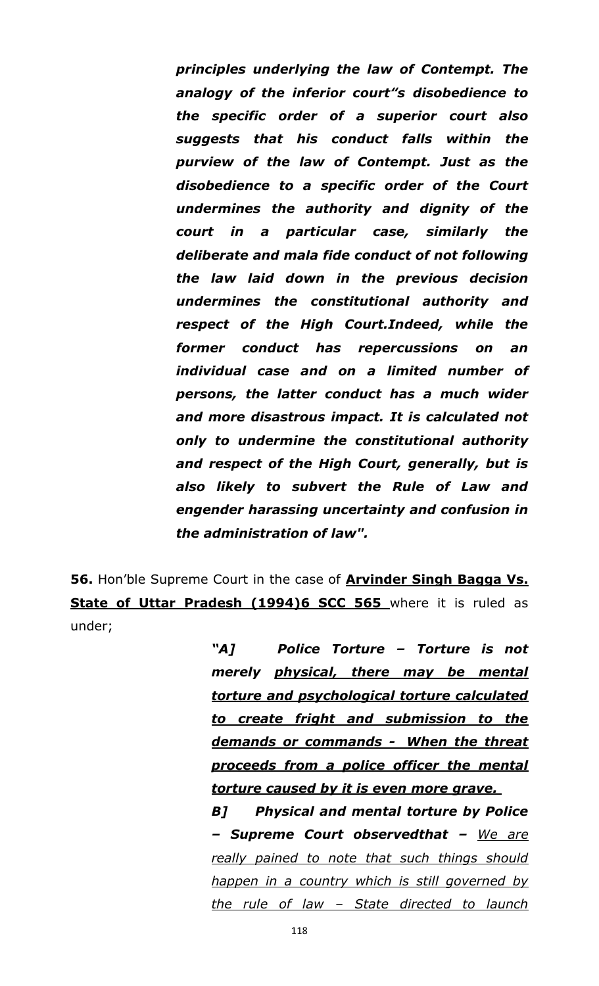*principles underlying the law of Contempt. The analogy of the inferior court"s disobedience to the specific order of a superior court also suggests that his conduct falls within the purview of the law of Contempt. Just as the disobedience to a specific order of the Court undermines the authority and dignity of the court in a particular case, similarly the deliberate and mala fide conduct of not following the law laid down in the previous decision undermines the constitutional authority and respect of the High Court.Indeed, while the former conduct has repercussions on an individual case and on a limited number of persons, the latter conduct has a much wider and more disastrous impact. It is calculated not only to undermine the constitutional authority and respect of the High Court, generally, but is also likely to subvert the Rule of Law and engender harassing uncertainty and confusion in the administration of law".*

**56.** Hon"ble Supreme Court in the case of **Arvinder Singh Bagga Vs. State of Uttar Pradesh (1994)6 SCC 565** where it is ruled as under;

> *―A] Police Torture – Torture is not merely physical, there may be mental torture and psychological torture calculated to create fright and submission to the demands or commands - When the threat proceeds from a police officer the mental torture caused by it is even more grave.*

> *B] Physical and mental torture by Police – Supreme Court observedthat – We are really pained to note that such things should happen in a country which is still governed by the rule of law – State directed to launch*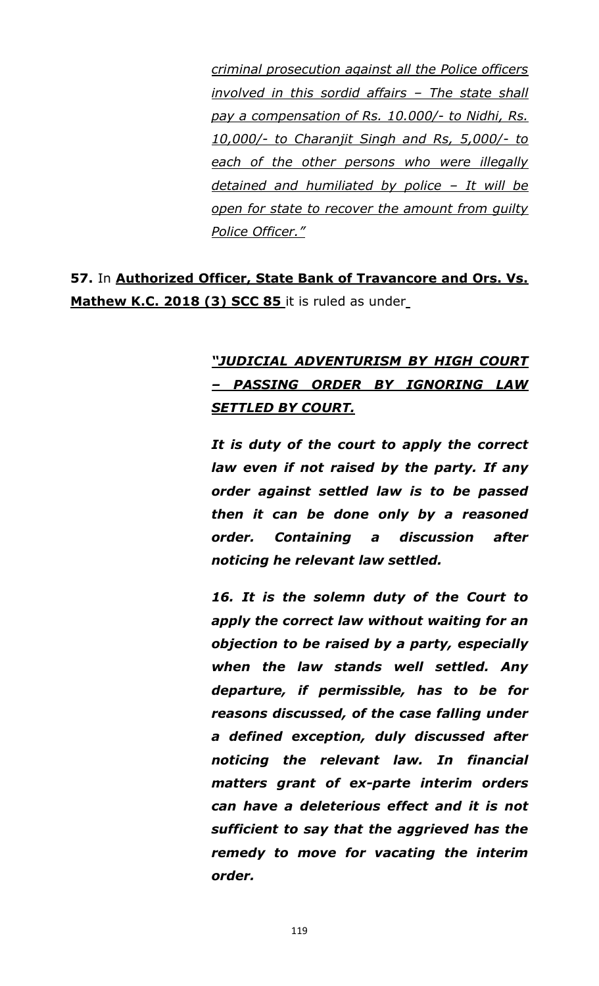*criminal prosecution against all the Police officers involved in this sordid affairs – The state shall pay a compensation of Rs. 10.000/- to Nidhi, Rs. 10,000/- to Charanjit Singh and Rs, 5,000/- to each of the other persons who were illegally detained and humiliated by police – It will be open for state to recover the amount from guilty Police Officer."*

**57.** In **Authorized Officer, State Bank of Travancore and Ors. Vs. Mathew K.C. 2018 (3) SCC 85** it is ruled as under

## *―JUDICIAL ADVENTURISM BY HIGH COURT – PASSING ORDER BY IGNORING LAW SETTLED BY COURT.*

*It is duty of the court to apply the correct law even if not raised by the party. If any order against settled law is to be passed then it can be done only by a reasoned order. Containing a discussion after noticing he relevant law settled.*

*16. It is the solemn duty of the Court to apply the correct law without waiting for an objection to be raised by a party, especially when the law stands well settled. Any departure, if permissible, has to be for reasons discussed, of the case falling under a defined exception, duly discussed after noticing the relevant law. In financial matters grant of ex-parte interim orders can have a deleterious effect and it is not sufficient to say that the aggrieved has the remedy to move for vacating the interim order.*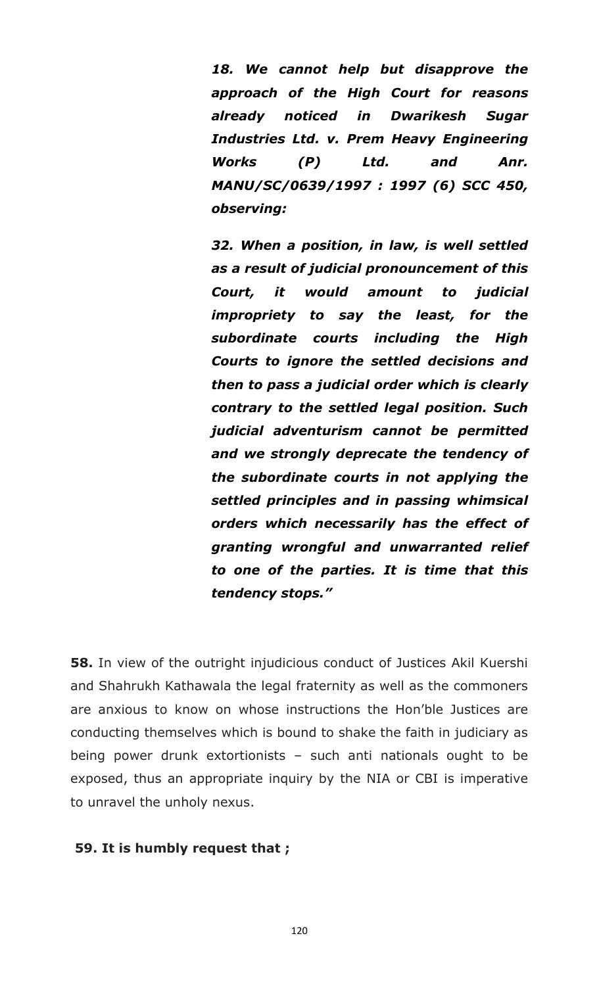*18. We cannot help but disapprove the approach of the High Court for reasons already noticed in Dwarikesh Sugar Industries Ltd. v. Prem Heavy Engineering Works (P) Ltd. and Anr. MANU/SC/0639/1997 : 1997 (6) SCC 450, observing:*

*32. When a position, in law, is well settled as a result of judicial pronouncement of this Court, it would amount to judicial impropriety to say the least, for the subordinate courts including the High Courts to ignore the settled decisions and then to pass a judicial order which is clearly contrary to the settled legal position. Such judicial adventurism cannot be permitted and we strongly deprecate the tendency of the subordinate courts in not applying the settled principles and in passing whimsical orders which necessarily has the effect of granting wrongful and unwarranted relief to one of the parties. It is time that this tendency stops.‖*

**58.** In view of the outright injudicious conduct of Justices Akil Kuershi and Shahrukh Kathawala the legal fraternity as well as the commoners are anxious to know on whose instructions the Hon"ble Justices are conducting themselves which is bound to shake the faith in judiciary as being power drunk extortionists – such anti nationals ought to be exposed, thus an appropriate inquiry by the NIA or CBI is imperative to unravel the unholy nexus.

#### **59. It is humbly request that ;**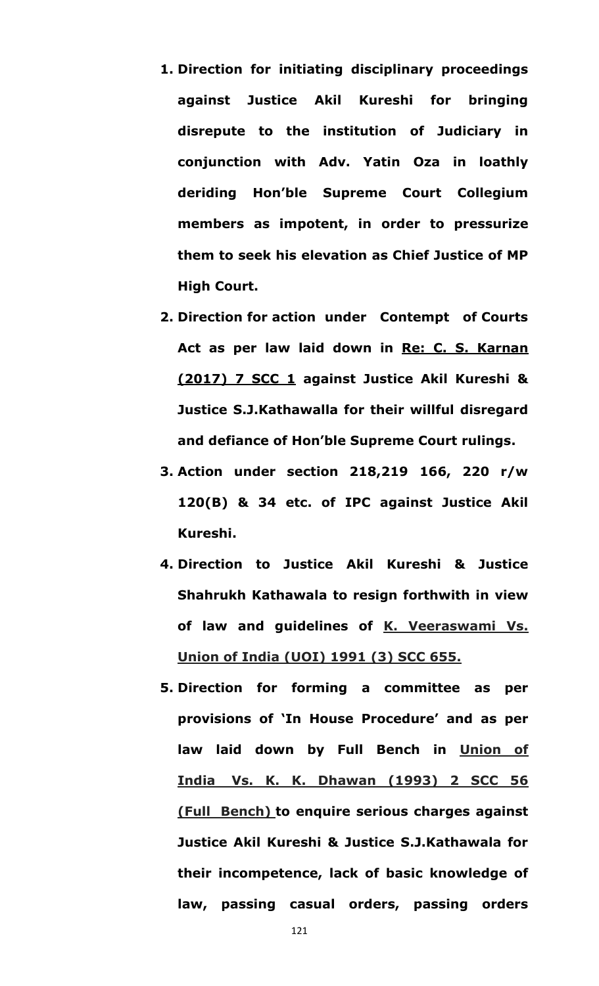- **1. Direction for initiating disciplinary proceedings against Justice Akil Kureshi for bringing disrepute to the institution of Judiciary in conjunction with Adv. Yatin Oza in loathly deriding Hon"ble Supreme Court Collegium members as impotent, in order to pressurize them to seek his elevation as Chief Justice of MP High Court.**
- **2. Direction for action under Contempt of Courts Act as per law laid down in Re: C. S. Karnan (2017) 7 SCC 1 against Justice Akil Kureshi & Justice S.J.Kathawalla for their willful disregard and defiance of Hon"ble Supreme Court rulings.**
- **3. Action under section 218,219 166, 220 r/w 120(B) & 34 etc. of IPC against Justice Akil Kureshi.**
- **4. Direction to Justice Akil Kureshi & Justice Shahrukh Kathawala to resign forthwith in view of law and guidelines of K. Veeraswami Vs. Union of India (UOI) 1991 (3) SCC 655.**
- **5. Direction for forming a committee as per provisions of "In House Procedure" and as per law laid down by Full Bench in Union of India Vs. K. K. Dhawan (1993) 2 SCC 56 (Full Bench) to enquire serious charges against Justice Akil Kureshi & Justice S.J.Kathawala for their incompetence, lack of basic knowledge of law, passing casual orders, passing orders**